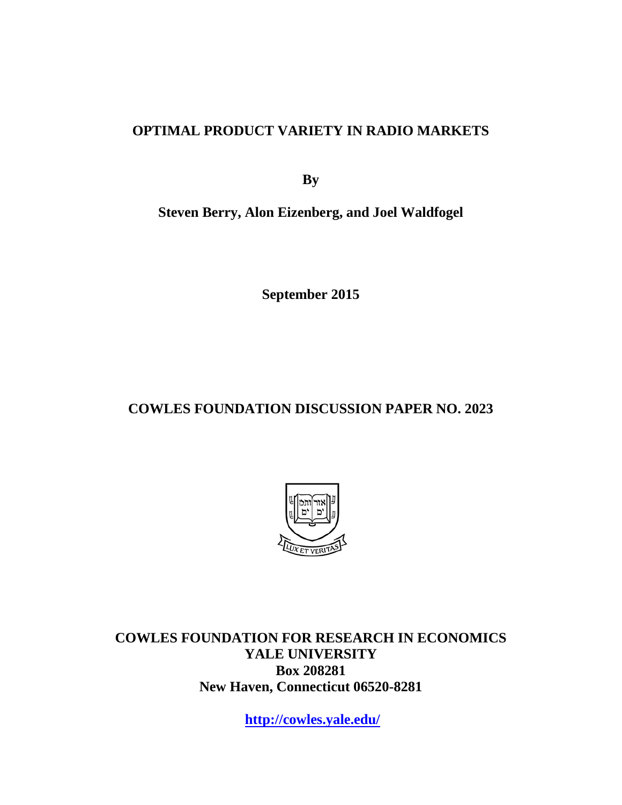# **OPTIMAL PRODUCT VARIETY IN RADIO MARKETS**

**By**

**Steven Berry, Alon Eizenberg, and Joel Waldfogel**

**September 2015**

# **COWLES FOUNDATION DISCUSSION PAPER NO. 2023**



**COWLES FOUNDATION FOR RESEARCH IN ECONOMICS YALE UNIVERSITY Box 208281 New Haven, Connecticut 06520-8281**

**<http://cowles.yale.edu/>**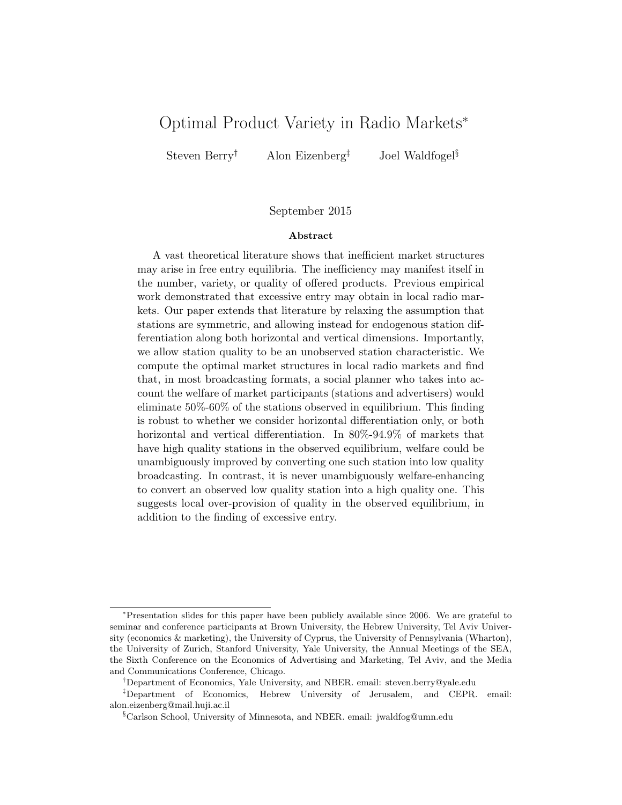# Optimal Product Variety in Radio Markets<sup>∗</sup>

Steven Berry<sup>†</sup> Alon Eizenberg<sup>‡</sup> Joel Waldfogel<sup>§</sup>

#### September 2015

#### Abstract

A vast theoretical literature shows that inefficient market structures may arise in free entry equilibria. The inefficiency may manifest itself in the number, variety, or quality of offered products. Previous empirical work demonstrated that excessive entry may obtain in local radio markets. Our paper extends that literature by relaxing the assumption that stations are symmetric, and allowing instead for endogenous station differentiation along both horizontal and vertical dimensions. Importantly, we allow station quality to be an unobserved station characteristic. We compute the optimal market structures in local radio markets and find that, in most broadcasting formats, a social planner who takes into account the welfare of market participants (stations and advertisers) would eliminate 50%-60% of the stations observed in equilibrium. This finding is robust to whether we consider horizontal differentiation only, or both horizontal and vertical differentiation. In 80%-94.9% of markets that have high quality stations in the observed equilibrium, welfare could be unambiguously improved by converting one such station into low quality broadcasting. In contrast, it is never unambiguously welfare-enhancing to convert an observed low quality station into a high quality one. This suggests local over-provision of quality in the observed equilibrium, in addition to the finding of excessive entry.

†Department of Economics, Yale University, and NBER. email: steven.berry@yale.edu

<sup>∗</sup>Presentation slides for this paper have been publicly available since 2006. We are grateful to seminar and conference participants at Brown University, the Hebrew University, Tel Aviv University (economics & marketing), the University of Cyprus, the University of Pennsylvania (Wharton), the University of Zurich, Stanford University, Yale University, the Annual Meetings of the SEA, the Sixth Conference on the Economics of Advertising and Marketing, Tel Aviv, and the Media and Communications Conference, Chicago.

<sup>‡</sup>Department of Economics, Hebrew University of Jerusalem, and CEPR. email: alon.eizenberg@mail.huji.ac.il

<sup>§</sup>Carlson School, University of Minnesota, and NBER. email: jwaldfog@umn.edu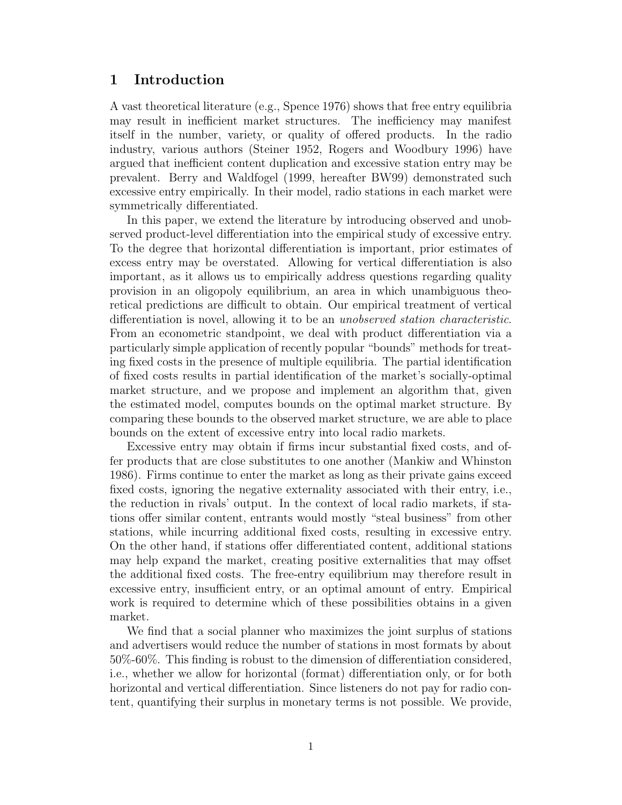# 1 Introduction

A vast theoretical literature (e.g., Spence 1976) shows that free entry equilibria may result in inefficient market structures. The inefficiency may manifest itself in the number, variety, or quality of offered products. In the radio industry, various authors (Steiner 1952, Rogers and Woodbury 1996) have argued that inefficient content duplication and excessive station entry may be prevalent. Berry and Waldfogel (1999, hereafter BW99) demonstrated such excessive entry empirically. In their model, radio stations in each market were symmetrically differentiated.

In this paper, we extend the literature by introducing observed and unobserved product-level differentiation into the empirical study of excessive entry. To the degree that horizontal differentiation is important, prior estimates of excess entry may be overstated. Allowing for vertical differentiation is also important, as it allows us to empirically address questions regarding quality provision in an oligopoly equilibrium, an area in which unambiguous theoretical predictions are difficult to obtain. Our empirical treatment of vertical differentiation is novel, allowing it to be an unobserved station characteristic. From an econometric standpoint, we deal with product differentiation via a particularly simple application of recently popular "bounds" methods for treating fixed costs in the presence of multiple equilibria. The partial identification of fixed costs results in partial identification of the market's socially-optimal market structure, and we propose and implement an algorithm that, given the estimated model, computes bounds on the optimal market structure. By comparing these bounds to the observed market structure, we are able to place bounds on the extent of excessive entry into local radio markets.

Excessive entry may obtain if firms incur substantial fixed costs, and offer products that are close substitutes to one another (Mankiw and Whinston 1986). Firms continue to enter the market as long as their private gains exceed fixed costs, ignoring the negative externality associated with their entry, i.e., the reduction in rivals' output. In the context of local radio markets, if stations offer similar content, entrants would mostly "steal business" from other stations, while incurring additional fixed costs, resulting in excessive entry. On the other hand, if stations offer differentiated content, additional stations may help expand the market, creating positive externalities that may offset the additional fixed costs. The free-entry equilibrium may therefore result in excessive entry, insufficient entry, or an optimal amount of entry. Empirical work is required to determine which of these possibilities obtains in a given market.

We find that a social planner who maximizes the joint surplus of stations and advertisers would reduce the number of stations in most formats by about 50%-60%. This finding is robust to the dimension of differentiation considered, i.e., whether we allow for horizontal (format) differentiation only, or for both horizontal and vertical differentiation. Since listeners do not pay for radio content, quantifying their surplus in monetary terms is not possible. We provide,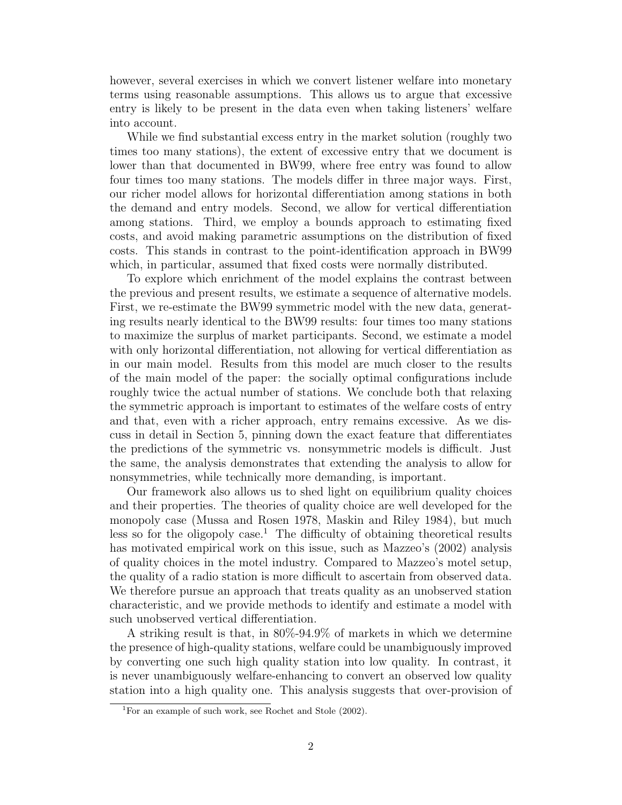however, several exercises in which we convert listener welfare into monetary terms using reasonable assumptions. This allows us to argue that excessive entry is likely to be present in the data even when taking listeners' welfare into account.

While we find substantial excess entry in the market solution (roughly two times too many stations), the extent of excessive entry that we document is lower than that documented in BW99, where free entry was found to allow four times too many stations. The models differ in three major ways. First, our richer model allows for horizontal differentiation among stations in both the demand and entry models. Second, we allow for vertical differentiation among stations. Third, we employ a bounds approach to estimating fixed costs, and avoid making parametric assumptions on the distribution of fixed costs. This stands in contrast to the point-identification approach in BW99 which, in particular, assumed that fixed costs were normally distributed.

To explore which enrichment of the model explains the contrast between the previous and present results, we estimate a sequence of alternative models. First, we re-estimate the BW99 symmetric model with the new data, generating results nearly identical to the BW99 results: four times too many stations to maximize the surplus of market participants. Second, we estimate a model with only horizontal differentiation, not allowing for vertical differentiation as in our main model. Results from this model are much closer to the results of the main model of the paper: the socially optimal configurations include roughly twice the actual number of stations. We conclude both that relaxing the symmetric approach is important to estimates of the welfare costs of entry and that, even with a richer approach, entry remains excessive. As we discuss in detail in Section 5, pinning down the exact feature that differentiates the predictions of the symmetric vs. nonsymmetric models is difficult. Just the same, the analysis demonstrates that extending the analysis to allow for nonsymmetries, while technically more demanding, is important.

Our framework also allows us to shed light on equilibrium quality choices and their properties. The theories of quality choice are well developed for the monopoly case (Mussa and Rosen 1978, Maskin and Riley 1984), but much less so for the oligopoly case.<sup>1</sup> The difficulty of obtaining theoretical results has motivated empirical work on this issue, such as Mazzeo's (2002) analysis of quality choices in the motel industry. Compared to Mazzeo's motel setup, the quality of a radio station is more difficult to ascertain from observed data. We therefore pursue an approach that treats quality as an unobserved station characteristic, and we provide methods to identify and estimate a model with such unobserved vertical differentiation.

A striking result is that, in 80%-94.9% of markets in which we determine the presence of high-quality stations, welfare could be unambiguously improved by converting one such high quality station into low quality. In contrast, it is never unambiguously welfare-enhancing to convert an observed low quality station into a high quality one. This analysis suggests that over-provision of

 $\overline{^{1}$  For an example of such work, see Rochet and Stole (2002).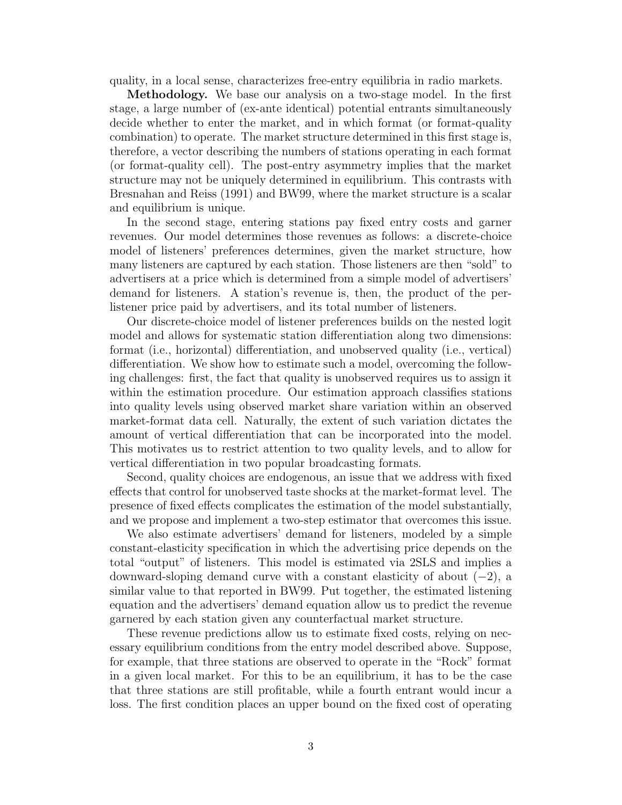quality, in a local sense, characterizes free-entry equilibria in radio markets.

Methodology. We base our analysis on a two-stage model. In the first stage, a large number of (ex-ante identical) potential entrants simultaneously decide whether to enter the market, and in which format (or format-quality combination) to operate. The market structure determined in this first stage is, therefore, a vector describing the numbers of stations operating in each format (or format-quality cell). The post-entry asymmetry implies that the market structure may not be uniquely determined in equilibrium. This contrasts with Bresnahan and Reiss (1991) and BW99, where the market structure is a scalar and equilibrium is unique.

In the second stage, entering stations pay fixed entry costs and garner revenues. Our model determines those revenues as follows: a discrete-choice model of listeners' preferences determines, given the market structure, how many listeners are captured by each station. Those listeners are then "sold" to advertisers at a price which is determined from a simple model of advertisers' demand for listeners. A station's revenue is, then, the product of the perlistener price paid by advertisers, and its total number of listeners.

Our discrete-choice model of listener preferences builds on the nested logit model and allows for systematic station differentiation along two dimensions: format (i.e., horizontal) differentiation, and unobserved quality (i.e., vertical) differentiation. We show how to estimate such a model, overcoming the following challenges: first, the fact that quality is unobserved requires us to assign it within the estimation procedure. Our estimation approach classifies stations into quality levels using observed market share variation within an observed market-format data cell. Naturally, the extent of such variation dictates the amount of vertical differentiation that can be incorporated into the model. This motivates us to restrict attention to two quality levels, and to allow for vertical differentiation in two popular broadcasting formats.

Second, quality choices are endogenous, an issue that we address with fixed effects that control for unobserved taste shocks at the market-format level. The presence of fixed effects complicates the estimation of the model substantially, and we propose and implement a two-step estimator that overcomes this issue.

We also estimate advertisers' demand for listeners, modeled by a simple constant-elasticity specification in which the advertising price depends on the total "output" of listeners. This model is estimated via 2SLS and implies a downward-sloping demand curve with a constant elasticity of about  $(-2)$ , a similar value to that reported in BW99. Put together, the estimated listening equation and the advertisers' demand equation allow us to predict the revenue garnered by each station given any counterfactual market structure.

These revenue predictions allow us to estimate fixed costs, relying on necessary equilibrium conditions from the entry model described above. Suppose, for example, that three stations are observed to operate in the "Rock" format in a given local market. For this to be an equilibrium, it has to be the case that three stations are still profitable, while a fourth entrant would incur a loss. The first condition places an upper bound on the fixed cost of operating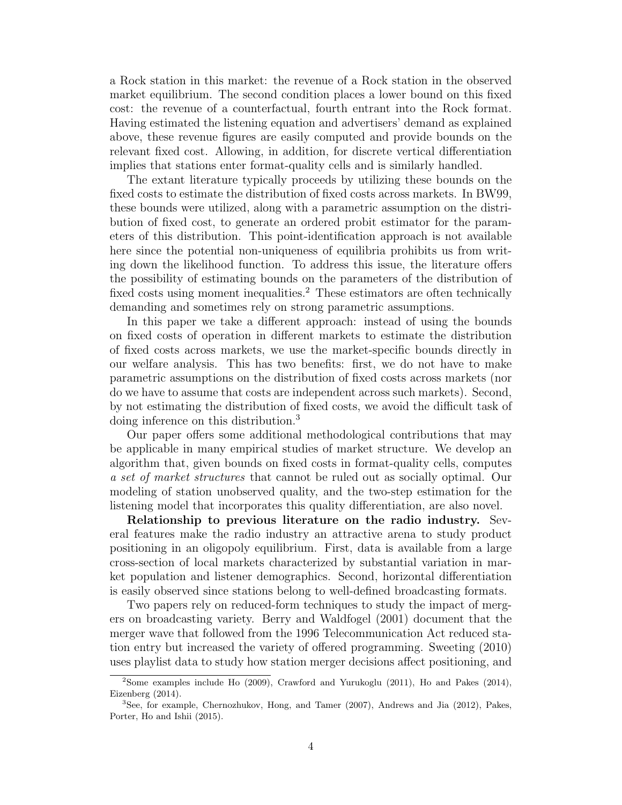a Rock station in this market: the revenue of a Rock station in the observed market equilibrium. The second condition places a lower bound on this fixed cost: the revenue of a counterfactual, fourth entrant into the Rock format. Having estimated the listening equation and advertisers' demand as explained above, these revenue figures are easily computed and provide bounds on the relevant fixed cost. Allowing, in addition, for discrete vertical differentiation implies that stations enter format-quality cells and is similarly handled.

The extant literature typically proceeds by utilizing these bounds on the fixed costs to estimate the distribution of fixed costs across markets. In BW99, these bounds were utilized, along with a parametric assumption on the distribution of fixed cost, to generate an ordered probit estimator for the parameters of this distribution. This point-identification approach is not available here since the potential non-uniqueness of equilibria prohibits us from writing down the likelihood function. To address this issue, the literature offers the possibility of estimating bounds on the parameters of the distribution of fixed costs using moment inequalities.<sup>2</sup> These estimators are often technically demanding and sometimes rely on strong parametric assumptions.

In this paper we take a different approach: instead of using the bounds on fixed costs of operation in different markets to estimate the distribution of fixed costs across markets, we use the market-specific bounds directly in our welfare analysis. This has two benefits: first, we do not have to make parametric assumptions on the distribution of fixed costs across markets (nor do we have to assume that costs are independent across such markets). Second, by not estimating the distribution of fixed costs, we avoid the difficult task of doing inference on this distribution.<sup>3</sup>

Our paper offers some additional methodological contributions that may be applicable in many empirical studies of market structure. We develop an algorithm that, given bounds on fixed costs in format-quality cells, computes a set of market structures that cannot be ruled out as socially optimal. Our modeling of station unobserved quality, and the two-step estimation for the listening model that incorporates this quality differentiation, are also novel.

Relationship to previous literature on the radio industry. Several features make the radio industry an attractive arena to study product positioning in an oligopoly equilibrium. First, data is available from a large cross-section of local markets characterized by substantial variation in market population and listener demographics. Second, horizontal differentiation is easily observed since stations belong to well-defined broadcasting formats.

Two papers rely on reduced-form techniques to study the impact of mergers on broadcasting variety. Berry and Waldfogel (2001) document that the merger wave that followed from the 1996 Telecommunication Act reduced station entry but increased the variety of offered programming. Sweeting (2010) uses playlist data to study how station merger decisions affect positioning, and

<sup>2</sup>Some examples include Ho (2009), Crawford and Yurukoglu (2011), Ho and Pakes (2014), Eizenberg (2014).

<sup>3</sup>See, for example, Chernozhukov, Hong, and Tamer (2007), Andrews and Jia (2012), Pakes, Porter, Ho and Ishii (2015).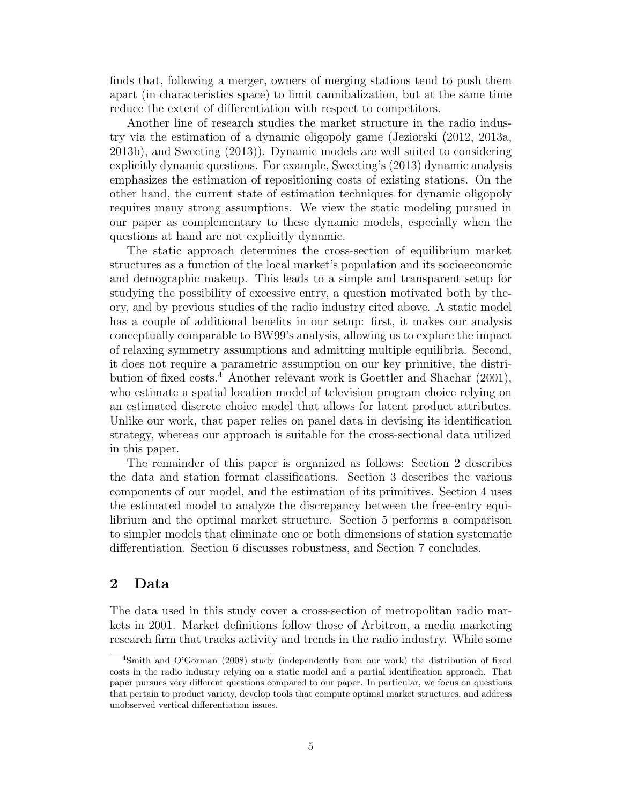finds that, following a merger, owners of merging stations tend to push them apart (in characteristics space) to limit cannibalization, but at the same time reduce the extent of differentiation with respect to competitors.

Another line of research studies the market structure in the radio industry via the estimation of a dynamic oligopoly game (Jeziorski (2012, 2013a, 2013b), and Sweeting (2013)). Dynamic models are well suited to considering explicitly dynamic questions. For example, Sweeting's (2013) dynamic analysis emphasizes the estimation of repositioning costs of existing stations. On the other hand, the current state of estimation techniques for dynamic oligopoly requires many strong assumptions. We view the static modeling pursued in our paper as complementary to these dynamic models, especially when the questions at hand are not explicitly dynamic.

The static approach determines the cross-section of equilibrium market structures as a function of the local market's population and its socioeconomic and demographic makeup. This leads to a simple and transparent setup for studying the possibility of excessive entry, a question motivated both by theory, and by previous studies of the radio industry cited above. A static model has a couple of additional benefits in our setup: first, it makes our analysis conceptually comparable to BW99's analysis, allowing us to explore the impact of relaxing symmetry assumptions and admitting multiple equilibria. Second, it does not require a parametric assumption on our key primitive, the distribution of fixed costs.<sup>4</sup> Another relevant work is Goettler and Shachar (2001), who estimate a spatial location model of television program choice relying on an estimated discrete choice model that allows for latent product attributes. Unlike our work, that paper relies on panel data in devising its identification strategy, whereas our approach is suitable for the cross-sectional data utilized in this paper.

The remainder of this paper is organized as follows: Section 2 describes the data and station format classifications. Section 3 describes the various components of our model, and the estimation of its primitives. Section 4 uses the estimated model to analyze the discrepancy between the free-entry equilibrium and the optimal market structure. Section 5 performs a comparison to simpler models that eliminate one or both dimensions of station systematic differentiation. Section 6 discusses robustness, and Section 7 concludes.

# 2 Data

The data used in this study cover a cross-section of metropolitan radio markets in 2001. Market definitions follow those of Arbitron, a media marketing research firm that tracks activity and trends in the radio industry. While some

<sup>4</sup>Smith and O'Gorman (2008) study (independently from our work) the distribution of fixed costs in the radio industry relying on a static model and a partial identification approach. That paper pursues very different questions compared to our paper. In particular, we focus on questions that pertain to product variety, develop tools that compute optimal market structures, and address unobserved vertical differentiation issues.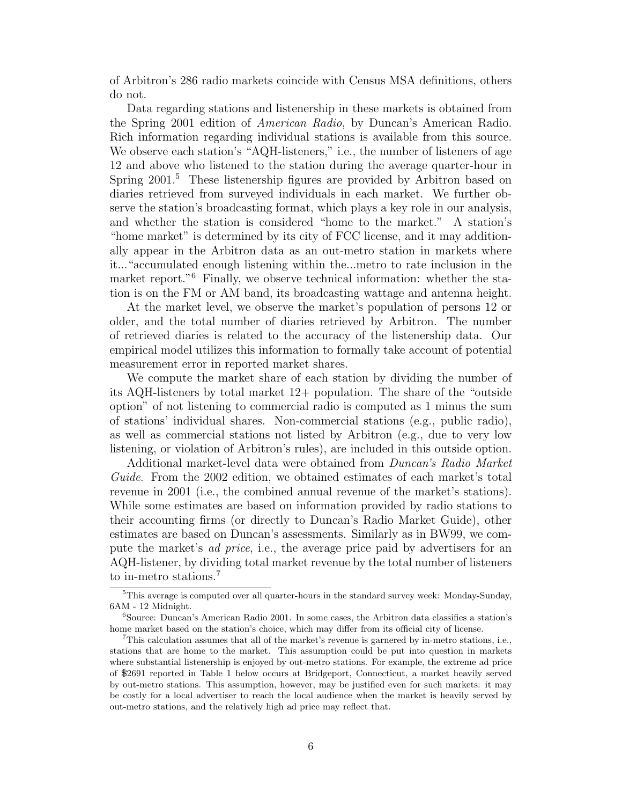of Arbitron's 286 radio markets coincide with Census MSA definitions, others do not.

Data regarding stations and listenership in these markets is obtained from the Spring 2001 edition of American Radio, by Duncan's American Radio. Rich information regarding individual stations is available from this source. We observe each station's "AQH-listeners," i.e., the number of listeners of age 12 and above who listened to the station during the average quarter-hour in Spring 2001.<sup>5</sup> These listenership figures are provided by Arbitron based on diaries retrieved from surveyed individuals in each market. We further observe the station's broadcasting format, which plays a key role in our analysis, and whether the station is considered "home to the market." A station's "home market" is determined by its city of FCC license, and it may additionally appear in the Arbitron data as an out-metro station in markets where it..."accumulated enough listening within the...metro to rate inclusion in the market report."<sup>6</sup> Finally, we observe technical information: whether the station is on the FM or AM band, its broadcasting wattage and antenna height.

At the market level, we observe the market's population of persons 12 or older, and the total number of diaries retrieved by Arbitron. The number of retrieved diaries is related to the accuracy of the listenership data. Our empirical model utilizes this information to formally take account of potential measurement error in reported market shares.

We compute the market share of each station by dividing the number of its AQH-listeners by total market 12+ population. The share of the "outside option" of not listening to commercial radio is computed as 1 minus the sum of stations' individual shares. Non-commercial stations (e.g., public radio), as well as commercial stations not listed by Arbitron (e.g., due to very low listening, or violation of Arbitron's rules), are included in this outside option.

Additional market-level data were obtained from Duncan's Radio Market Guide. From the 2002 edition, we obtained estimates of each market's total revenue in 2001 (i.e., the combined annual revenue of the market's stations). While some estimates are based on information provided by radio stations to their accounting firms (or directly to Duncan's Radio Market Guide), other estimates are based on Duncan's assessments. Similarly as in BW99, we compute the market's ad price, i.e., the average price paid by advertisers for an AQH-listener, by dividing total market revenue by the total number of listeners to in-metro stations.<sup>7</sup>

<sup>5</sup>This average is computed over all quarter-hours in the standard survey week: Monday-Sunday, 6AM - 12 Midnight.

<sup>&</sup>lt;sup>6</sup>Source: Duncan's American Radio 2001. In some cases, the Arbitron data classifies a station's home market based on the station's choice, which may differ from its official city of license.

<sup>7</sup>This calculation assumes that all of the market's revenue is garnered by in-metro stations, i.e., stations that are home to the market. This assumption could be put into question in markets where substantial listenership is enjoyed by out-metro stations. For example, the extreme ad price of 2691 reported in Table 1 below occurs at Bridgeport, Connecticut, a market heavily served by out-metro stations. This assumption, however, may be justified even for such markets: it may be costly for a local advertiser to reach the local audience when the market is heavily served by out-metro stations, and the relatively high ad price may reflect that.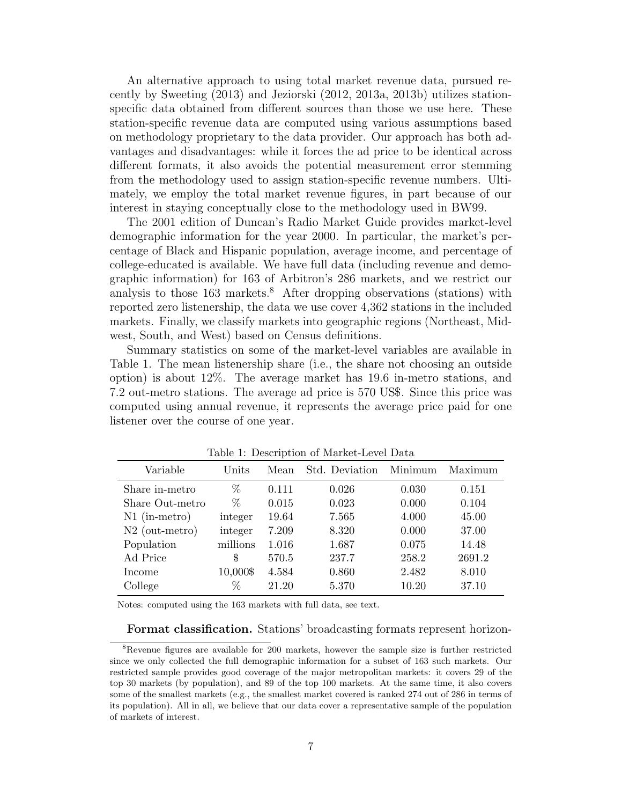An alternative approach to using total market revenue data, pursued recently by Sweeting (2013) and Jeziorski (2012, 2013a, 2013b) utilizes stationspecific data obtained from different sources than those we use here. These station-specific revenue data are computed using various assumptions based on methodology proprietary to the data provider. Our approach has both advantages and disadvantages: while it forces the ad price to be identical across different formats, it also avoids the potential measurement error stemming from the methodology used to assign station-specific revenue numbers. Ultimately, we employ the total market revenue figures, in part because of our interest in staying conceptually close to the methodology used in BW99.

The 2001 edition of Duncan's Radio Market Guide provides market-level demographic information for the year 2000. In particular, the market's percentage of Black and Hispanic population, average income, and percentage of college-educated is available. We have full data (including revenue and demographic information) for 163 of Arbitron's 286 markets, and we restrict our analysis to those  $163$  markets.<sup>8</sup> After dropping observations (stations) with reported zero listenership, the data we use cover 4,362 stations in the included markets. Finally, we classify markets into geographic regions (Northeast, Midwest, South, and West) based on Census definitions.

Summary statistics on some of the market-level variables are available in Table 1. The mean listenership share (i.e., the share not choosing an outside option) is about 12%. The average market has 19.6 in-metro stations, and 7.2 out-metro stations. The average ad price is 570 US\$. Since this price was computed using annual revenue, it represents the average price paid for one listener over the course of one year.

| Lable 1. Description of Market-Level Data |          |       |                |         |         |
|-------------------------------------------|----------|-------|----------------|---------|---------|
| Variable                                  | Units    | Mean  | Std. Deviation | Minimum | Maximum |
| Share in-metro                            | $\%$     | 0.111 | 0.026          | 0.030   | 0.151   |
| Share Out-metro                           | %        | 0.015 | 0.023          | 0.000   | 0.104   |
| $N1$ (in-metro)                           | integer  | 19.64 | 7.565          | 4.000   | 45.00   |
| $N2$ (out-metro)                          | integer  | 7.209 | 8.320          | 0.000   | 37.00   |
| Population                                | millions | 1.016 | 1.687          | 0.075   | 14.48   |
| Ad Price                                  | S        | 570.5 | 237.7          | 258.2   | 2691.2  |
| Income                                    | 10,000\$ | 4.584 | 0.860          | 2.482   | 8.010   |
| College                                   | %        | 21.20 | 5.370          | 10.20   | 37.10   |

Table 1: Description of Market-Level Data

Notes: computed using the 163 markets with full data, see text.

Format classification. Stations' broadcasting formats represent horizon-

<sup>8</sup>Revenue figures are available for 200 markets, however the sample size is further restricted since we only collected the full demographic information for a subset of 163 such markets. Our restricted sample provides good coverage of the major metropolitan markets: it covers 29 of the top 30 markets (by population), and 89 of the top 100 markets. At the same time, it also covers some of the smallest markets (e.g., the smallest market covered is ranked 274 out of 286 in terms of its population). All in all, we believe that our data cover a representative sample of the population of markets of interest.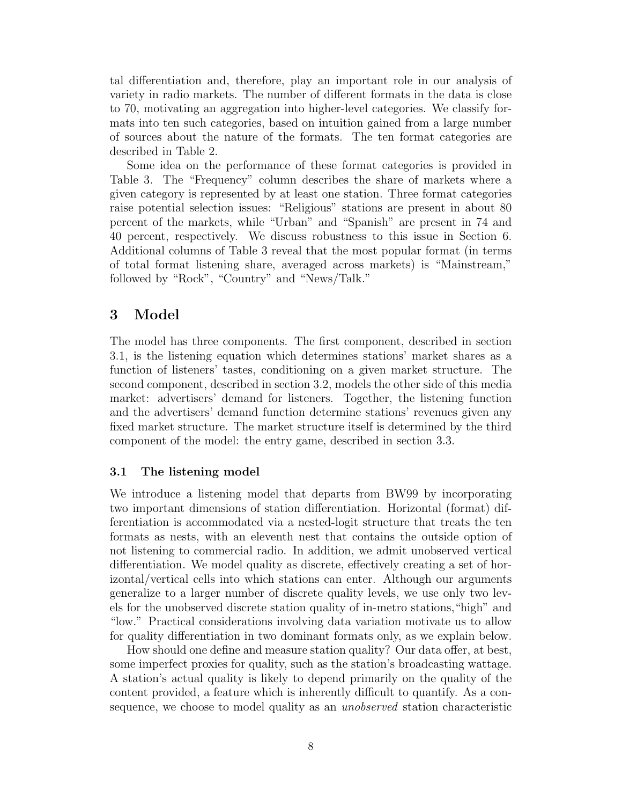tal differentiation and, therefore, play an important role in our analysis of variety in radio markets. The number of different formats in the data is close to 70, motivating an aggregation into higher-level categories. We classify formats into ten such categories, based on intuition gained from a large number of sources about the nature of the formats. The ten format categories are described in Table 2.

Some idea on the performance of these format categories is provided in Table 3. The "Frequency" column describes the share of markets where a given category is represented by at least one station. Three format categories raise potential selection issues: "Religious" stations are present in about 80 percent of the markets, while "Urban" and "Spanish" are present in 74 and 40 percent, respectively. We discuss robustness to this issue in Section 6. Additional columns of Table 3 reveal that the most popular format (in terms of total format listening share, averaged across markets) is "Mainstream," followed by "Rock", "Country" and "News/Talk."

# 3 Model

The model has three components. The first component, described in section 3.1, is the listening equation which determines stations' market shares as a function of listeners' tastes, conditioning on a given market structure. The second component, described in section 3.2, models the other side of this media market: advertisers' demand for listeners. Together, the listening function and the advertisers' demand function determine stations' revenues given any fixed market structure. The market structure itself is determined by the third component of the model: the entry game, described in section 3.3.

#### 3.1 The listening model

We introduce a listening model that departs from BW99 by incorporating two important dimensions of station differentiation. Horizontal (format) differentiation is accommodated via a nested-logit structure that treats the ten formats as nests, with an eleventh nest that contains the outside option of not listening to commercial radio. In addition, we admit unobserved vertical differentiation. We model quality as discrete, effectively creating a set of horizontal/vertical cells into which stations can enter. Although our arguments generalize to a larger number of discrete quality levels, we use only two levels for the unobserved discrete station quality of in-metro stations,"high" and "low." Practical considerations involving data variation motivate us to allow for quality differentiation in two dominant formats only, as we explain below.

How should one define and measure station quality? Our data offer, at best, some imperfect proxies for quality, such as the station's broadcasting wattage. A station's actual quality is likely to depend primarily on the quality of the content provided, a feature which is inherently difficult to quantify. As a consequence, we choose to model quality as an *unobserved* station characteristic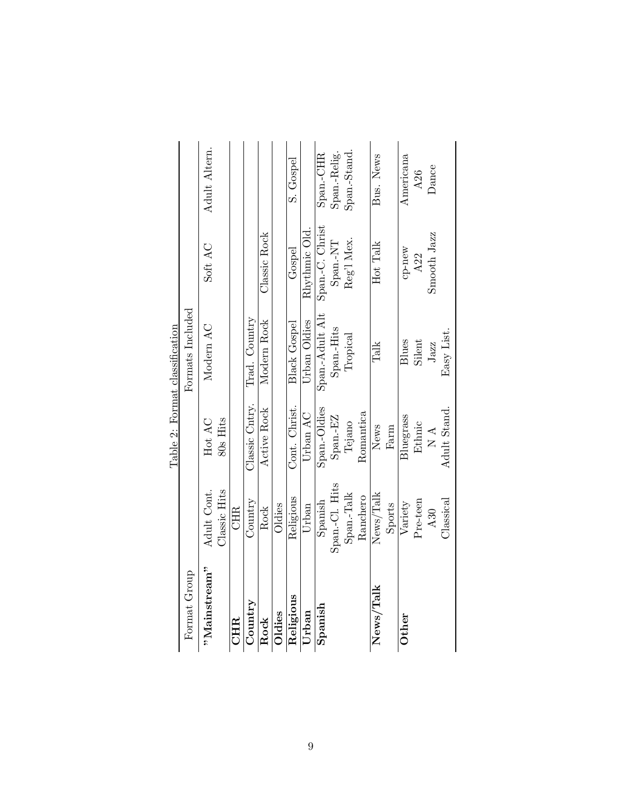|              |                |                           | Table 2: Format classification |                 |               |
|--------------|----------------|---------------------------|--------------------------------|-----------------|---------------|
| Format Group |                |                           | Formats Included               |                 |               |
| "Mainstream" | Adult Cont.    | Hot AC                    | Modern AC                      | Soft AC         | Adult Altern. |
|              | Classic Hits   | 80s Hits                  |                                |                 |               |
| <b>CHIR</b>  | <b>CHR</b>     |                           |                                |                 |               |
| Country      | Country        | Classic Cntry.            | Trad. Country                  |                 |               |
| Rock         | Rock           | Active Rock               | Modern Rock                    | Classic Rock    |               |
| Oldies       | Oldies         |                           |                                |                 |               |
| Religious    | Religious      | Cont. Christ.             | <b>Black Gospel</b>            | Gospel          | S. Gospel     |
| Urban        | Urban          | Urban AC                  | Urban Oldies                   | Rhythmic Old.   |               |
| Spanish      | Spanish        | Span.-Oldies              | Span.-Adult Alt                | Span.-C. Christ | Span.-CHR     |
|              | Span.-Cl. Hits | Span.-EZ                  | Span.-Hits                     | Span.-NT        | Span.-Relig.  |
|              | Span.-Talk     | Tejano                    | Tropical                       | Reg'l Mex.      | Span.-Stand.  |
|              | Ranchero       | Romantica                 |                                |                 |               |
| News/Talk    | News/Talk      | News                      | Talk                           | Hot Talk        | Bus. News     |
|              | Sports         | Farm                      |                                |                 |               |
| Other        | Variety        | Bluegrass                 | Blues                          |                 | Americana     |
|              | Pre-teen       | Ethnic                    | Silent                         | cp-new<br>$A22$ | A26           |
|              | A30            | $\mathbb{R}$ $\mathbb{R}$ | Jazz                           | Smooth Jazz     | Dance         |
|              | Classical      | Adult Stand.              | Easy List                      |                 |               |

|               |                             |                    | Table 2: Format classification |                  |
|---------------|-----------------------------|--------------------|--------------------------------|------------------|
| Format Group  |                             |                    | Formats Included               |                  |
| "Main stream" | Classic Hits<br>Adult Cont. | 80s Hits<br>Hot AC | Modern AC                      | Soft AC          |
| <b>CHR</b>    | CHR.                        |                    |                                |                  |
| Country       | Country                     | Classic Cntry.     | Trad. Country                  |                  |
| Rock          | Rock                        | Active Rock        | Modern Rock                    | Classic Rock     |
| Oldies        | Oldies                      |                    |                                |                  |
| Religious     | Religious                   | Cont. Christ.      | <b>Black Gospel</b>            | Gospel           |
| Urban         | Urban                       | Urban AC           | Urban Oldies                   | $R$ hythmic Olc  |
| Spanish       | Spanish                     | Span.-Oldies       | Span.-Adult Alt                | Span.-C. Chris   |
|               | Span.-Cl. Hits              | Span.-EZ           | Span.-Hits                     | Span.-NT         |
|               | Span.-Talk                  | Tejano             | Tropical                       | Reg'l Mex.       |
|               | Ranchero                    | Romantica          |                                |                  |
| News/Talk     | News/Talk                   | News               | Talk                           | Hot Talk         |
|               | Sports                      | Farm               |                                |                  |
| Other         | Variety                     | Bluegrass          | Blues                          | $cp-new$         |
|               | Pre-teen                    | <b>Ethnic</b>      | Silent                         | A <sub>2</sub> 2 |
|               | A30                         | $\mathbb{A}$       | Jazz                           | Smooth Jazz      |
|               | Classical                   | Adult Stand.       | Easy List.                     |                  |

9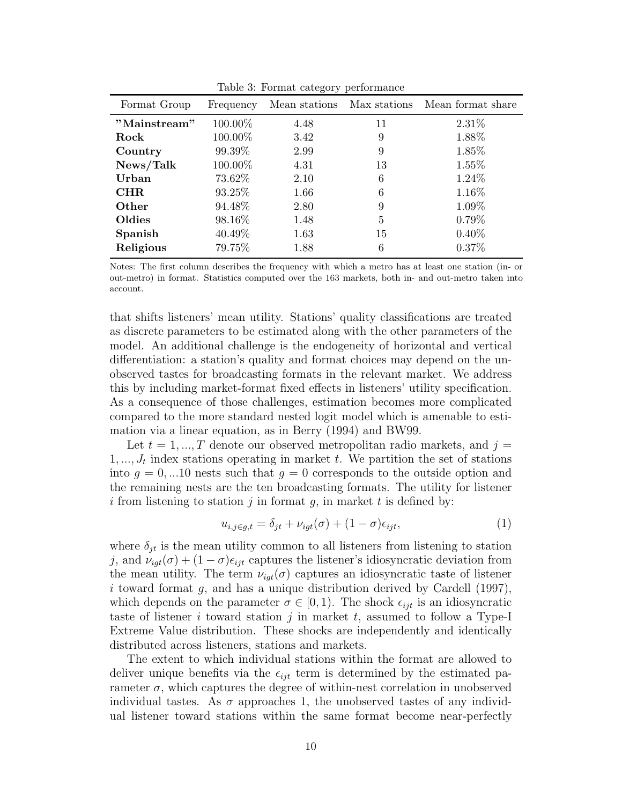| Format Group | Frequency | Mean stations |    | Max stations Mean format share |
|--------------|-----------|---------------|----|--------------------------------|
| "Mainstream" | 100.00%   | 4.48          | 11 | 2.31\%                         |
| Rock         | 100.00%   | 3.42          | 9  | 1.88%                          |
| Country      | 99.39%    | 2.99          | 9  | 1.85%                          |
| News/Talk    | 100.00%   | 4.31          | 13 | $1.55\%$                       |
| Urban        | 73.62%    | 2.10          | 6  | 1.24\%                         |
| $\rm CHR$    | 93.25%    | 1.66          | 6  | 1.16%                          |
| Other        | 94.48%    | 2.80          | 9  | 1.09%                          |
| Oldies       | 98.16%    | 1.48          | 5  | 0.79%                          |
| Spanish      | 40.49%    | 1.63          | 15 | $0.40\%$                       |
| Religious    | 79.75%    | 1.88          | 6  | $0.37\%$                       |

Table 3: Format category performance

Notes: The first column describes the frequency with which a metro has at least one station (in- or out-metro) in format. Statistics computed over the 163 markets, both in- and out-metro taken into account.

that shifts listeners' mean utility. Stations' quality classifications are treated as discrete parameters to be estimated along with the other parameters of the model. An additional challenge is the endogeneity of horizontal and vertical differentiation: a station's quality and format choices may depend on the unobserved tastes for broadcasting formats in the relevant market. We address this by including market-format fixed effects in listeners' utility specification. As a consequence of those challenges, estimation becomes more complicated compared to the more standard nested logit model which is amenable to estimation via a linear equation, as in Berry (1994) and BW99.

Let  $t = 1, ..., T$  denote our observed metropolitan radio markets, and  $j =$  $1, \ldots, J_t$  index stations operating in market t. We partition the set of stations into  $g = 0, ... 10$  nests such that  $g = 0$  corresponds to the outside option and the remaining nests are the ten broadcasting formats. The utility for listener i from listening to station j in format  $g$ , in market  $t$  is defined by:

$$
u_{i,j \in g,t} = \delta_{jt} + \nu_{igt}(\sigma) + (1 - \sigma)\epsilon_{ijt},\tag{1}
$$

where  $\delta_{jt}$  is the mean utility common to all listeners from listening to station j, and  $\nu_{iqt}(\sigma) + (1 - \sigma)\epsilon_{ijt}$  captures the listener's idiosyncratic deviation from the mean utility. The term  $\nu_{igt}(\sigma)$  captures an idiosyncratic taste of listener i toward format g, and has a unique distribution derived by Cardell (1997), which depends on the parameter  $\sigma \in [0, 1)$ . The shock  $\epsilon_{ijt}$  is an idiosyncratic taste of listener i toward station j in market t, assumed to follow a Type-I Extreme Value distribution. These shocks are independently and identically distributed across listeners, stations and markets.

The extent to which individual stations within the format are allowed to deliver unique benefits via the  $\epsilon_{ijt}$  term is determined by the estimated parameter  $\sigma$ , which captures the degree of within-nest correlation in unobserved individual tastes. As  $\sigma$  approaches 1, the unobserved tastes of any individual listener toward stations within the same format become near-perfectly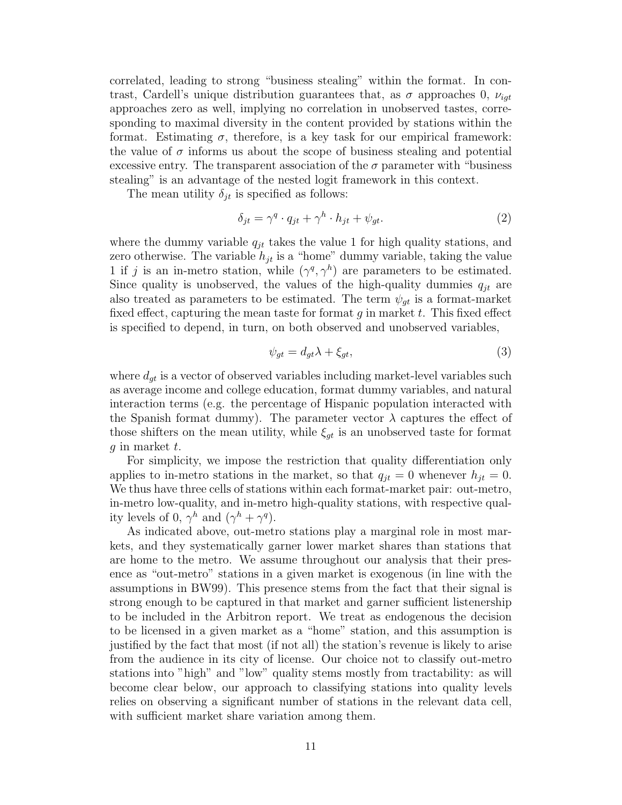correlated, leading to strong "business stealing" within the format. In contrast, Cardell's unique distribution guarantees that, as  $\sigma$  approaches 0,  $\nu_{iqt}$ approaches zero as well, implying no correlation in unobserved tastes, corresponding to maximal diversity in the content provided by stations within the format. Estimating  $\sigma$ , therefore, is a key task for our empirical framework: the value of  $\sigma$  informs us about the scope of business stealing and potential excessive entry. The transparent association of the  $\sigma$  parameter with "business" stealing" is an advantage of the nested logit framework in this context.

The mean utility  $\delta_{it}$  is specified as follows:

$$
\delta_{jt} = \gamma^q \cdot q_{jt} + \gamma^h \cdot h_{jt} + \psi_{gt}.
$$
\n(2)

where the dummy variable  $q_{it}$  takes the value 1 for high quality stations, and zero otherwise. The variable  $h_{it}$  is a "home" dummy variable, taking the value 1 if j is an in-metro station, while  $(\gamma^q, \gamma^h)$  are parameters to be estimated. Since quality is unobserved, the values of the high-quality dummies  $q_{it}$  are also treated as parameters to be estimated. The term  $\psi_{gt}$  is a format-market fixed effect, capturing the mean taste for format g in market t. This fixed effect is specified to depend, in turn, on both observed and unobserved variables,

$$
\psi_{gt} = d_{gt}\lambda + \xi_{gt},\tag{3}
$$

where  $d_{qt}$  is a vector of observed variables including market-level variables such as average income and college education, format dummy variables, and natural interaction terms (e.g. the percentage of Hispanic population interacted with the Spanish format dummy). The parameter vector  $\lambda$  captures the effect of those shifters on the mean utility, while  $\xi_{gt}$  is an unobserved taste for format g in market  $t$ .

For simplicity, we impose the restriction that quality differentiation only applies to in-metro stations in the market, so that  $q_{it} = 0$  whenever  $h_{it} = 0$ . We thus have three cells of stations within each format-market pair: out-metro, in-metro low-quality, and in-metro high-quality stations, with respective quality levels of 0,  $\gamma^h$  and  $(\gamma^h + \gamma^q)$ .

As indicated above, out-metro stations play a marginal role in most markets, and they systematically garner lower market shares than stations that are home to the metro. We assume throughout our analysis that their presence as "out-metro" stations in a given market is exogenous (in line with the assumptions in BW99). This presence stems from the fact that their signal is strong enough to be captured in that market and garner sufficient listenership to be included in the Arbitron report. We treat as endogenous the decision to be licensed in a given market as a "home" station, and this assumption is justified by the fact that most (if not all) the station's revenue is likely to arise from the audience in its city of license. Our choice not to classify out-metro stations into "high" and "low" quality stems mostly from tractability: as will become clear below, our approach to classifying stations into quality levels relies on observing a significant number of stations in the relevant data cell, with sufficient market share variation among them.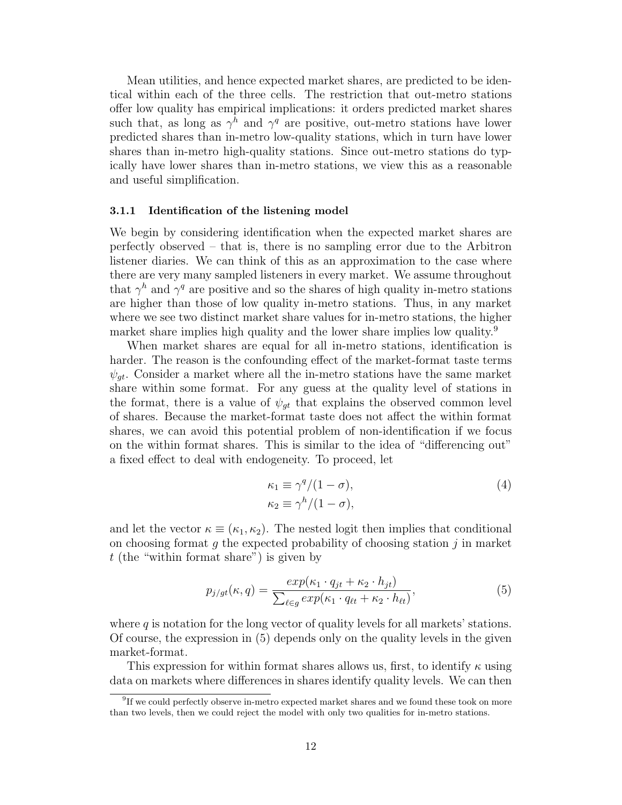Mean utilities, and hence expected market shares, are predicted to be identical within each of the three cells. The restriction that out-metro stations offer low quality has empirical implications: it orders predicted market shares such that, as long as  $\gamma^h$  and  $\gamma^q$  are positive, out-metro stations have lower predicted shares than in-metro low-quality stations, which in turn have lower shares than in-metro high-quality stations. Since out-metro stations do typically have lower shares than in-metro stations, we view this as a reasonable and useful simplification.

#### 3.1.1 Identification of the listening model

We begin by considering identification when the expected market shares are perfectly observed – that is, there is no sampling error due to the Arbitron listener diaries. We can think of this as an approximation to the case where there are very many sampled listeners in every market. We assume throughout that  $\gamma^h$  and  $\gamma^q$  are positive and so the shares of high quality in-metro stations are higher than those of low quality in-metro stations. Thus, in any market where we see two distinct market share values for in-metro stations, the higher market share implies high quality and the lower share implies low quality.<sup>9</sup>

When market shares are equal for all in-metro stations, identification is harder. The reason is the confounding effect of the market-format taste terms  $\psi_{at}$ . Consider a market where all the in-metro stations have the same market share within some format. For any guess at the quality level of stations in the format, there is a value of  $\psi_{qt}$  that explains the observed common level of shares. Because the market-format taste does not affect the within format shares, we can avoid this potential problem of non-identification if we focus on the within format shares. This is similar to the idea of "differencing out" a fixed effect to deal with endogeneity. To proceed, let

$$
\begin{aligned} \kappa_1 &\equiv \gamma^q / (1 - \sigma), \\ \kappa_2 &\equiv \gamma^h / (1 - \sigma), \end{aligned} \tag{4}
$$

and let the vector  $\kappa \equiv (\kappa_1, \kappa_2)$ . The nested logit then implies that conditional on choosing format q the expected probability of choosing station  $\hat{\jmath}$  in market t (the "within format share") is given by

$$
p_{j/gt}(\kappa, q) = \frac{exp(\kappa_1 \cdot q_{jt} + \kappa_2 \cdot h_{jt})}{\sum_{\ell \in g} exp(\kappa_1 \cdot q_{\ell t} + \kappa_2 \cdot h_{\ell t})},
$$
(5)

where  $q$  is notation for the long vector of quality levels for all markets' stations. Of course, the expression in (5) depends only on the quality levels in the given market-format.

This expression for within format shares allows us, first, to identify  $\kappa$  using data on markets where differences in shares identify quality levels. We can then

<sup>&</sup>lt;sup>9</sup>If we could perfectly observe in-metro expected market shares and we found these took on more than two levels, then we could reject the model with only two qualities for in-metro stations.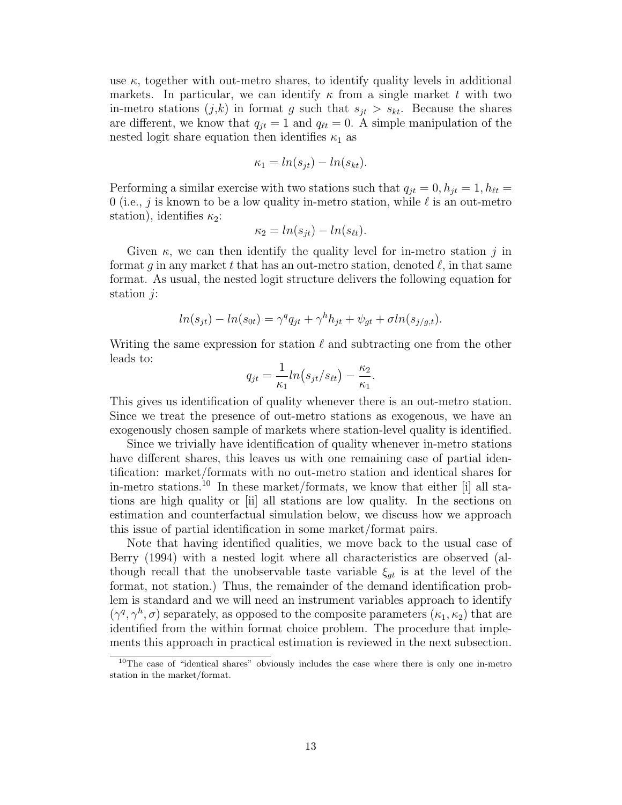use  $\kappa$ , together with out-metro shares, to identify quality levels in additional markets. In particular, we can identify  $\kappa$  from a single market t with two in-metro stations  $(j,k)$  in format g such that  $s_{jt} > s_{kt}$ . Because the shares are different, we know that  $q_{it} = 1$  and  $q_{tt} = 0$ . A simple manipulation of the nested logit share equation then identifies  $\kappa_1$  as

$$
\kappa_1 = \ln(s_{jt}) - \ln(s_{kt}).
$$

Performing a similar exercise with two stations such that  $q_{it} = 0, h_{it} = 1, h_{\ell t} =$ 0 (i.e., j is known to be a low quality in-metro station, while  $\ell$  is an out-metro station), identifies  $\kappa_2$ :

$$
\kappa_2 = \ln(s_{jt}) - \ln(s_{\ell t}).
$$

Given  $\kappa$ , we can then identify the quality level for in-metro station j in format g in any market t that has an out-metro station, denoted  $\ell$ , in that same format. As usual, the nested logit structure delivers the following equation for station  $j$ :

$$
ln(s_{jt}) - ln(s_{0t}) = \gamma^q q_{jt} + \gamma^h h_{jt} + \psi_{gt} + \sigma ln(s_{j/g,t}).
$$

Writing the same expression for station  $\ell$  and subtracting one from the other leads to:

$$
q_{jt} = \frac{1}{\kappa_1} ln(s_{jt}/s_{\ell t}) - \frac{\kappa_2}{\kappa_1}.
$$

This gives us identification of quality whenever there is an out-metro station. Since we treat the presence of out-metro stations as exogenous, we have an exogenously chosen sample of markets where station-level quality is identified.

Since we trivially have identification of quality whenever in-metro stations have different shares, this leaves us with one remaining case of partial identification: market/formats with no out-metro station and identical shares for in-metro stations.<sup>10</sup> In these market/formats, we know that either [i] all stations are high quality or [ii] all stations are low quality. In the sections on estimation and counterfactual simulation below, we discuss how we approach this issue of partial identification in some market/format pairs.

Note that having identified qualities, we move back to the usual case of Berry (1994) with a nested logit where all characteristics are observed (although recall that the unobservable taste variable  $\xi_{gt}$  is at the level of the format, not station.) Thus, the remainder of the demand identification problem is standard and we will need an instrument variables approach to identify  $(\gamma^q, \gamma^h, \sigma)$  separately, as opposed to the composite parameters  $(\kappa_1, \kappa_2)$  that are identified from the within format choice problem. The procedure that implements this approach in practical estimation is reviewed in the next subsection.

<sup>&</sup>lt;sup>10</sup>The case of "identical shares" obviously includes the case where there is only one in-metro station in the market/format.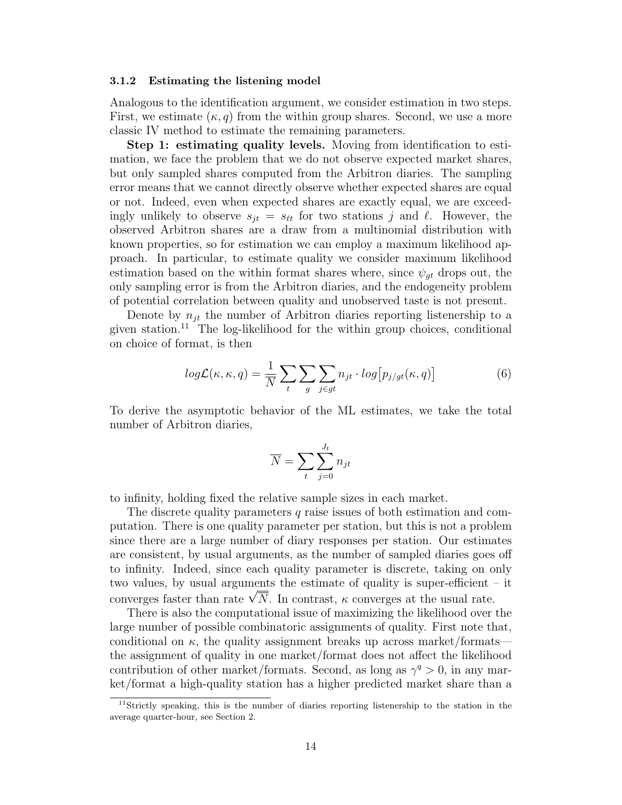#### 3.1.2 Estimating the listening model

Analogous to the identification argument, we consider estimation in two steps. First, we estimate  $(\kappa, q)$  from the within group shares. Second, we use a more classic IV method to estimate the remaining parameters.

Step 1: estimating quality levels. Moving from identification to estimation, we face the problem that we do not observe expected market shares, but only sampled shares computed from the Arbitron diaries. The sampling error means that we cannot directly observe whether expected shares are equal or not. Indeed, even when expected shares are exactly equal, we are exceedingly unlikely to observe  $s_{jt} = s_{\ell t}$  for two stations j and  $\ell$ . However, the observed Arbitron shares are a draw from a multinomial distribution with known properties, so for estimation we can employ a maximum likelihood approach. In particular, to estimate quality we consider maximum likelihood estimation based on the within format shares where, since  $\psi_{qt}$  drops out, the only sampling error is from the Arbitron diaries, and the endogeneity problem of potential correlation between quality and unobserved taste is not present.

Denote by  $n_{it}$  the number of Arbitron diaries reporting listenership to a given station.<sup>11</sup> The log-likelihood for the within group choices, conditional on choice of format, is then

$$
log\mathcal{L}(\kappa, \kappa, q) = \frac{1}{N} \sum_{t} \sum_{g} \sum_{j \in gt} n_{jt} \cdot log[p_{j/gt}(\kappa, q)] \tag{6}
$$

To derive the asymptotic behavior of the ML estimates, we take the total number of Arbitron diaries,

$$
\overline{N} = \sum_{t} \sum_{j=0}^{J_t} n_{jt}
$$

to infinity, holding fixed the relative sample sizes in each market.

The discrete quality parameters q raise issues of both estimation and computation. There is one quality parameter per station, but this is not a problem since there are a large number of diary responses per station. Our estimates are consistent, by usual arguments, as the number of sampled diaries goes off to infinity. Indeed, since each quality parameter is discrete, taking on only two values, by usual arguments the estimate of quality is super-efficient – it two values, by usual arguments the estimate of quality is super-efficient -<br>converges faster than rate  $\sqrt{\overline{N}}$ . In contrast,  $\kappa$  converges at the usual rate.

There is also the computational issue of maximizing the likelihood over the large number of possible combinatoric assignments of quality. First note that, conditional on  $\kappa$ , the quality assignment breaks up across market/formatsthe assignment of quality in one market/format does not affect the likelihood contribution of other market/formats. Second, as long as  $\gamma^q > 0$ , in any market/format a high-quality station has a higher predicted market share than a

<sup>&</sup>lt;sup>11</sup>Strictly speaking, this is the number of diaries reporting listenership to the station in the average quarter-hour, see Section 2.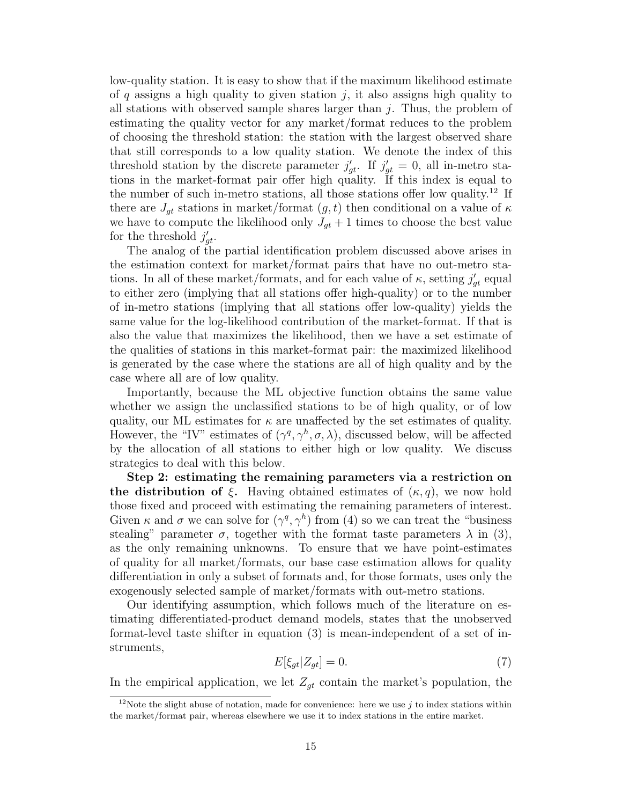low-quality station. It is easy to show that if the maximum likelihood estimate of  $q$  assigns a high quality to given station  $j$ , it also assigns high quality to all stations with observed sample shares larger than  $j$ . Thus, the problem of estimating the quality vector for any market/format reduces to the problem of choosing the threshold station: the station with the largest observed share that still corresponds to a low quality station. We denote the index of this threshold station by the discrete parameter  $j'_{gt}$ . If  $j'_{gt} = 0$ , all in-metro stations in the market-format pair offer high quality. If this index is equal to the number of such in-metro stations, all those stations offer low quality.<sup>12</sup> If there are  $J_{qt}$  stations in market/format  $(g, t)$  then conditional on a value of  $\kappa$ we have to compute the likelihood only  $J_{gt} + 1$  times to choose the best value for the threshold  $j'_{gt}$ .

The analog of the partial identification problem discussed above arises in the estimation context for market/format pairs that have no out-metro stations. In all of these market/formats, and for each value of  $\kappa$ , setting  $j'_{gt}$  equal to either zero (implying that all stations offer high-quality) or to the number of in-metro stations (implying that all stations offer low-quality) yields the same value for the log-likelihood contribution of the market-format. If that is also the value that maximizes the likelihood, then we have a set estimate of the qualities of stations in this market-format pair: the maximized likelihood is generated by the case where the stations are all of high quality and by the case where all are of low quality.

Importantly, because the ML objective function obtains the same value whether we assign the unclassified stations to be of high quality, or of low quality, our ML estimates for  $\kappa$  are unaffected by the set estimates of quality. However, the "IV" estimates of  $(\gamma^q, \gamma^h, \sigma, \lambda)$ , discussed below, will be affected by the allocation of all stations to either high or low quality. We discuss strategies to deal with this below.

Step 2: estimating the remaining parameters via a restriction on the distribution of  $\xi$ . Having obtained estimates of  $(\kappa, q)$ , we now hold those fixed and proceed with estimating the remaining parameters of interest. Given  $\kappa$  and  $\sigma$  we can solve for  $(\gamma^q, \gamma^h)$  from (4) so we can treat the "business stealing" parameter  $\sigma$ , together with the format taste parameters  $\lambda$  in (3), as the only remaining unknowns. To ensure that we have point-estimates of quality for all market/formats, our base case estimation allows for quality differentiation in only a subset of formats and, for those formats, uses only the exogenously selected sample of market/formats with out-metro stations.

Our identifying assumption, which follows much of the literature on estimating differentiated-product demand models, states that the unobserved format-level taste shifter in equation (3) is mean-independent of a set of instruments,

$$
E[\xi_{gt}|Z_{gt}] = 0.\t\t(7)
$$

In the empirical application, we let  $Z_{gt}$  contain the market's population, the

<sup>&</sup>lt;sup>12</sup>Note the slight abuse of notation, made for convenience: here we use j to index stations within the market/format pair, whereas elsewhere we use it to index stations in the entire market.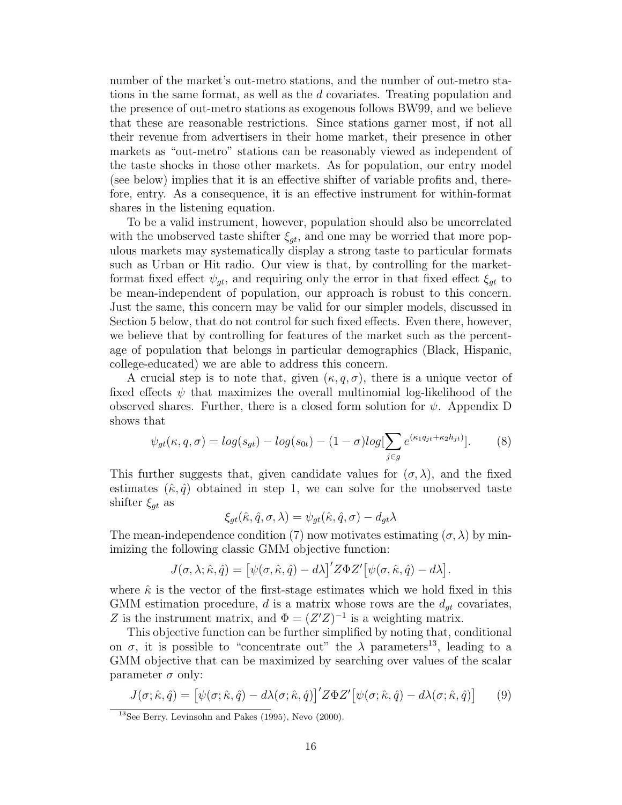number of the market's out-metro stations, and the number of out-metro stations in the same format, as well as the d covariates. Treating population and the presence of out-metro stations as exogenous follows BW99, and we believe that these are reasonable restrictions. Since stations garner most, if not all their revenue from advertisers in their home market, their presence in other markets as "out-metro" stations can be reasonably viewed as independent of the taste shocks in those other markets. As for population, our entry model (see below) implies that it is an effective shifter of variable profits and, therefore, entry. As a consequence, it is an effective instrument for within-format shares in the listening equation.

To be a valid instrument, however, population should also be uncorrelated with the unobserved taste shifter  $\xi_{gt}$ , and one may be worried that more populous markets may systematically display a strong taste to particular formats such as Urban or Hit radio. Our view is that, by controlling for the marketformat fixed effect  $\psi_{gt}$ , and requiring only the error in that fixed effect  $\xi_{gt}$  to be mean-independent of population, our approach is robust to this concern. Just the same, this concern may be valid for our simpler models, discussed in Section 5 below, that do not control for such fixed effects. Even there, however, we believe that by controlling for features of the market such as the percentage of population that belongs in particular demographics (Black, Hispanic, college-educated) we are able to address this concern.

A crucial step is to note that, given  $(\kappa, q, \sigma)$ , there is a unique vector of fixed effects  $\psi$  that maximizes the overall multinomial log-likelihood of the observed shares. Further, there is a closed form solution for  $\psi$ . Appendix D shows that

$$
\psi_{gt}(\kappa, q, \sigma) = \log(s_{gt}) - \log(s_{0t}) - (1 - \sigma) \log[\sum_{j \in g} e^{(\kappa_1 q_{jt} + \kappa_2 h_{jt})}].
$$
 (8)

This further suggests that, given candidate values for  $(\sigma, \lambda)$ , and the fixed estimates  $(\hat{\kappa}, \hat{q})$  obtained in step 1, we can solve for the unobserved taste shifter  $\xi_{qt}$  as

$$
\xi_{gt}(\hat{\kappa}, \hat{q}, \sigma, \lambda) = \psi_{gt}(\hat{\kappa}, \hat{q}, \sigma) - d_{gt}\lambda
$$

The mean-independence condition (7) now motivates estimating  $(\sigma, \lambda)$  by minimizing the following classic GMM objective function:

$$
J(\sigma,\lambda;\hat{\kappa},\hat{q})=\big[\psi(\sigma,\hat{\kappa},\hat{q})-d\lambda\big]^\prime Z\Phi Z^\prime\big[\psi(\sigma,\hat{\kappa},\hat{q})-d\lambda\big].
$$

where  $\hat{\kappa}$  is the vector of the first-stage estimates which we hold fixed in this GMM estimation procedure,  $d$  is a matrix whose rows are the  $d_{gt}$  covariates, Z is the instrument matrix, and  $\Phi = (Z'Z)^{-1}$  is a weighting matrix.

This objective function can be further simplified by noting that, conditional on  $\sigma$ , it is possible to "concentrate out" the  $\lambda$  parameters<sup>13</sup>, leading to a GMM objective that can be maximized by searching over values of the scalar parameter  $\sigma$  only:

$$
J(\sigma; \hat{\kappa}, \hat{q}) = \left[ \psi(\sigma; \hat{\kappa}, \hat{q}) - d\lambda(\sigma; \hat{\kappa}, \hat{q}) \right]' Z \Phi Z' \left[ \psi(\sigma; \hat{\kappa}, \hat{q}) - d\lambda(\sigma; \hat{\kappa}, \hat{q}) \right]
$$
(9)

 $13$ See Berry, Levinsohn and Pakes (1995), Nevo (2000).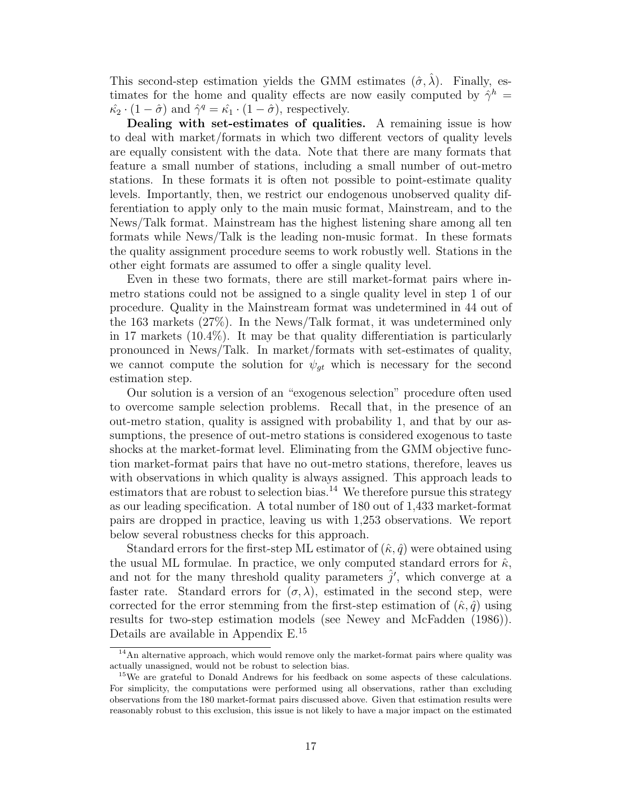This second-step estimation yields the GMM estimates  $(\hat{\sigma}, \hat{\lambda})$ . Finally, estimates for the home and quality effects are now easily computed by  $\hat{\gamma}^h$  =  $\hat{\kappa}_2 \cdot (1 - \hat{\sigma})$  and  $\hat{\gamma}^q = \hat{\kappa}_1 \cdot (1 - \hat{\sigma})$ , respectively.

Dealing with set-estimates of qualities. A remaining issue is how to deal with market/formats in which two different vectors of quality levels are equally consistent with the data. Note that there are many formats that feature a small number of stations, including a small number of out-metro stations. In these formats it is often not possible to point-estimate quality levels. Importantly, then, we restrict our endogenous unobserved quality differentiation to apply only to the main music format, Mainstream, and to the News/Talk format. Mainstream has the highest listening share among all ten formats while News/Talk is the leading non-music format. In these formats the quality assignment procedure seems to work robustly well. Stations in the other eight formats are assumed to offer a single quality level.

Even in these two formats, there are still market-format pairs where inmetro stations could not be assigned to a single quality level in step 1 of our procedure. Quality in the Mainstream format was undetermined in 44 out of the 163 markets (27%). In the News/Talk format, it was undetermined only in 17 markets (10.4%). It may be that quality differentiation is particularly pronounced in News/Talk. In market/formats with set-estimates of quality, we cannot compute the solution for  $\psi_{gt}$  which is necessary for the second estimation step.

Our solution is a version of an "exogenous selection" procedure often used to overcome sample selection problems. Recall that, in the presence of an out-metro station, quality is assigned with probability 1, and that by our assumptions, the presence of out-metro stations is considered exogenous to taste shocks at the market-format level. Eliminating from the GMM objective function market-format pairs that have no out-metro stations, therefore, leaves us with observations in which quality is always assigned. This approach leads to estimators that are robust to selection bias.<sup>14</sup> We therefore pursue this strategy as our leading specification. A total number of 180 out of 1,433 market-format pairs are dropped in practice, leaving us with 1,253 observations. We report below several robustness checks for this approach.

Standard errors for the first-step ML estimator of  $(\hat{\kappa}, \hat{q})$  were obtained using the usual ML formulae. In practice, we only computed standard errors for  $\hat{\kappa}$ , and not for the many threshold quality parameters  $\hat{j}'$ , which converge at a faster rate. Standard errors for  $(\sigma, \lambda)$ , estimated in the second step, were corrected for the error stemming from the first-step estimation of  $(\hat{\kappa}, \hat{q})$  using results for two-step estimation models (see Newey and McFadden (1986)). Details are available in Appendix E.<sup>15</sup>

<sup>&</sup>lt;sup>14</sup>An alternative approach, which would remove only the market-format pairs where quality was actually unassigned, would not be robust to selection bias.

<sup>&</sup>lt;sup>15</sup>We are grateful to Donald Andrews for his feedback on some aspects of these calculations. For simplicity, the computations were performed using all observations, rather than excluding observations from the 180 market-format pairs discussed above. Given that estimation results were reasonably robust to this exclusion, this issue is not likely to have a major impact on the estimated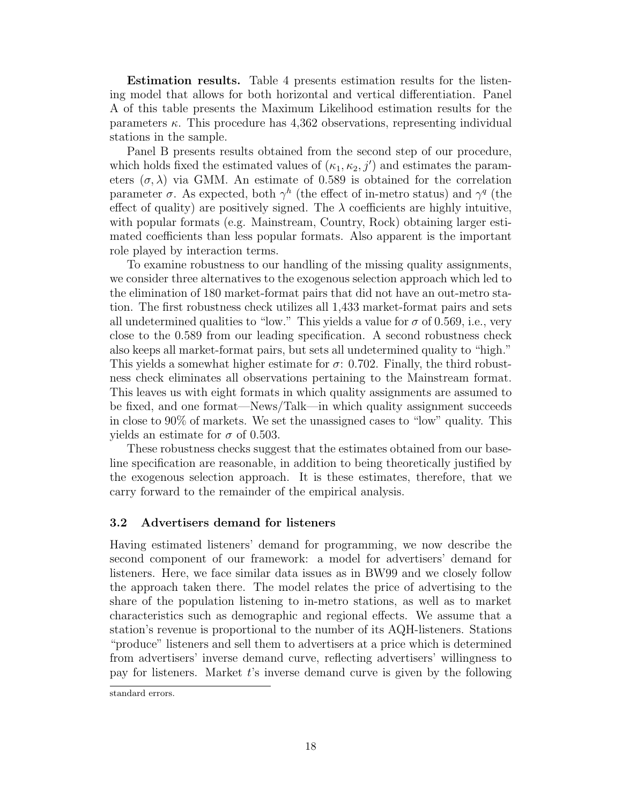Estimation results. Table 4 presents estimation results for the listening model that allows for both horizontal and vertical differentiation. Panel A of this table presents the Maximum Likelihood estimation results for the parameters  $\kappa$ . This procedure has 4,362 observations, representing individual stations in the sample.

Panel B presents results obtained from the second step of our procedure, which holds fixed the estimated values of  $(\kappa_1, \kappa_2, j')$  and estimates the parameters  $(\sigma, \lambda)$  via GMM. An estimate of 0.589 is obtained for the correlation parameter  $\sigma$ . As expected, both  $\gamma^h$  (the effect of in-metro status) and  $\gamma^q$  (the effect of quality) are positively signed. The  $\lambda$  coefficients are highly intuitive, with popular formats (e.g. Mainstream, Country, Rock) obtaining larger estimated coefficients than less popular formats. Also apparent is the important role played by interaction terms.

To examine robustness to our handling of the missing quality assignments, we consider three alternatives to the exogenous selection approach which led to the elimination of 180 market-format pairs that did not have an out-metro station. The first robustness check utilizes all 1,433 market-format pairs and sets all undetermined qualities to "low." This yields a value for  $\sigma$  of 0.569, i.e., very close to the 0.589 from our leading specification. A second robustness check also keeps all market-format pairs, but sets all undetermined quality to "high." This yields a somewhat higher estimate for  $\sigma$ : 0.702. Finally, the third robustness check eliminates all observations pertaining to the Mainstream format. This leaves us with eight formats in which quality assignments are assumed to be fixed, and one format—News/Talk—in which quality assignment succeeds in close to 90% of markets. We set the unassigned cases to "low" quality. This yields an estimate for  $\sigma$  of 0.503.

These robustness checks suggest that the estimates obtained from our baseline specification are reasonable, in addition to being theoretically justified by the exogenous selection approach. It is these estimates, therefore, that we carry forward to the remainder of the empirical analysis.

#### 3.2 Advertisers demand for listeners

Having estimated listeners' demand for programming, we now describe the second component of our framework: a model for advertisers' demand for listeners. Here, we face similar data issues as in BW99 and we closely follow the approach taken there. The model relates the price of advertising to the share of the population listening to in-metro stations, as well as to market characteristics such as demographic and regional effects. We assume that a station's revenue is proportional to the number of its AQH-listeners. Stations "produce" listeners and sell them to advertisers at a price which is determined from advertisers' inverse demand curve, reflecting advertisers' willingness to pay for listeners. Market t's inverse demand curve is given by the following

standard errors.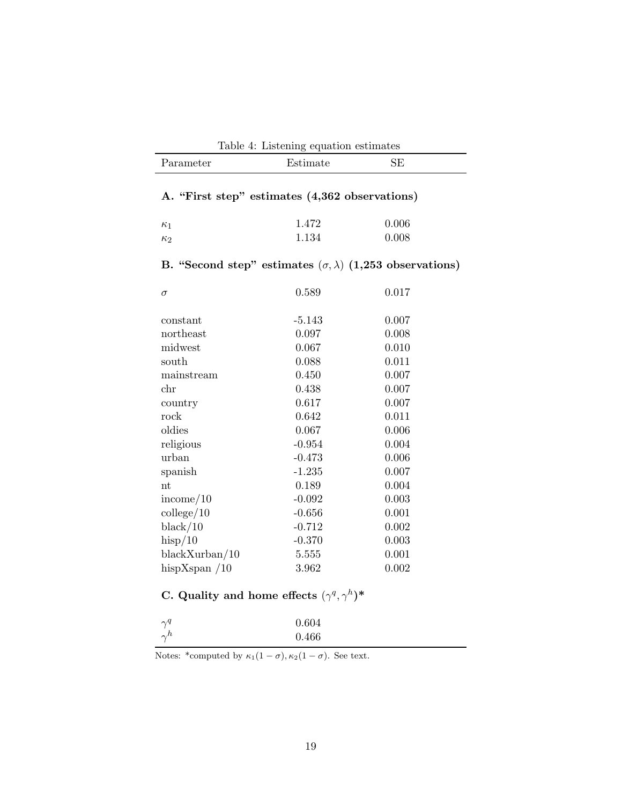| Table 4: Listening equation estimates                               |          |           |  |  |  |  |
|---------------------------------------------------------------------|----------|-----------|--|--|--|--|
| Parameter                                                           | Estimate | <b>SE</b> |  |  |  |  |
| A. "First step" estimates (4,362 observations)                      |          |           |  |  |  |  |
|                                                                     |          |           |  |  |  |  |
| $\kappa_1$                                                          | 1.472    | 0.006     |  |  |  |  |
| $\kappa_2$                                                          | 1.134    | 0.008     |  |  |  |  |
| B. "Second step" estimates $(\sigma, \lambda)$ (1,253 observations) |          |           |  |  |  |  |
| $\sigma$                                                            | 0.589    | 0.017     |  |  |  |  |
| constant                                                            | $-5.143$ | 0.007     |  |  |  |  |
| northeast                                                           | 0.097    | 0.008     |  |  |  |  |
| midwest                                                             | 0.067    | 0.010     |  |  |  |  |
| south                                                               | 0.088    | 0.011     |  |  |  |  |
| mainstream                                                          | 0.450    | 0.007     |  |  |  |  |
| chr                                                                 | 0.438    | 0.007     |  |  |  |  |
| country                                                             | 0.617    | 0.007     |  |  |  |  |
| rock                                                                | 0.642    | 0.011     |  |  |  |  |
| oldies                                                              | 0.067    | 0.006     |  |  |  |  |
| religious                                                           | $-0.954$ | 0.004     |  |  |  |  |
| urban                                                               | $-0.473$ | 0.006     |  |  |  |  |
| spanish                                                             | $-1.235$ | 0.007     |  |  |  |  |
| $_{\rm nt}$                                                         | 0.189    | 0.004     |  |  |  |  |
| income/10                                                           | $-0.092$ | 0.003     |  |  |  |  |
| $\text{college}/10$                                                 | $-0.656$ | 0.001     |  |  |  |  |
| black/10                                                            | $-0.712$ | 0.002     |  |  |  |  |
| hisp/10                                                             | $-0.370$ | 0.003     |  |  |  |  |
| $blackX$ urban/10                                                   | 5.555    | 0.001     |  |  |  |  |
| hispXspan $/10$                                                     | 3.962    | 0.002     |  |  |  |  |

# C. Quality and home effects  $(\gamma^q, \gamma^h)^*$

| $\gamma^q$ | 0.604 |
|------------|-------|
| $\gamma^h$ | 0.466 |

Notes: \*computed by  $\kappa_1(1-\sigma), \kappa_2(1-\sigma)$ . See text.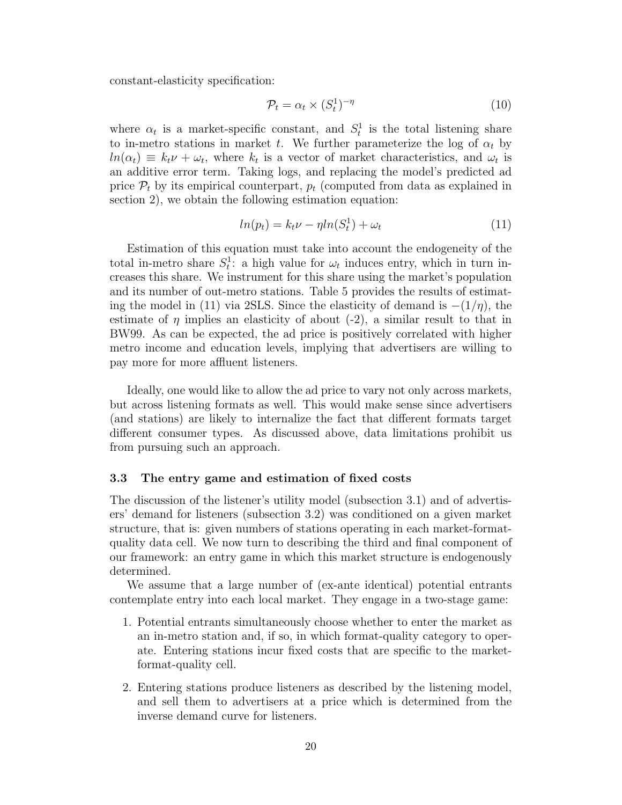constant-elasticity specification:

$$
\mathcal{P}_t = \alpha_t \times (S_t^1)^{-\eta} \tag{10}
$$

where  $\alpha_t$  is a market-specific constant, and  $S_t^1$  is the total listening share to in-metro stations in market t. We further parameterize the log of  $\alpha_t$  by  $ln(\alpha_t) \equiv k_t \nu + \omega_t$ , where  $k_t$  is a vector of market characteristics, and  $\omega_t$  is an additive error term. Taking logs, and replacing the model's predicted ad price  $P_t$  by its empirical counterpart,  $p_t$  (computed from data as explained in section 2), we obtain the following estimation equation:

$$
ln(p_t) = k_t \nu - \eta ln(S_t^1) + \omega_t \tag{11}
$$

Estimation of this equation must take into account the endogeneity of the total in-metro share  $S_t^1$ : a high value for  $\omega_t$  induces entry, which in turn increases this share. We instrument for this share using the market's population and its number of out-metro stations. Table 5 provides the results of estimating the model in (11) via 2SLS. Since the elasticity of demand is  $-(1/\eta)$ , the estimate of  $\eta$  implies an elasticity of about (-2), a similar result to that in BW99. As can be expected, the ad price is positively correlated with higher metro income and education levels, implying that advertisers are willing to pay more for more affluent listeners.

Ideally, one would like to allow the ad price to vary not only across markets, but across listening formats as well. This would make sense since advertisers (and stations) are likely to internalize the fact that different formats target different consumer types. As discussed above, data limitations prohibit us from pursuing such an approach.

#### 3.3 The entry game and estimation of fixed costs

The discussion of the listener's utility model (subsection 3.1) and of advertisers' demand for listeners (subsection 3.2) was conditioned on a given market structure, that is: given numbers of stations operating in each market-formatquality data cell. We now turn to describing the third and final component of our framework: an entry game in which this market structure is endogenously determined.

We assume that a large number of (ex-ante identical) potential entrants contemplate entry into each local market. They engage in a two-stage game:

- 1. Potential entrants simultaneously choose whether to enter the market as an in-metro station and, if so, in which format-quality category to operate. Entering stations incur fixed costs that are specific to the marketformat-quality cell.
- 2. Entering stations produce listeners as described by the listening model, and sell them to advertisers at a price which is determined from the inverse demand curve for listeners.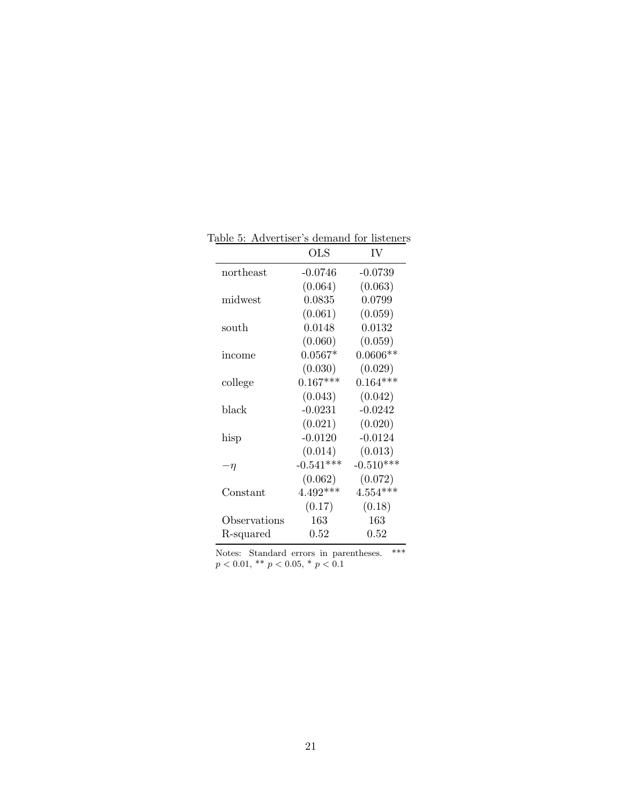|                   | <b>OLS</b>  | IV          |
|-------------------|-------------|-------------|
| northeast         | -0.0746     | $-0.0739$   |
|                   | (0.064)     | (0.063)     |
| midwest           | 0.0835      | 0.0799      |
|                   | (0.061)     | (0.059)     |
| south             | 0.0148      | 0.0132      |
|                   | (0.060)     | (0.059)     |
| income            | $0.0567*$   | $0.0606**$  |
|                   | (0.030)     | (0.029)     |
| college           | $0.167***$  | $0.164***$  |
|                   | (0.043)     | (0.042)     |
| black             | $-0.0231$   | $-0.0242$   |
|                   | (0.021)     | (0.020)     |
| hisp              | $-0.0120$   | $-0.0124$   |
|                   | (0.014)     | (0.013)     |
| -η                | $-0.541***$ | $-0.510***$ |
|                   | (0.062)     | (0.072)     |
| $\text{Constant}$ | $4.492***$  | $4.554***$  |
|                   | (0.17)      | (0.18)      |
| Observations      | 163         | 163         |
| R-squared         | 0.52        | 0.52        |

Table 5: Advertiser's demand for listeners

Notes: Standard errors in parentheses. \*\*\*  $p < 0.01,$  \*\*  $p < 0.05,$  \*  $p < 0.1$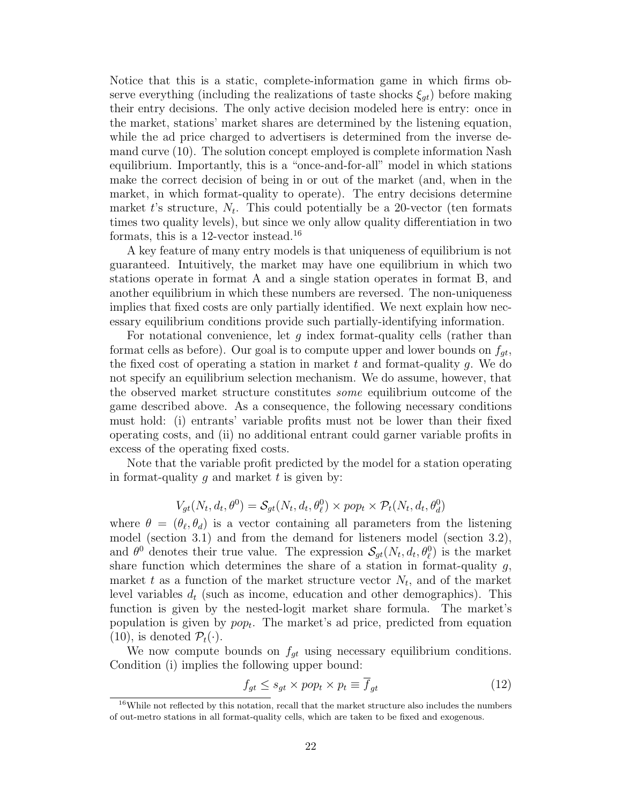Notice that this is a static, complete-information game in which firms observe everything (including the realizations of taste shocks  $\xi_{qt}$ ) before making their entry decisions. The only active decision modeled here is entry: once in the market, stations' market shares are determined by the listening equation, while the ad price charged to advertisers is determined from the inverse demand curve (10). The solution concept employed is complete information Nash equilibrium. Importantly, this is a "once-and-for-all" model in which stations make the correct decision of being in or out of the market (and, when in the market, in which format-quality to operate). The entry decisions determine market t's structure,  $N_t$ . This could potentially be a 20-vector (ten formats times two quality levels), but since we only allow quality differentiation in two formats, this is a 12-vector instead.<sup>16</sup>

A key feature of many entry models is that uniqueness of equilibrium is not guaranteed. Intuitively, the market may have one equilibrium in which two stations operate in format A and a single station operates in format B, and another equilibrium in which these numbers are reversed. The non-uniqueness implies that fixed costs are only partially identified. We next explain how necessary equilibrium conditions provide such partially-identifying information.

For notational convenience, let  $g$  index format-quality cells (rather than format cells as before). Our goal is to compute upper and lower bounds on  $f_{qt}$ , the fixed cost of operating a station in market  $t$  and format-quality  $g$ . We do not specify an equilibrium selection mechanism. We do assume, however, that the observed market structure constitutes some equilibrium outcome of the game described above. As a consequence, the following necessary conditions must hold: (i) entrants' variable profits must not be lower than their fixed operating costs, and (ii) no additional entrant could garner variable profits in excess of the operating fixed costs.

Note that the variable profit predicted by the model for a station operating in format-quality q and market t is given by:

$$
V_{gt}(N_t, d_t, \theta^0) = \mathcal{S}_{gt}(N_t, d_t, \theta_\ell^0) \times pop_t \times \mathcal{P}_t(N_t, d_t, \theta_d^0)
$$

where  $\theta = (\theta_{\ell}, \theta_d)$  is a vector containing all parameters from the listening model (section 3.1) and from the demand for listeners model (section 3.2), and  $\theta^0$  denotes their true value. The expression  $\mathcal{S}_{gt}(N_t, d_t, \theta_\ell^0)$  is the market share function which determines the share of a station in format-quality  $g$ , market t as a function of the market structure vector  $N_t$ , and of the market level variables  $d_t$  (such as income, education and other demographics). This function is given by the nested-logit market share formula. The market's population is given by  $pop_t$ . The market's ad price, predicted from equation  $(10)$ , is denoted  $\mathcal{P}_t(\cdot)$ .

We now compute bounds on  $f_{gt}$  using necessary equilibrium conditions. Condition (i) implies the following upper bound:

$$
f_{gt} \le s_{gt} \times pop_t \times p_t \equiv \overline{f}_{gt} \tag{12}
$$

 $16$ While not reflected by this notation, recall that the market structure also includes the numbers of out-metro stations in all format-quality cells, which are taken to be fixed and exogenous.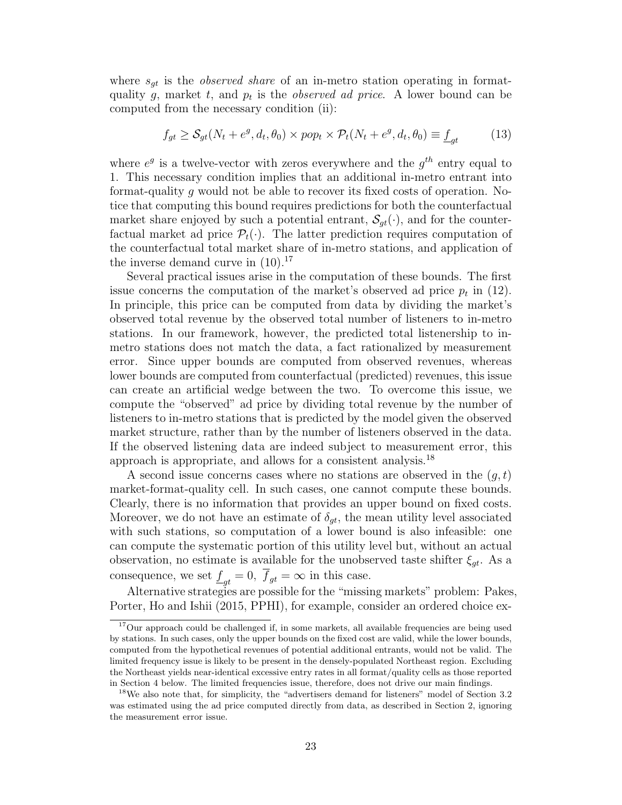where  $s_{qt}$  is the *observed share* of an in-metro station operating in formatquality g, market t, and  $p_t$  is the *observed ad price*. A lower bound can be computed from the necessary condition (ii):

$$
f_{gt} \ge S_{gt}(N_t + e^g, d_t, \theta_0) \times pop_t \times \mathcal{P}_t(N_t + e^g, d_t, \theta_0) \equiv \underline{f}_{gt} \tag{13}
$$

where  $e^g$  is a twelve-vector with zeros everywhere and the  $g^{th}$  entry equal to 1. This necessary condition implies that an additional in-metro entrant into format-quality g would not be able to recover its fixed costs of operation. Notice that computing this bound requires predictions for both the counterfactual market share enjoyed by such a potential entrant,  $S_{qt}(\cdot)$ , and for the counterfactual market ad price  $\mathcal{P}_t(\cdot)$ . The latter prediction requires computation of the counterfactual total market share of in-metro stations, and application of the inverse demand curve in  $(10).^{17}$ 

Several practical issues arise in the computation of these bounds. The first issue concerns the computation of the market's observed ad price  $p_t$  in (12). In principle, this price can be computed from data by dividing the market's observed total revenue by the observed total number of listeners to in-metro stations. In our framework, however, the predicted total listenership to inmetro stations does not match the data, a fact rationalized by measurement error. Since upper bounds are computed from observed revenues, whereas lower bounds are computed from counterfactual (predicted) revenues, this issue can create an artificial wedge between the two. To overcome this issue, we compute the "observed" ad price by dividing total revenue by the number of listeners to in-metro stations that is predicted by the model given the observed market structure, rather than by the number of listeners observed in the data. If the observed listening data are indeed subject to measurement error, this approach is appropriate, and allows for a consistent analysis.<sup>18</sup>

A second issue concerns cases where no stations are observed in the  $(q, t)$ market-format-quality cell. In such cases, one cannot compute these bounds. Clearly, there is no information that provides an upper bound on fixed costs. Moreover, we do not have an estimate of  $\delta_{gt}$ , the mean utility level associated with such stations, so computation of a lower bound is also infeasible: one can compute the systematic portion of this utility level but, without an actual observation, no estimate is available for the unobserved taste shifter  $\xi_{gt}$ . As a consequence, we set  $\underline{f}_{gt} = 0$ ,  $f_{gt} = \infty$  in this case.

Alternative strategies are possible for the "missing markets" problem: Pakes, Porter, Ho and Ishii (2015, PPHI), for example, consider an ordered choice ex-

<sup>&</sup>lt;sup>17</sup>Our approach could be challenged if, in some markets, all available frequencies are being used by stations. In such cases, only the upper bounds on the fixed cost are valid, while the lower bounds, computed from the hypothetical revenues of potential additional entrants, would not be valid. The limited frequency issue is likely to be present in the densely-populated Northeast region. Excluding the Northeast yields near-identical excessive entry rates in all format/quality cells as those reported in Section 4 below. The limited frequencies issue, therefore, does not drive our main findings.

<sup>&</sup>lt;sup>18</sup>We also note that, for simplicity, the "advertisers demand for listeners" model of Section 3.2 was estimated using the ad price computed directly from data, as described in Section 2, ignoring the measurement error issue.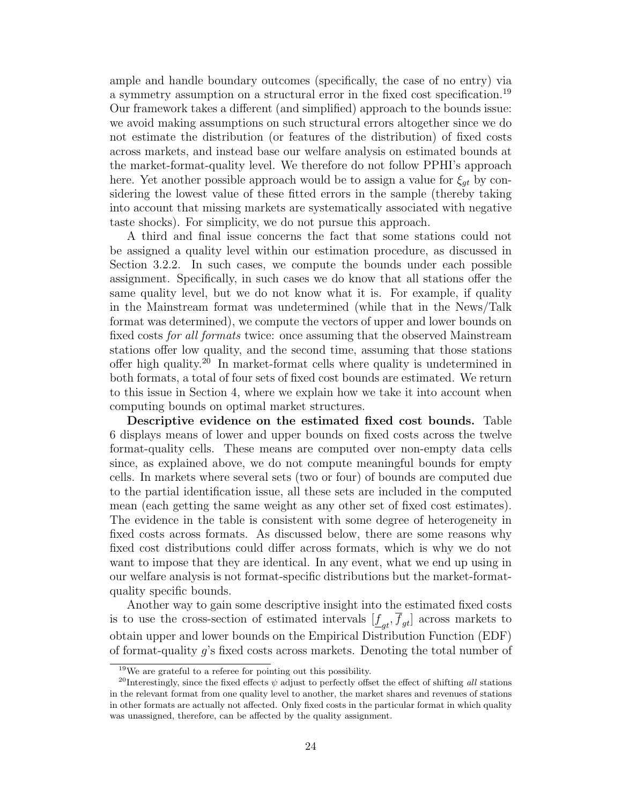ample and handle boundary outcomes (specifically, the case of no entry) via a symmetry assumption on a structural error in the fixed cost specification.<sup>19</sup> Our framework takes a different (and simplified) approach to the bounds issue: we avoid making assumptions on such structural errors altogether since we do not estimate the distribution (or features of the distribution) of fixed costs across markets, and instead base our welfare analysis on estimated bounds at the market-format-quality level. We therefore do not follow PPHI's approach here. Yet another possible approach would be to assign a value for  $\xi_{qt}$  by considering the lowest value of these fitted errors in the sample (thereby taking into account that missing markets are systematically associated with negative taste shocks). For simplicity, we do not pursue this approach.

A third and final issue concerns the fact that some stations could not be assigned a quality level within our estimation procedure, as discussed in Section 3.2.2. In such cases, we compute the bounds under each possible assignment. Specifically, in such cases we do know that all stations offer the same quality level, but we do not know what it is. For example, if quality in the Mainstream format was undetermined (while that in the News/Talk format was determined), we compute the vectors of upper and lower bounds on fixed costs for all formats twice: once assuming that the observed Mainstream stations offer low quality, and the second time, assuming that those stations offer high quality.<sup>20</sup> In market-format cells where quality is undetermined in both formats, a total of four sets of fixed cost bounds are estimated. We return to this issue in Section 4, where we explain how we take it into account when computing bounds on optimal market structures.

Descriptive evidence on the estimated fixed cost bounds. Table 6 displays means of lower and upper bounds on fixed costs across the twelve format-quality cells. These means are computed over non-empty data cells since, as explained above, we do not compute meaningful bounds for empty cells. In markets where several sets (two or four) of bounds are computed due to the partial identification issue, all these sets are included in the computed mean (each getting the same weight as any other set of fixed cost estimates). The evidence in the table is consistent with some degree of heterogeneity in fixed costs across formats. As discussed below, there are some reasons why fixed cost distributions could differ across formats, which is why we do not want to impose that they are identical. In any event, what we end up using in our welfare analysis is not format-specific distributions but the market-formatquality specific bounds.

Another way to gain some descriptive insight into the estimated fixed costs is to use the cross-section of estimated intervals  $[\underline{f}_{gt}, f_{gt}]$  across markets to obtain upper and lower bounds on the Empirical Distribution Function (EDF) of format-quality g's fixed costs across markets. Denoting the total number of

 $19$ We are grateful to a referee for pointing out this possibility.

<sup>&</sup>lt;sup>20</sup>Interestingly, since the fixed effects  $\psi$  adjust to perfectly offset the effect of shifting all stations in the relevant format from one quality level to another, the market shares and revenues of stations in other formats are actually not affected. Only fixed costs in the particular format in which quality was unassigned, therefore, can be affected by the quality assignment.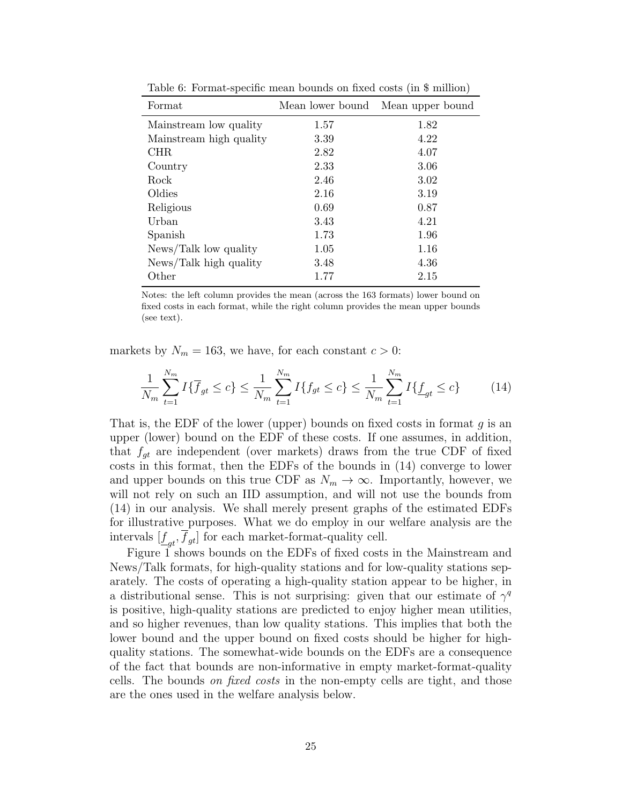| Format                  | Mean lower bound | Mean upper bound |
|-------------------------|------------------|------------------|
| Mainstream low quality  | 1.57             | 1.82             |
| Mainstream high quality | 3.39             | 4.22             |
| CHR.                    | 2.82             | 4.07             |
| Country                 | 2.33             | 3.06             |
| Rock                    | 2.46             | 3.02             |
| Oldies                  | 2.16             | 3.19             |
| Religious               | 0.69             | 0.87             |
| Urban                   | 3.43             | 4.21             |
| Spanish                 | 1.73             | 1.96             |
| News/Talk low quality   | 1.05             | 1.16             |
| News/Talk high quality  | 3.48             | 4.36             |
| Other                   | 1.77             | 2.15             |

Table 6: Format-specific mean bounds on fixed costs (in \$ million)

Notes: the left column provides the mean (across the 163 formats) lower bound on fixed costs in each format, while the right column provides the mean upper bounds (see text).

markets by  $N_m = 163$ , we have, for each constant  $c > 0$ :

$$
\frac{1}{N_m} \sum_{t=1}^{N_m} I\{\overline{f}_{gt} \le c\} \le \frac{1}{N_m} \sum_{t=1}^{N_m} I\{f_{gt} \le c\} \le \frac{1}{N_m} \sum_{t=1}^{N_m} I\{\underline{f}_{gt} \le c\}
$$
(14)

That is, the EDF of the lower (upper) bounds on fixed costs in format  $q$  is an upper (lower) bound on the EDF of these costs. If one assumes, in addition, that  $f_{qt}$  are independent (over markets) draws from the true CDF of fixed costs in this format, then the EDFs of the bounds in (14) converge to lower and upper bounds on this true CDF as  $N_m \to \infty$ . Importantly, however, we will not rely on such an IID assumption, and will not use the bounds from (14) in our analysis. We shall merely present graphs of the estimated EDFs for illustrative purposes. What we do employ in our welfare analysis are the intervals  $[\underline{f}_{gt}, f_{gt}]$  for each market-format-quality cell.

Figure 1 shows bounds on the EDFs of fixed costs in the Mainstream and News/Talk formats, for high-quality stations and for low-quality stations separately. The costs of operating a high-quality station appear to be higher, in a distributional sense. This is not surprising: given that our estimate of  $\gamma^q$ is positive, high-quality stations are predicted to enjoy higher mean utilities, and so higher revenues, than low quality stations. This implies that both the lower bound and the upper bound on fixed costs should be higher for highquality stations. The somewhat-wide bounds on the EDFs are a consequence of the fact that bounds are non-informative in empty market-format-quality cells. The bounds *on fixed costs* in the non-empty cells are tight, and those are the ones used in the welfare analysis below.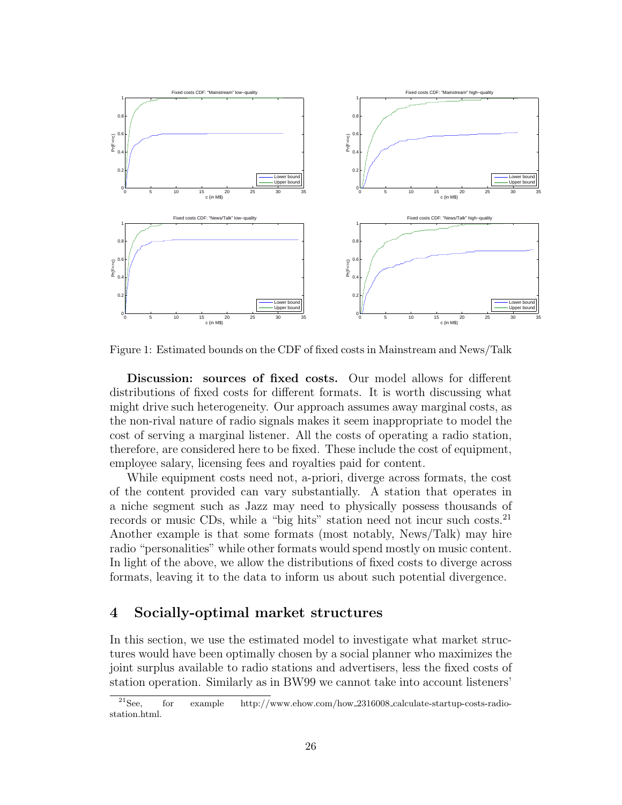

Figure 1: Estimated bounds on the CDF of fixed costs in Mainstream and News/Talk

Discussion: sources of fixed costs. Our model allows for different distributions of fixed costs for different formats. It is worth discussing what might drive such heterogeneity. Our approach assumes away marginal costs, as the non-rival nature of radio signals makes it seem inappropriate to model the cost of serving a marginal listener. All the costs of operating a radio station, therefore, are considered here to be fixed. These include the cost of equipment, employee salary, licensing fees and royalties paid for content.

While equipment costs need not, a-priori, diverge across formats, the cost of the content provided can vary substantially. A station that operates in a niche segment such as Jazz may need to physically possess thousands of records or music CDs, while a "big hits" station need not incur such costs.<sup>21</sup> Another example is that some formats (most notably, News/Talk) may hire radio "personalities" while other formats would spend mostly on music content. In light of the above, we allow the distributions of fixed costs to diverge across formats, leaving it to the data to inform us about such potential divergence.

# 4 Socially-optimal market structures

In this section, we use the estimated model to investigate what market structures would have been optimally chosen by a social planner who maximizes the joint surplus available to radio stations and advertisers, less the fixed costs of station operation. Similarly as in BW99 we cannot take into account listeners'

 $^{21}$ See, for example http://www.ehow.com/how\_2316008\_calculate-startup-costs-radiostation.html.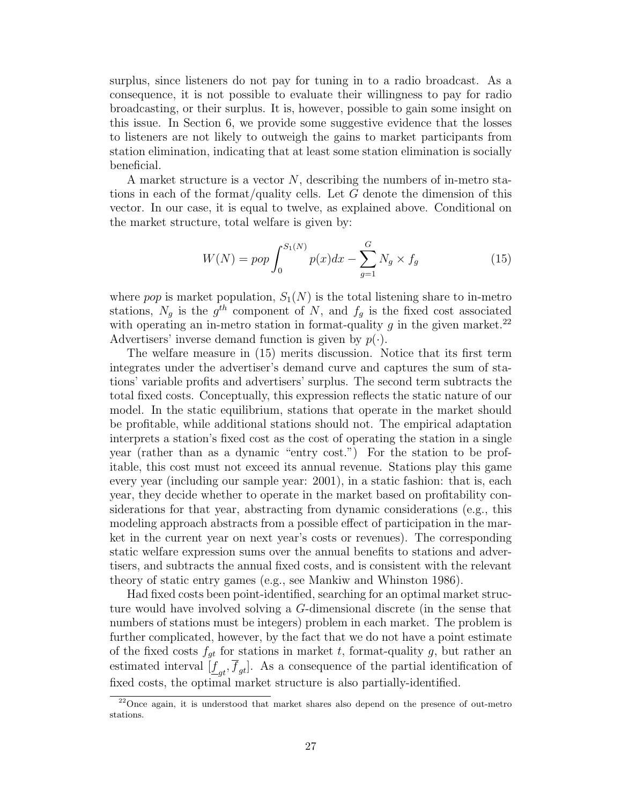surplus, since listeners do not pay for tuning in to a radio broadcast. As a consequence, it is not possible to evaluate their willingness to pay for radio broadcasting, or their surplus. It is, however, possible to gain some insight on this issue. In Section 6, we provide some suggestive evidence that the losses to listeners are not likely to outweigh the gains to market participants from station elimination, indicating that at least some station elimination is socially beneficial.

A market structure is a vector  $N$ , describing the numbers of in-metro stations in each of the format/quality cells. Let  $G$  denote the dimension of this vector. In our case, it is equal to twelve, as explained above. Conditional on the market structure, total welfare is given by:

$$
W(N) = pop \int_0^{S_1(N)} p(x)dx - \sum_{g=1}^G N_g \times f_g
$$
 (15)

where pop is market population,  $S_1(N)$  is the total listening share to in-metro stations,  $N_g$  is the  $g^{th}$  component of N, and  $f_g$  is the fixed cost associated with operating an in-metro station in format-quality  $g$  in the given market.<sup>22</sup> Advertisers' inverse demand function is given by  $p(\cdot)$ .

The welfare measure in (15) merits discussion. Notice that its first term integrates under the advertiser's demand curve and captures the sum of stations' variable profits and advertisers' surplus. The second term subtracts the total fixed costs. Conceptually, this expression reflects the static nature of our model. In the static equilibrium, stations that operate in the market should be profitable, while additional stations should not. The empirical adaptation interprets a station's fixed cost as the cost of operating the station in a single year (rather than as a dynamic "entry cost.") For the station to be profitable, this cost must not exceed its annual revenue. Stations play this game every year (including our sample year: 2001), in a static fashion: that is, each year, they decide whether to operate in the market based on profitability considerations for that year, abstracting from dynamic considerations (e.g., this modeling approach abstracts from a possible effect of participation in the market in the current year on next year's costs or revenues). The corresponding static welfare expression sums over the annual benefits to stations and advertisers, and subtracts the annual fixed costs, and is consistent with the relevant theory of static entry games (e.g., see Mankiw and Whinston 1986).

Had fixed costs been point-identified, searching for an optimal market structure would have involved solving a G-dimensional discrete (in the sense that numbers of stations must be integers) problem in each market. The problem is further complicated, however, by the fact that we do not have a point estimate of the fixed costs  $f_{gt}$  for stations in market t, format-quality g, but rather an estimated interval  $[\underline{f}_{gt}, f_{gt}]$ . As a consequence of the partial identification of fixed costs, the optimal market structure is also partially-identified.

<sup>&</sup>lt;sup>22</sup>Once again, it is understood that market shares also depend on the presence of out-metro stations.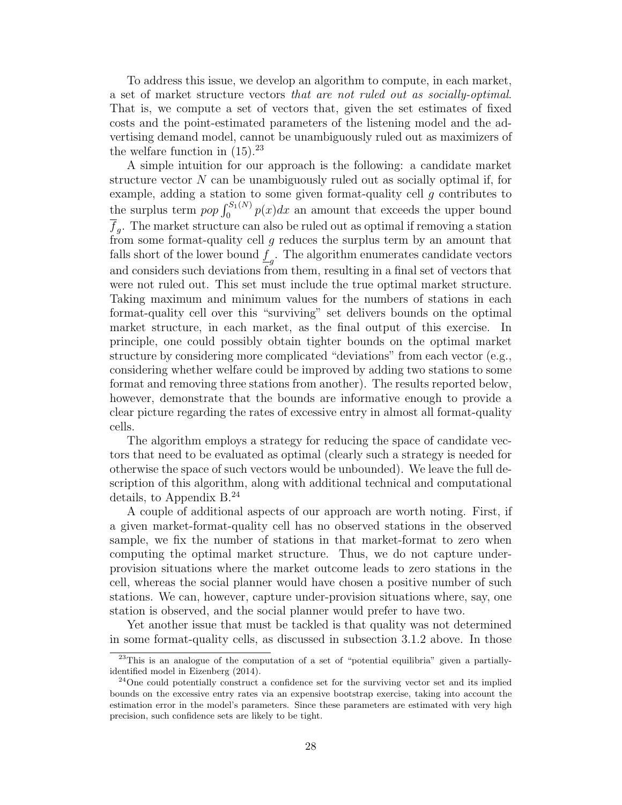To address this issue, we develop an algorithm to compute, in each market, a set of market structure vectors that are not ruled out as socially-optimal. That is, we compute a set of vectors that, given the set estimates of fixed costs and the point-estimated parameters of the listening model and the advertising demand model, cannot be unambiguously ruled out as maximizers of the welfare function in  $(15).^{23}$ 

A simple intuition for our approach is the following: a candidate market structure vector  $N$  can be unambiguously ruled out as socially optimal if, for example, adding a station to some given format-quality cell  $g$  contributes to the surplus term  $pop \int_0^{S_1(N)} p(x) dx$  an amount that exceeds the upper bound  $f<sub>g</sub>$ . The market structure can also be ruled out as optimal if removing a station from some format-quality cell  $g$  reduces the surplus term by an amount that falls short of the lower bound  $\underline{f}_g$ . The algorithm enumerates candidate vectors and considers such deviations from them, resulting in a final set of vectors that were not ruled out. This set must include the true optimal market structure. Taking maximum and minimum values for the numbers of stations in each format-quality cell over this "surviving" set delivers bounds on the optimal market structure, in each market, as the final output of this exercise. In principle, one could possibly obtain tighter bounds on the optimal market structure by considering more complicated "deviations" from each vector (e.g., considering whether welfare could be improved by adding two stations to some format and removing three stations from another). The results reported below, however, demonstrate that the bounds are informative enough to provide a clear picture regarding the rates of excessive entry in almost all format-quality cells.

The algorithm employs a strategy for reducing the space of candidate vectors that need to be evaluated as optimal (clearly such a strategy is needed for otherwise the space of such vectors would be unbounded). We leave the full description of this algorithm, along with additional technical and computational details, to Appendix B.<sup>24</sup>

A couple of additional aspects of our approach are worth noting. First, if a given market-format-quality cell has no observed stations in the observed sample, we fix the number of stations in that market-format to zero when computing the optimal market structure. Thus, we do not capture underprovision situations where the market outcome leads to zero stations in the cell, whereas the social planner would have chosen a positive number of such stations. We can, however, capture under-provision situations where, say, one station is observed, and the social planner would prefer to have two.

Yet another issue that must be tackled is that quality was not determined in some format-quality cells, as discussed in subsection 3.1.2 above. In those

 $23$ This is an analogue of the computation of a set of "potential equilibria" given a partiallyidentified model in Eizenberg (2014).

 $24$ One could potentially construct a confidence set for the surviving vector set and its implied bounds on the excessive entry rates via an expensive bootstrap exercise, taking into account the estimation error in the model's parameters. Since these parameters are estimated with very high precision, such confidence sets are likely to be tight.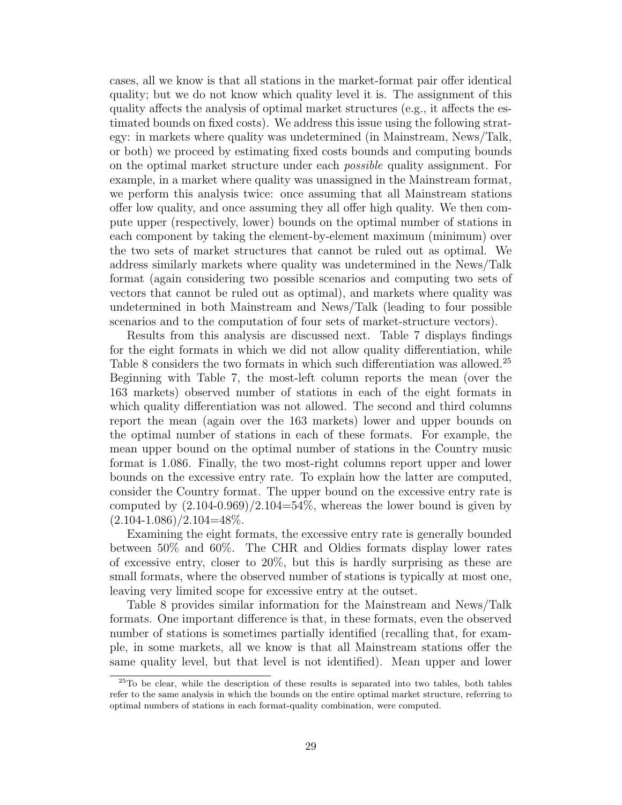cases, all we know is that all stations in the market-format pair offer identical quality; but we do not know which quality level it is. The assignment of this quality affects the analysis of optimal market structures (e.g., it affects the estimated bounds on fixed costs). We address this issue using the following strategy: in markets where quality was undetermined (in Mainstream, News/Talk, or both) we proceed by estimating fixed costs bounds and computing bounds on the optimal market structure under each possible quality assignment. For example, in a market where quality was unassigned in the Mainstream format, we perform this analysis twice: once assuming that all Mainstream stations offer low quality, and once assuming they all offer high quality. We then compute upper (respectively, lower) bounds on the optimal number of stations in each component by taking the element-by-element maximum (minimum) over the two sets of market structures that cannot be ruled out as optimal. We address similarly markets where quality was undetermined in the News/Talk format (again considering two possible scenarios and computing two sets of vectors that cannot be ruled out as optimal), and markets where quality was undetermined in both Mainstream and News/Talk (leading to four possible scenarios and to the computation of four sets of market-structure vectors).

Results from this analysis are discussed next. Table 7 displays findings for the eight formats in which we did not allow quality differentiation, while Table 8 considers the two formats in which such differentiation was allowed.<sup>25</sup> Beginning with Table 7, the most-left column reports the mean (over the 163 markets) observed number of stations in each of the eight formats in which quality differentiation was not allowed. The second and third columns report the mean (again over the 163 markets) lower and upper bounds on the optimal number of stations in each of these formats. For example, the mean upper bound on the optimal number of stations in the Country music format is 1.086. Finally, the two most-right columns report upper and lower bounds on the excessive entry rate. To explain how the latter are computed, consider the Country format. The upper bound on the excessive entry rate is computed by  $(2.104-0.969)/2.104=54\%$ , whereas the lower bound is given by  $(2.104-1.086)/2.104=48\%.$ 

Examining the eight formats, the excessive entry rate is generally bounded between 50% and 60%. The CHR and Oldies formats display lower rates of excessive entry, closer to 20%, but this is hardly surprising as these are small formats, where the observed number of stations is typically at most one, leaving very limited scope for excessive entry at the outset.

Table 8 provides similar information for the Mainstream and News/Talk formats. One important difference is that, in these formats, even the observed number of stations is sometimes partially identified (recalling that, for example, in some markets, all we know is that all Mainstream stations offer the same quality level, but that level is not identified). Mean upper and lower

 $25$ To be clear, while the description of these results is separated into two tables, both tables refer to the same analysis in which the bounds on the entire optimal market structure, referring to optimal numbers of stations in each format-quality combination, were computed.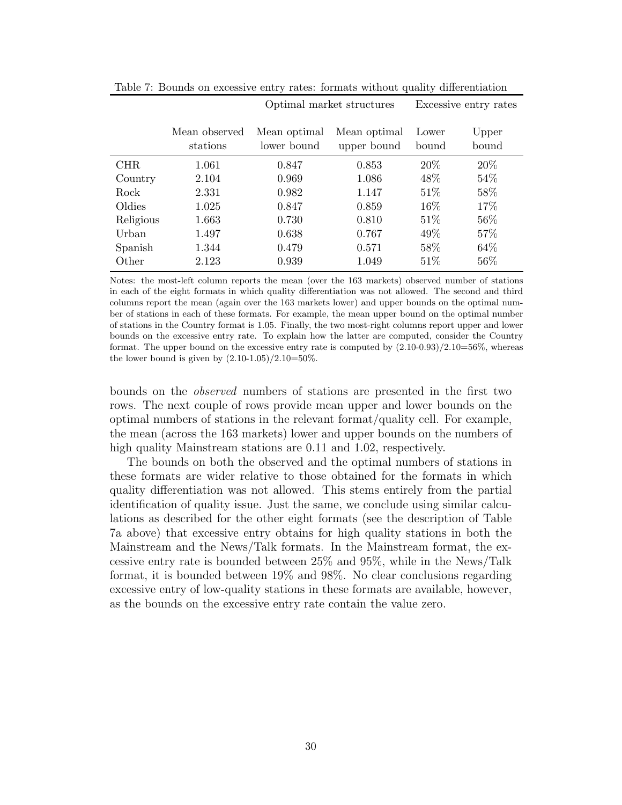|           |                           |                             | Optimal market structures   |                | Excessive entry rates |
|-----------|---------------------------|-----------------------------|-----------------------------|----------------|-----------------------|
|           | Mean observed<br>stations | Mean optimal<br>lower bound | Mean optimal<br>upper bound | Lower<br>bound | Upper<br>bound        |
| CHR.      | 1.061                     | 0.847                       | 0.853                       | 20%            | 20\%                  |
| Country   | 2.104                     | 0.969                       | 1.086                       | 48\%           | $54\%$                |
| Rock      | 2.331                     | 0.982                       | 1.147                       | 51%            | 58%                   |
| Oldies    | 1.025                     | 0.847                       | 0.859                       | 16\%           | 17%                   |
| Religious | 1.663                     | 0.730                       | 0.810                       | 51\%           | 56\%                  |
| Urban     | 1.497                     | 0.638                       | 0.767                       | 49\%           | 57%                   |
| Spanish   | 1.344                     | 0.479                       | 0.571                       | 58\%           | 64\%                  |
| Other     | 2.123                     | 0.939                       | 1.049                       | 51\%           | 56%                   |

Table 7: Bounds on excessive entry rates: formats without quality differentiation

Notes: the most-left column reports the mean (over the 163 markets) observed number of stations in each of the eight formats in which quality differentiation was not allowed. The second and third columns report the mean (again over the 163 markets lower) and upper bounds on the optimal number of stations in each of these formats. For example, the mean upper bound on the optimal number of stations in the Country format is 1.05. Finally, the two most-right columns report upper and lower bounds on the excessive entry rate. To explain how the latter are computed, consider the Country format. The upper bound on the excessive entry rate is computed by  $(2.10-0.93)/2.10=56\%$ , whereas the lower bound is given by  $(2.10-1.05)/2.10=50\%$ .

bounds on the observed numbers of stations are presented in the first two rows. The next couple of rows provide mean upper and lower bounds on the optimal numbers of stations in the relevant format/quality cell. For example, the mean (across the 163 markets) lower and upper bounds on the numbers of high quality Mainstream stations are 0.11 and 1.02, respectively.

The bounds on both the observed and the optimal numbers of stations in these formats are wider relative to those obtained for the formats in which quality differentiation was not allowed. This stems entirely from the partial identification of quality issue. Just the same, we conclude using similar calculations as described for the other eight formats (see the description of Table 7a above) that excessive entry obtains for high quality stations in both the Mainstream and the News/Talk formats. In the Mainstream format, the excessive entry rate is bounded between 25% and 95%, while in the News/Talk format, it is bounded between 19% and 98%. No clear conclusions regarding excessive entry of low-quality stations in these formats are available, however, as the bounds on the excessive entry rate contain the value zero.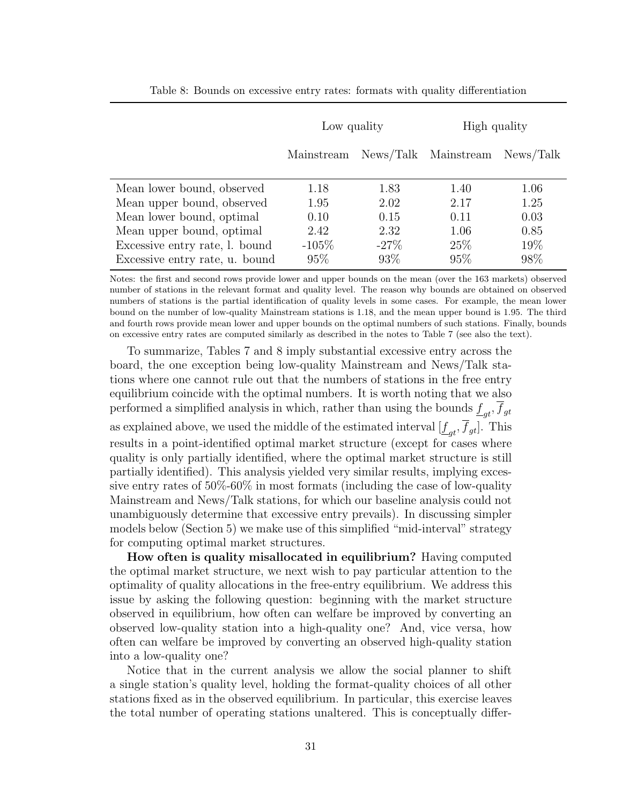|                                                                                                                                                                                        | Low quality                                    |                                                 | High quality                                |                                            |
|----------------------------------------------------------------------------------------------------------------------------------------------------------------------------------------|------------------------------------------------|-------------------------------------------------|---------------------------------------------|--------------------------------------------|
|                                                                                                                                                                                        | Mainstream                                     |                                                 | News/Talk Mainstream                        | News/Talk                                  |
| Mean lower bound, observed<br>Mean upper bound, observed<br>Mean lower bound, optimal<br>Mean upper bound, optimal<br>Excessive entry rate, l. bound<br>Excessive entry rate, u. bound | 1.18<br>1.95<br>0.10<br>2.42<br>$-105%$<br>95% | 1.83<br>2.02<br>0.15<br>2.32<br>$-27\%$<br>93\% | 1.40<br>2.17<br>0.11<br>1.06<br>25\%<br>95% | 1.06<br>1.25<br>0.03<br>0.85<br>19%<br>98% |

Table 8: Bounds on excessive entry rates: formats with quality differentiation

Notes: the first and second rows provide lower and upper bounds on the mean (over the 163 markets) observed number of stations in the relevant format and quality level. The reason why bounds are obtained on observed numbers of stations is the partial identification of quality levels in some cases. For example, the mean lower bound on the number of low-quality Mainstream stations is 1.18, and the mean upper bound is 1.95. The third and fourth rows provide mean lower and upper bounds on the optimal numbers of such stations. Finally, bounds on excessive entry rates are computed similarly as described in the notes to Table 7 (see also the text).

To summarize, Tables 7 and 8 imply substantial excessive entry across the board, the one exception being low-quality Mainstream and News/Talk stations where one cannot rule out that the numbers of stations in the free entry equilibrium coincide with the optimal numbers. It is worth noting that we also performed a simplified analysis in which, rather than using the bounds  $\underline{f}_{gt}$ ,  $f_{gt}$ as explained above, we used the middle of the estimated interval  $[\underline{f}_{gt}, f_{gt}]$ . This results in a point-identified optimal market structure (except for cases where quality is only partially identified, where the optimal market structure is still partially identified). This analysis yielded very similar results, implying excessive entry rates of 50%-60% in most formats (including the case of low-quality Mainstream and News/Talk stations, for which our baseline analysis could not unambiguously determine that excessive entry prevails). In discussing simpler models below (Section 5) we make use of this simplified "mid-interval" strategy for computing optimal market structures.

How often is quality misallocated in equilibrium? Having computed the optimal market structure, we next wish to pay particular attention to the optimality of quality allocations in the free-entry equilibrium. We address this issue by asking the following question: beginning with the market structure observed in equilibrium, how often can welfare be improved by converting an observed low-quality station into a high-quality one? And, vice versa, how often can welfare be improved by converting an observed high-quality station into a low-quality one?

Notice that in the current analysis we allow the social planner to shift a single station's quality level, holding the format-quality choices of all other stations fixed as in the observed equilibrium. In particular, this exercise leaves the total number of operating stations unaltered. This is conceptually differ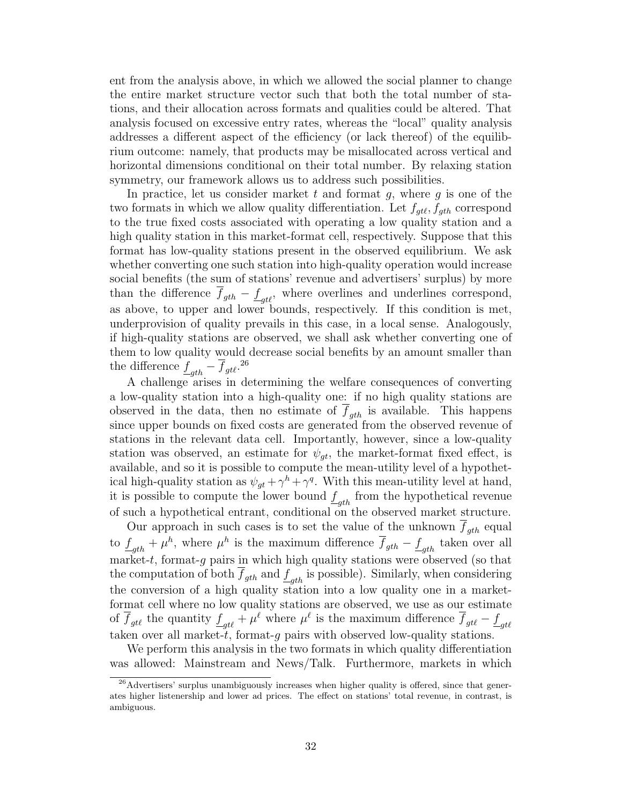ent from the analysis above, in which we allowed the social planner to change the entire market structure vector such that both the total number of stations, and their allocation across formats and qualities could be altered. That analysis focused on excessive entry rates, whereas the "local" quality analysis addresses a different aspect of the efficiency (or lack thereof) of the equilibrium outcome: namely, that products may be misallocated across vertical and horizontal dimensions conditional on their total number. By relaxing station symmetry, our framework allows us to address such possibilities.

In practice, let us consider market  $t$  and format  $g$ , where  $g$  is one of the two formats in which we allow quality differentiation. Let  $f_{qtt}$ ,  $f_{qth}$  correspond to the true fixed costs associated with operating a low quality station and a high quality station in this market-format cell, respectively. Suppose that this format has low-quality stations present in the observed equilibrium. We ask whether converting one such station into high-quality operation would increase social benefits (the sum of stations' revenue and advertisers' surplus) by more than the difference  $\overline{f}_{gth} - \underline{f}_{gt\ell}$ , where overlines and underlines correspond, as above, to upper and lower bounds, respectively. If this condition is met, underprovision of quality prevails in this case, in a local sense. Analogously, if high-quality stations are observed, we shall ask whether converting one of them to low quality would decrease social benefits by an amount smaller than the difference  $\underline{f}_{gth} - \overline{f}_{gtt}.^{26}$ 

A challenge arises in determining the welfare consequences of converting a low-quality station into a high-quality one: if no high quality stations are observed in the data, then no estimate of  $\overline{f}_{gth}$  is available. This happens since upper bounds on fixed costs are generated from the observed revenue of stations in the relevant data cell. Importantly, however, since a low-quality station was observed, an estimate for  $\psi_{qt}$ , the market-format fixed effect, is available, and so it is possible to compute the mean-utility level of a hypothetical high-quality station as  $\psi_{gt} + \gamma^h + \gamma^q$ . With this mean-utility level at hand, it is possible to compute the lower bound  $\underline{f}_{gth}$  from the hypothetical revenue of such a hypothetical entrant, conditional on the observed market structure.

Our approach in such cases is to set the value of the unknown  $\overline{f}_{gth}$  equal to  $\underline{f}_{gth} + \mu^h$ , where  $\mu^h$  is the maximum difference  $\overline{f}_{gth} - \underline{f}_{gth}$  taken over all market-t, format-g pairs in which high quality stations were observed (so that the computation of both  $f_{gth}$  and  $\underline{f}_{gth}$  is possible). Similarly, when considering the conversion of a high quality station into a low quality one in a marketformat cell where no low quality stations are observed, we use as our estimate of  $\overline{f}_{gt\ell}$  the quantity  $\underline{f}_{gt\ell} + \mu^{\ell}$  where  $\mu^{\ell}$  is the maximum difference  $\overline{f}_{gt\ell} - \underline{f}_{gt\ell}$ taken over all market-t, format-g pairs with observed low-quality stations.

We perform this analysis in the two formats in which quality differentiation was allowed: Mainstream and News/Talk. Furthermore, markets in which

 $26$ Advertisers' surplus unambiguously increases when higher quality is offered, since that generates higher listenership and lower ad prices. The effect on stations' total revenue, in contrast, is ambiguous.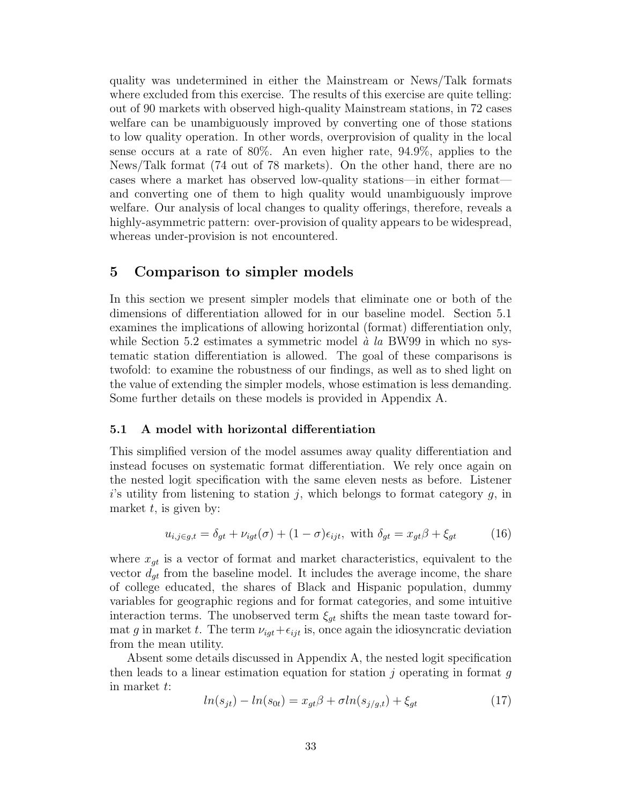quality was undetermined in either the Mainstream or News/Talk formats where excluded from this exercise. The results of this exercise are quite telling: out of 90 markets with observed high-quality Mainstream stations, in 72 cases welfare can be unambiguously improved by converting one of those stations to low quality operation. In other words, overprovision of quality in the local sense occurs at a rate of 80%. An even higher rate, 94.9%, applies to the News/Talk format (74 out of 78 markets). On the other hand, there are no cases where a market has observed low-quality stations—in either format and converting one of them to high quality would unambiguously improve welfare. Our analysis of local changes to quality offerings, therefore, reveals a highly-asymmetric pattern: over-provision of quality appears to be widespread, whereas under-provision is not encountered.

# 5 Comparison to simpler models

In this section we present simpler models that eliminate one or both of the dimensions of differentiation allowed for in our baseline model. Section 5.1 examines the implications of allowing horizontal (format) differentiation only, while Section 5.2 estimates a symmetric model  $\dot{a}$  la BW99 in which no systematic station differentiation is allowed. The goal of these comparisons is twofold: to examine the robustness of our findings, as well as to shed light on the value of extending the simpler models, whose estimation is less demanding. Some further details on these models is provided in Appendix A.

### 5.1 A model with horizontal differentiation

This simplified version of the model assumes away quality differentiation and instead focuses on systematic format differentiation. We rely once again on the nested logit specification with the same eleven nests as before. Listener  $i$ 's utility from listening to station j, which belongs to format category  $g$ , in market  $t$ , is given by:

$$
u_{i,j \in g,t} = \delta_{gt} + \nu_{igt}(\sigma) + (1 - \sigma)\epsilon_{ijt}, \text{ with } \delta_{gt} = x_{gt}\beta + \xi_{gt} \tag{16}
$$

where  $x_{gt}$  is a vector of format and market characteristics, equivalent to the vector  $d_{gt}$  from the baseline model. It includes the average income, the share of college educated, the shares of Black and Hispanic population, dummy variables for geographic regions and for format categories, and some intuitive interaction terms. The unobserved term  $\xi_{gt}$  shifts the mean taste toward format g in market t. The term  $\nu_{igt}+\epsilon_{ijt}$  is, once again the idiosyncratic deviation from the mean utility.

Absent some details discussed in Appendix A, the nested logit specification then leads to a linear estimation equation for station  $\dot{\eta}$  operating in format q in market t:

$$
ln(s_{jt}) - ln(s_{0t}) = x_{gt}\beta + \sigma ln(s_{j/g,t}) + \xi_{gt}
$$
\n(17)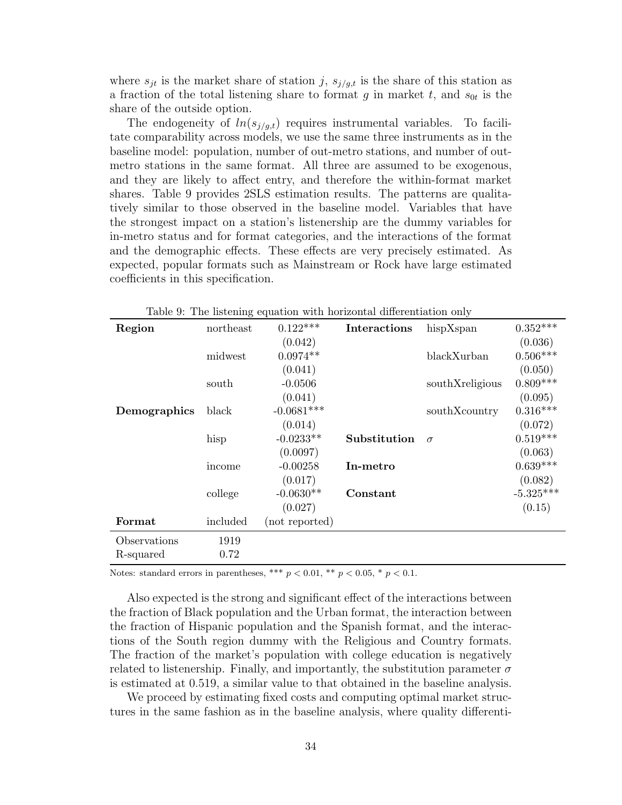where  $s_{jt}$  is the market share of station j,  $s_{j/g,t}$  is the share of this station as a fraction of the total listening share to format g in market t, and  $s_{0t}$  is the share of the outside option.

The endogeneity of  $ln(s_{i/q,t})$  requires instrumental variables. To facilitate comparability across models, we use the same three instruments as in the baseline model: population, number of out-metro stations, and number of outmetro stations in the same format. All three are assumed to be exogenous, and they are likely to affect entry, and therefore the within-format market shares. Table 9 provides 2SLS estimation results. The patterns are qualitatively similar to those observed in the baseline model. Variables that have the strongest impact on a station's listenership are the dummy variables for in-metro status and for format categories, and the interactions of the format and the demographic effects. These effects are very precisely estimated. As expected, popular formats such as Mainstream or Rock have large estimated coefficients in this specification.

| Region       | northeast | $0.122***$     | Interactions | hispXspan       | $0.352***$  |
|--------------|-----------|----------------|--------------|-----------------|-------------|
|              |           | (0.042)        |              |                 | (0.036)     |
|              | midwest   | $0.0974**$     |              | blackXurban     | $0.506***$  |
|              |           | (0.041)        |              |                 | (0.050)     |
|              | south     | $-0.0506$      |              | southXreligious | $0.809***$  |
|              |           | (0.041)        |              |                 | (0.095)     |
| Demographics | black     | $-0.0681***$   |              | southXcountry   | $0.316***$  |
|              |           | (0.014)        |              |                 | (0.072)     |
|              | hisp      | $-0.0233**$    | Substitution | $\sigma$        | $0.519***$  |
|              |           | (0.0097)       |              |                 | (0.063)     |
|              | income    | $-0.00258$     | In-metro     |                 | $0.639***$  |
|              |           | (0.017)        |              |                 | (0.082)     |
|              | college   | $-0.0630**$    | Constant     |                 | $-5.325***$ |
|              |           | (0.027)        |              |                 | (0.15)      |
| Format       | included  | (not reported) |              |                 |             |
| Observations | 1919      |                |              |                 |             |
| R-squared    | 0.72      |                |              |                 |             |

Table 9: The listening equation with horizontal differentiation only

Notes: standard errors in parentheses, \*\*\*  $p < 0.01$ , \*\*  $p < 0.05$ , \*  $p < 0.1$ .

Also expected is the strong and significant effect of the interactions between the fraction of Black population and the Urban format, the interaction between the fraction of Hispanic population and the Spanish format, and the interactions of the South region dummy with the Religious and Country formats. The fraction of the market's population with college education is negatively related to listenership. Finally, and importantly, the substitution parameter  $\sigma$ is estimated at 0.519, a similar value to that obtained in the baseline analysis.

We proceed by estimating fixed costs and computing optimal market structures in the same fashion as in the baseline analysis, where quality differenti-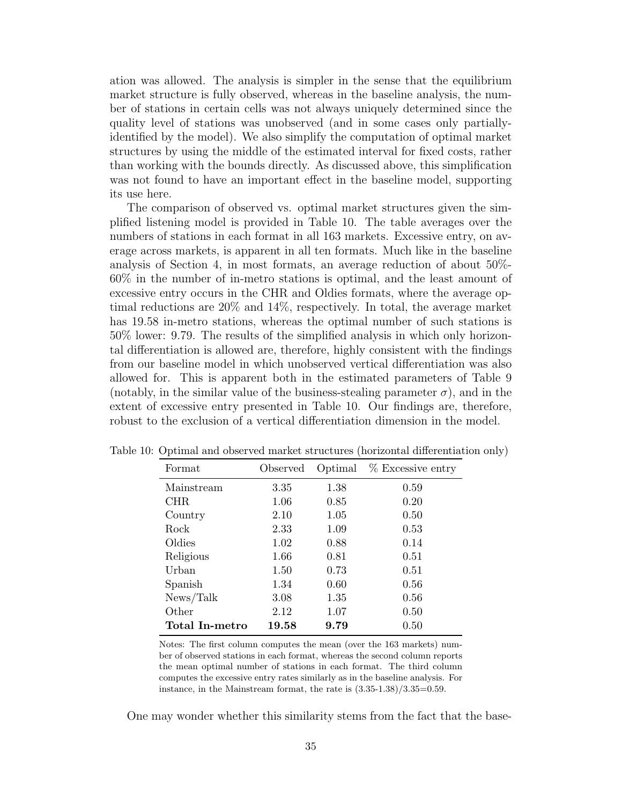ation was allowed. The analysis is simpler in the sense that the equilibrium market structure is fully observed, whereas in the baseline analysis, the number of stations in certain cells was not always uniquely determined since the quality level of stations was unobserved (and in some cases only partiallyidentified by the model). We also simplify the computation of optimal market structures by using the middle of the estimated interval for fixed costs, rather than working with the bounds directly. As discussed above, this simplification was not found to have an important effect in the baseline model, supporting its use here.

The comparison of observed vs. optimal market structures given the simplified listening model is provided in Table 10. The table averages over the numbers of stations in each format in all 163 markets. Excessive entry, on average across markets, is apparent in all ten formats. Much like in the baseline analysis of Section 4, in most formats, an average reduction of about 50%- 60% in the number of in-metro stations is optimal, and the least amount of excessive entry occurs in the CHR and Oldies formats, where the average optimal reductions are 20% and 14%, respectively. In total, the average market has 19.58 in-metro stations, whereas the optimal number of such stations is 50% lower: 9.79. The results of the simplified analysis in which only horizontal differentiation is allowed are, therefore, highly consistent with the findings from our baseline model in which unobserved vertical differentiation was also allowed for. This is apparent both in the estimated parameters of Table 9 (notably, in the similar value of the business-stealing parameter  $\sigma$ ), and in the extent of excessive entry presented in Table 10. Our findings are, therefore, robust to the exclusion of a vertical differentiation dimension in the model.

| Format         | Observed | Optimal | % Excessive entry |
|----------------|----------|---------|-------------------|
| Mainstream     | 3.35     | 1.38    | 0.59              |
| CHR.           | 1.06     | 0.85    | 0.20              |
| Country        | 2.10     | 1.05    | 0.50              |
| Rock           | 2.33     | 1.09    | 0.53              |
| Oldies         | 1.02     | 0.88    | 0.14              |
| Religious      | 1.66     | 0.81    | 0.51              |
| Urban          | 1.50     | 0.73    | 0.51              |
| Spanish        | 1.34     | 0.60    | 0.56              |
| News/Talk      | 3.08     | 1.35    | 0.56              |
| Other          | 2.12     | 1.07    | 0.50              |
| Total In-metro | 19.58    | 9.79    | 0.50              |

Table 10: Optimal and observed market structures (horizontal differentiation only)

Notes: The first column computes the mean (over the 163 markets) number of observed stations in each format, whereas the second column reports the mean optimal number of stations in each format. The third column computes the excessive entry rates similarly as in the baseline analysis. For instance, in the Mainstream format, the rate is  $(3.35-1.38)/3.35=0.59$ .

One may wonder whether this similarity stems from the fact that the base-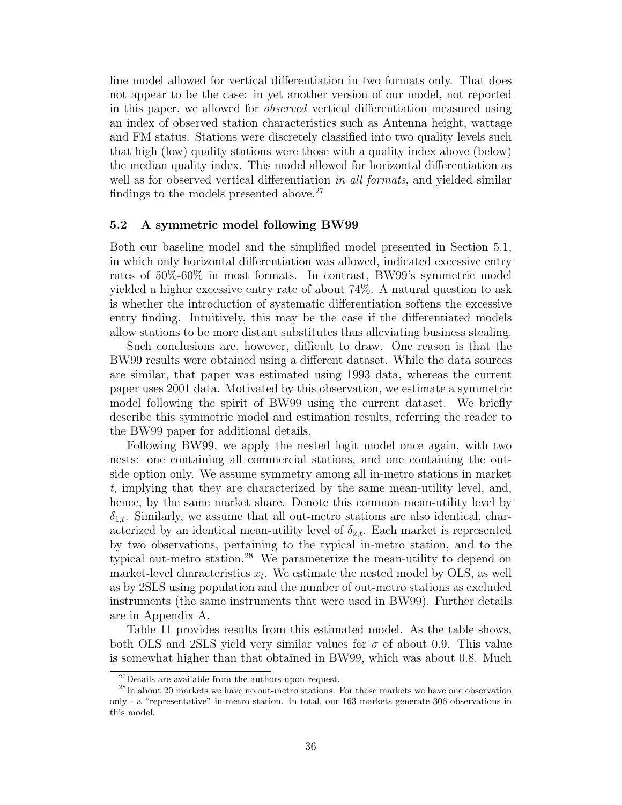line model allowed for vertical differentiation in two formats only. That does not appear to be the case: in yet another version of our model, not reported in this paper, we allowed for observed vertical differentiation measured using an index of observed station characteristics such as Antenna height, wattage and FM status. Stations were discretely classified into two quality levels such that high (low) quality stations were those with a quality index above (below) the median quality index. This model allowed for horizontal differentiation as well as for observed vertical differentiation in all formats, and yielded similar findings to the models presented above.<sup>27</sup>

#### 5.2 A symmetric model following BW99

Both our baseline model and the simplified model presented in Section 5.1, in which only horizontal differentiation was allowed, indicated excessive entry rates of 50%-60% in most formats. In contrast, BW99's symmetric model yielded a higher excessive entry rate of about 74%. A natural question to ask is whether the introduction of systematic differentiation softens the excessive entry finding. Intuitively, this may be the case if the differentiated models allow stations to be more distant substitutes thus alleviating business stealing.

Such conclusions are, however, difficult to draw. One reason is that the BW99 results were obtained using a different dataset. While the data sources are similar, that paper was estimated using 1993 data, whereas the current paper uses 2001 data. Motivated by this observation, we estimate a symmetric model following the spirit of BW99 using the current dataset. We briefly describe this symmetric model and estimation results, referring the reader to the BW99 paper for additional details.

Following BW99, we apply the nested logit model once again, with two nests: one containing all commercial stations, and one containing the outside option only. We assume symmetry among all in-metro stations in market t, implying that they are characterized by the same mean-utility level, and, hence, by the same market share. Denote this common mean-utility level by  $\delta_{1,t}$ . Similarly, we assume that all out-metro stations are also identical, characterized by an identical mean-utility level of  $\delta_{2,t}$ . Each market is represented by two observations, pertaining to the typical in-metro station, and to the typical out-metro station.<sup>28</sup> We parameterize the mean-utility to depend on market-level characteristics  $x_t$ . We estimate the nested model by OLS, as well as by 2SLS using population and the number of out-metro stations as excluded instruments (the same instruments that were used in BW99). Further details are in Appendix A.

Table 11 provides results from this estimated model. As the table shows, both OLS and 2SLS yield very similar values for  $\sigma$  of about 0.9. This value is somewhat higher than that obtained in BW99, which was about 0.8. Much

 $27$  Details are available from the authors upon request.

 $^{28}$ In about 20 markets we have no out-metro stations. For those markets we have one observation only - a "representative" in-metro station. In total, our 163 markets generate 306 observations in this model.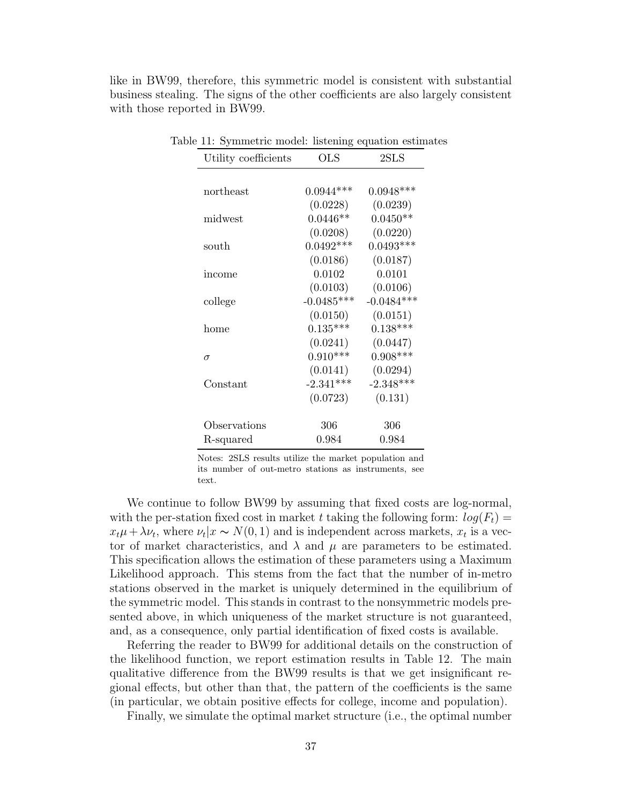like in BW99, therefore, this symmetric model is consistent with substantial business stealing. The signs of the other coefficients are also largely consistent with those reported in BW99.

| Utility coefficients | $_{\rm OLS}$ | $2{\rm SLS}$ |
|----------------------|--------------|--------------|
|                      |              |              |
| northeast            | $0.0944***$  | $0.0948***$  |
|                      | (0.0228)     | (0.0239)     |
| midwest              | $0.0446**$   | $0.0450**$   |
|                      | (0.0208)     | (0.0220)     |
| south                | $0.0492***$  | $0.0493***$  |
|                      | (0.0186)     | (0.0187)     |
| income               | 0.0102       | 0.0101       |
|                      | (0.0103)     | (0.0106)     |
| college              | $-0.0485***$ | $-0.0484***$ |
|                      | (0.0150)     | (0.0151)     |
| home                 | $0.135***$   | $0.138***$   |
|                      | (0.0241)     | (0.0447)     |
| $\sigma$             | $0.910***$   | $0.908***$   |
|                      | (0.0141)     | (0.0294)     |
| Constant             | $-2.341***$  | $-2.348***$  |
|                      | (0.0723)     | (0.131)      |
|                      |              |              |
| Observations         | 306          | 306          |
| R-squared            | 0.984        | 0.984        |

Table 11: Symmetric model: listening equation estimates

Notes: 2SLS results utilize the market population and its number of out-metro stations as instruments, see text.

We continue to follow BW99 by assuming that fixed costs are log-normal, with the per-station fixed cost in market t taking the following form:  $log(F_t)$  =  $x_t\mu + \lambda \nu_t$ , where  $\nu_t|x \sim N(0, 1)$  and is independent across markets,  $x_t$  is a vector of market characteristics, and  $\lambda$  and  $\mu$  are parameters to be estimated. This specification allows the estimation of these parameters using a Maximum Likelihood approach. This stems from the fact that the number of in-metro stations observed in the market is uniquely determined in the equilibrium of the symmetric model. This stands in contrast to the nonsymmetric models presented above, in which uniqueness of the market structure is not guaranteed, and, as a consequence, only partial identification of fixed costs is available.

Referring the reader to BW99 for additional details on the construction of the likelihood function, we report estimation results in Table 12. The main qualitative difference from the BW99 results is that we get insignificant regional effects, but other than that, the pattern of the coefficients is the same (in particular, we obtain positive effects for college, income and population).

Finally, we simulate the optimal market structure (i.e., the optimal number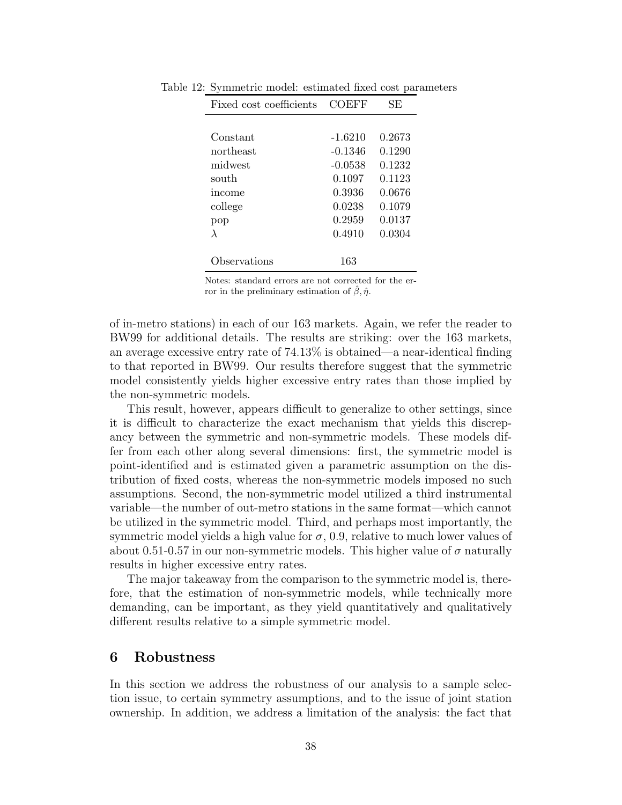| Fixed cost coefficients | COEFF     | SE     |
|-------------------------|-----------|--------|
|                         |           |        |
| Constant                | $-1.6210$ | 0.2673 |
| northeast               | $-0.1346$ | 0.1290 |
| midwest                 | $-0.0538$ | 0.1232 |
| south                   | 0.1097    | 0.1123 |
| income                  | 0.3936    | 0.0676 |
| college                 | 0.0238    | 0.1079 |
| pop                     | 0.2959    | 0.0137 |
| λ                       | 0.4910    | 0.0304 |
|                         |           |        |
| bservations             | 163       |        |

Table 12: Symmetric model: estimated fixed cost parameters

Notes: standard errors are not corrected for the error in the preliminary estimation of  $\hat{\beta}$ ,  $\hat{\eta}$ .

of in-metro stations) in each of our 163 markets. Again, we refer the reader to BW99 for additional details. The results are striking: over the 163 markets, an average excessive entry rate of 74.13% is obtained—a near-identical finding to that reported in BW99. Our results therefore suggest that the symmetric model consistently yields higher excessive entry rates than those implied by the non-symmetric models.

This result, however, appears difficult to generalize to other settings, since it is difficult to characterize the exact mechanism that yields this discrepancy between the symmetric and non-symmetric models. These models differ from each other along several dimensions: first, the symmetric model is point-identified and is estimated given a parametric assumption on the distribution of fixed costs, whereas the non-symmetric models imposed no such assumptions. Second, the non-symmetric model utilized a third instrumental variable—the number of out-metro stations in the same format—which cannot be utilized in the symmetric model. Third, and perhaps most importantly, the symmetric model yields a high value for  $\sigma$ , 0.9, relative to much lower values of about 0.51-0.57 in our non-symmetric models. This higher value of  $\sigma$  naturally results in higher excessive entry rates.

The major takeaway from the comparison to the symmetric model is, therefore, that the estimation of non-symmetric models, while technically more demanding, can be important, as they yield quantitatively and qualitatively different results relative to a simple symmetric model.

# 6 Robustness

In this section we address the robustness of our analysis to a sample selection issue, to certain symmetry assumptions, and to the issue of joint station ownership. In addition, we address a limitation of the analysis: the fact that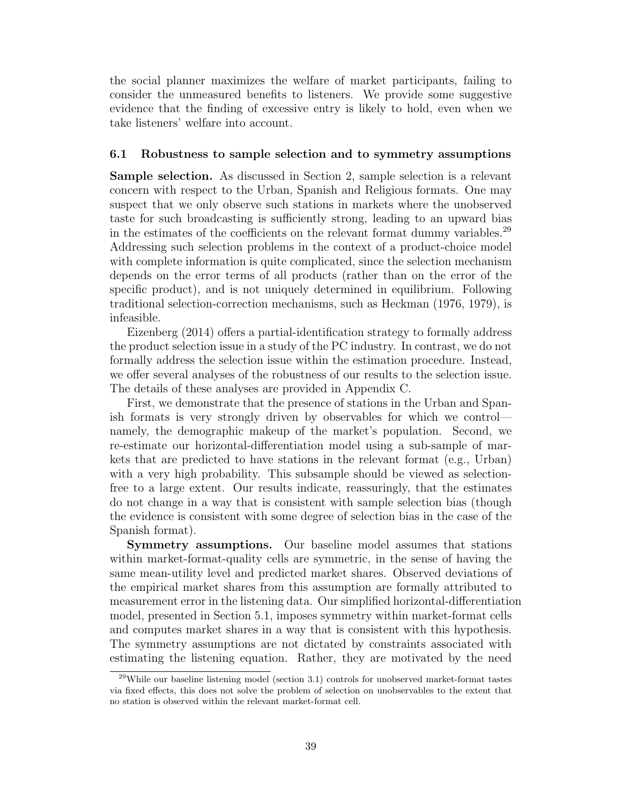the social planner maximizes the welfare of market participants, failing to consider the unmeasured benefits to listeners. We provide some suggestive evidence that the finding of excessive entry is likely to hold, even when we take listeners' welfare into account.

#### 6.1 Robustness to sample selection and to symmetry assumptions

Sample selection. As discussed in Section 2, sample selection is a relevant concern with respect to the Urban, Spanish and Religious formats. One may suspect that we only observe such stations in markets where the unobserved taste for such broadcasting is sufficiently strong, leading to an upward bias in the estimates of the coefficients on the relevant format dummy variables.<sup>29</sup> Addressing such selection problems in the context of a product-choice model with complete information is quite complicated, since the selection mechanism depends on the error terms of all products (rather than on the error of the specific product), and is not uniquely determined in equilibrium. Following traditional selection-correction mechanisms, such as Heckman (1976, 1979), is infeasible.

Eizenberg (2014) offers a partial-identification strategy to formally address the product selection issue in a study of the PC industry. In contrast, we do not formally address the selection issue within the estimation procedure. Instead, we offer several analyses of the robustness of our results to the selection issue. The details of these analyses are provided in Appendix C.

First, we demonstrate that the presence of stations in the Urban and Spanish formats is very strongly driven by observables for which we control namely, the demographic makeup of the market's population. Second, we re-estimate our horizontal-differentiation model using a sub-sample of markets that are predicted to have stations in the relevant format (e.g., Urban) with a very high probability. This subsample should be viewed as selectionfree to a large extent. Our results indicate, reassuringly, that the estimates do not change in a way that is consistent with sample selection bias (though the evidence is consistent with some degree of selection bias in the case of the Spanish format).

Symmetry assumptions. Our baseline model assumes that stations within market-format-quality cells are symmetric, in the sense of having the same mean-utility level and predicted market shares. Observed deviations of the empirical market shares from this assumption are formally attributed to measurement error in the listening data. Our simplified horizontal-differentiation model, presented in Section 5.1, imposes symmetry within market-format cells and computes market shares in a way that is consistent with this hypothesis. The symmetry assumptions are not dictated by constraints associated with estimating the listening equation. Rather, they are motivated by the need

 $^{29}$ While our baseline listening model (section 3.1) controls for unobserved market-format tastes via fixed effects, this does not solve the problem of selection on unobservables to the extent that no station is observed within the relevant market-format cell.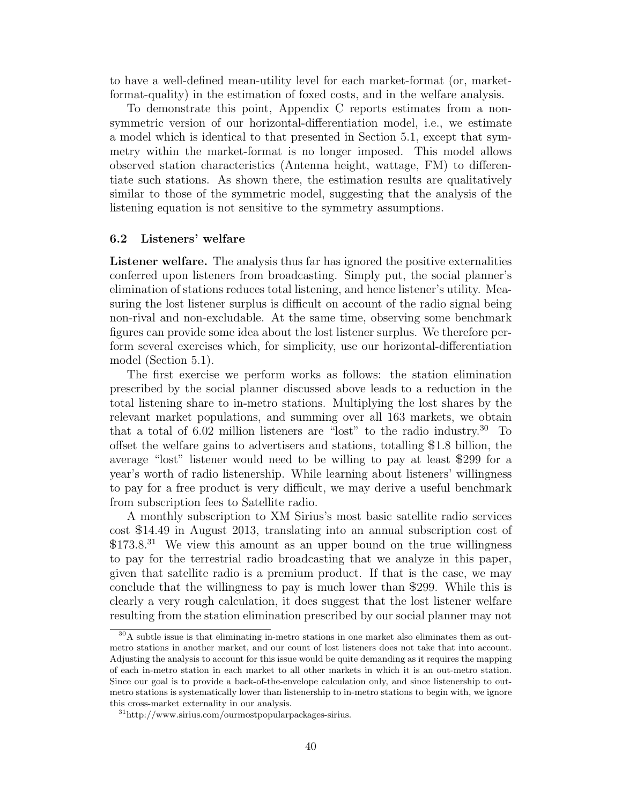to have a well-defined mean-utility level for each market-format (or, marketformat-quality) in the estimation of foxed costs, and in the welfare analysis.

To demonstrate this point, Appendix C reports estimates from a nonsymmetric version of our horizontal-differentiation model, i.e., we estimate a model which is identical to that presented in Section 5.1, except that symmetry within the market-format is no longer imposed. This model allows observed station characteristics (Antenna height, wattage, FM) to differentiate such stations. As shown there, the estimation results are qualitatively similar to those of the symmetric model, suggesting that the analysis of the listening equation is not sensitive to the symmetry assumptions.

#### 6.2 Listeners' welfare

Listener welfare. The analysis thus far has ignored the positive externalities conferred upon listeners from broadcasting. Simply put, the social planner's elimination of stations reduces total listening, and hence listener's utility. Measuring the lost listener surplus is difficult on account of the radio signal being non-rival and non-excludable. At the same time, observing some benchmark figures can provide some idea about the lost listener surplus. We therefore perform several exercises which, for simplicity, use our horizontal-differentiation model (Section 5.1).

The first exercise we perform works as follows: the station elimination prescribed by the social planner discussed above leads to a reduction in the total listening share to in-metro stations. Multiplying the lost shares by the relevant market populations, and summing over all 163 markets, we obtain that a total of 6.02 million listeners are "lost" to the radio industry.<sup>30</sup> To offset the welfare gains to advertisers and stations, totalling  $$1.8$  billion, the average "lost" listener would need to be willing to pay at least 299 for a year's worth of radio listenership. While learning about listeners' willingness to pay for a free product is very difficult, we may derive a useful benchmark from subscription fees to Satellite radio.

A monthly subscription to XM Sirius's most basic satellite radio services cost 14.49 in August 2013, translating into an annual subscription cost of  $$173.8<sup>31</sup>$  We view this amount as an upper bound on the true willingness to pay for the terrestrial radio broadcasting that we analyze in this paper, given that satellite radio is a premium product. If that is the case, we may conclude that the willingness to pay is much lower than \$299. While this is clearly a very rough calculation, it does suggest that the lost listener welfare resulting from the station elimination prescribed by our social planner may not

<sup>&</sup>lt;sup>30</sup>A subtle issue is that eliminating in-metro stations in one market also eliminates them as outmetro stations in another market, and our count of lost listeners does not take that into account. Adjusting the analysis to account for this issue would be quite demanding as it requires the mapping of each in-metro station in each market to all other markets in which it is an out-metro station. Since our goal is to provide a back-of-the-envelope calculation only, and since listenership to outmetro stations is systematically lower than listenership to in-metro stations to begin with, we ignore this cross-market externality in our analysis.

<sup>31</sup>http://www.sirius.com/ourmostpopularpackages-sirius.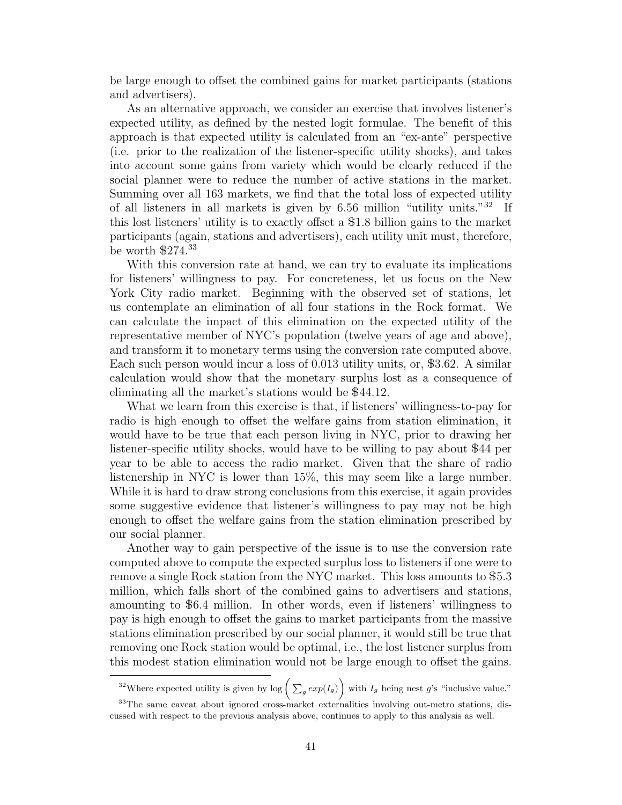be large enough to offset the combined gains for market participants (stations and advertisers).

As an alternative approach, we consider an exercise that involves listener's expected utility, as defined by the nested logit formulae. The benefit of this approach is that expected utility is calculated from an "ex-ante" perspective (i.e. prior to the realization of the listener-specific utility shocks), and takes into account some gains from variety which would be clearly reduced if the social planner were to reduce the number of active stations in the market. Summing over all 163 markets, we find that the total loss of expected utility of all listeners in all markets is given by  $6.56$  million "utility units."<sup>32</sup> If this lost listeners' utility is to exactly offset a  $$1.8$  billion gains to the market participants (again, stations and advertisers), each utility unit must, therefore, be worth  $$274.<sup>33</sup>$ 

With this conversion rate at hand, we can try to evaluate its implications for listeners' willingness to pay. For concreteness, let us focus on the New York City radio market. Beginning with the observed set of stations, let us contemplate an elimination of all four stations in the Rock format. We can calculate the impact of this elimination on the expected utility of the representative member of NYC's population (twelve years of age and above), and transform it to monetary terms using the conversion rate computed above. Each such person would incur a loss of 0.013 utility units, or, \$3.62. A similar calculation would show that the monetary surplus lost as a consequence of eliminating all the market's stations would be  $$44.12$ .

What we learn from this exercise is that, if listeners' willingness-to-pay for radio is high enough to offset the welfare gains from station elimination, it would have to be true that each person living in NYC, prior to drawing her listener-specific utility shocks, would have to be willing to pay about \$44 per year to be able to access the radio market. Given that the share of radio listenership in NYC is lower than 15%, this may seem like a large number. While it is hard to draw strong conclusions from this exercise, it again provides some suggestive evidence that listener's willingness to pay may not be high enough to offset the welfare gains from the station elimination prescribed by our social planner.

Another way to gain perspective of the issue is to use the conversion rate computed above to compute the expected surplus loss to listeners if one were to remove a single Rock station from the NYC market. This loss amounts to 5.3 million, which falls short of the combined gains to advertisers and stations, amounting to 6.4 million. In other words, even if listeners' willingness to pay is high enough to offset the gains to market participants from the massive stations elimination prescribed by our social planner, it would still be true that removing one Rock station would be optimal, i.e., the lost listener surplus from this modest station elimination would not be large enough to offset the gains.

<sup>&</sup>lt;sup>32</sup>Where expected utility is given by  $\log \left( \sum_g exp(I_g) \right)$  with  $I_g$  being nest g's "inclusive value."

<sup>&</sup>lt;sup>33</sup>The same caveat about ignored cross-market externalities involving out-metro stations, discussed with respect to the previous analysis above, continues to apply to this analysis as well.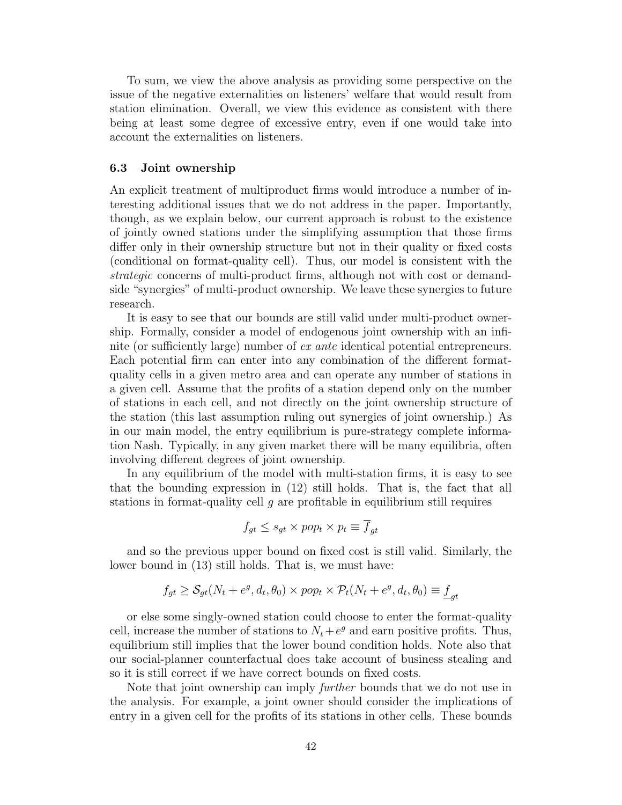To sum, we view the above analysis as providing some perspective on the issue of the negative externalities on listeners' welfare that would result from station elimination. Overall, we view this evidence as consistent with there being at least some degree of excessive entry, even if one would take into account the externalities on listeners.

#### 6.3 Joint ownership

An explicit treatment of multiproduct firms would introduce a number of interesting additional issues that we do not address in the paper. Importantly, though, as we explain below, our current approach is robust to the existence of jointly owned stations under the simplifying assumption that those firms differ only in their ownership structure but not in their quality or fixed costs (conditional on format-quality cell). Thus, our model is consistent with the strategic concerns of multi-product firms, although not with cost or demandside "synergies" of multi-product ownership. We leave these synergies to future research.

It is easy to see that our bounds are still valid under multi-product ownership. Formally, consider a model of endogenous joint ownership with an infinite (or sufficiently large) number of ex ante identical potential entrepreneurs. Each potential firm can enter into any combination of the different formatquality cells in a given metro area and can operate any number of stations in a given cell. Assume that the profits of a station depend only on the number of stations in each cell, and not directly on the joint ownership structure of the station (this last assumption ruling out synergies of joint ownership.) As in our main model, the entry equilibrium is pure-strategy complete information Nash. Typically, in any given market there will be many equilibria, often involving different degrees of joint ownership.

In any equilibrium of the model with multi-station firms, it is easy to see that the bounding expression in (12) still holds. That is, the fact that all stations in format-quality cell  $g$  are profitable in equilibrium still requires

$$
f_{gt} \le s_{gt} \times pop_t \times p_t \equiv f_{gt}
$$

and so the previous upper bound on fixed cost is still valid. Similarly, the lower bound in (13) still holds. That is, we must have:

$$
f_{gt} \geq \mathcal{S}_{gt}(N_t + e^g, d_t, \theta_0) \times pop_t \times \mathcal{P}_t(N_t + e^g, d_t, \theta_0) \equiv \underline{f}_{gt}
$$

or else some singly-owned station could choose to enter the format-quality cell, increase the number of stations to  $N_t + e^g$  and earn positive profits. Thus, equilibrium still implies that the lower bound condition holds. Note also that our social-planner counterfactual does take account of business stealing and so it is still correct if we have correct bounds on fixed costs.

Note that joint ownership can imply *further* bounds that we do not use in the analysis. For example, a joint owner should consider the implications of entry in a given cell for the profits of its stations in other cells. These bounds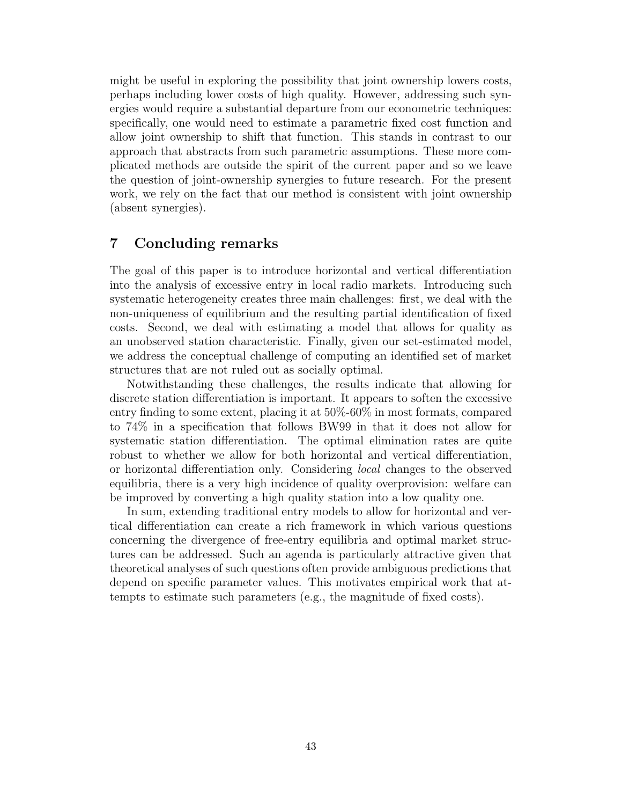might be useful in exploring the possibility that joint ownership lowers costs, perhaps including lower costs of high quality. However, addressing such synergies would require a substantial departure from our econometric techniques: specifically, one would need to estimate a parametric fixed cost function and allow joint ownership to shift that function. This stands in contrast to our approach that abstracts from such parametric assumptions. These more complicated methods are outside the spirit of the current paper and so we leave the question of joint-ownership synergies to future research. For the present work, we rely on the fact that our method is consistent with joint ownership (absent synergies).

# 7 Concluding remarks

The goal of this paper is to introduce horizontal and vertical differentiation into the analysis of excessive entry in local radio markets. Introducing such systematic heterogeneity creates three main challenges: first, we deal with the non-uniqueness of equilibrium and the resulting partial identification of fixed costs. Second, we deal with estimating a model that allows for quality as an unobserved station characteristic. Finally, given our set-estimated model, we address the conceptual challenge of computing an identified set of market structures that are not ruled out as socially optimal.

Notwithstanding these challenges, the results indicate that allowing for discrete station differentiation is important. It appears to soften the excessive entry finding to some extent, placing it at 50%-60% in most formats, compared to 74% in a specification that follows BW99 in that it does not allow for systematic station differentiation. The optimal elimination rates are quite robust to whether we allow for both horizontal and vertical differentiation, or horizontal differentiation only. Considering local changes to the observed equilibria, there is a very high incidence of quality overprovision: welfare can be improved by converting a high quality station into a low quality one.

In sum, extending traditional entry models to allow for horizontal and vertical differentiation can create a rich framework in which various questions concerning the divergence of free-entry equilibria and optimal market structures can be addressed. Such an agenda is particularly attractive given that theoretical analyses of such questions often provide ambiguous predictions that depend on specific parameter values. This motivates empirical work that attempts to estimate such parameters (e.g., the magnitude of fixed costs).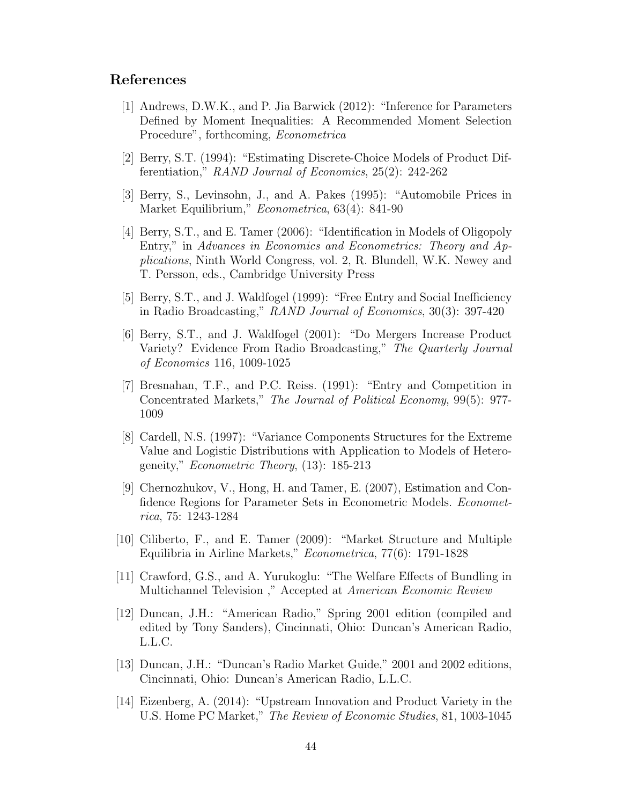# References

- [1] Andrews, D.W.K., and P. Jia Barwick (2012): "Inference for Parameters Defined by Moment Inequalities: A Recommended Moment Selection Procedure", forthcoming, Econometrica
- [2] Berry, S.T. (1994): "Estimating Discrete-Choice Models of Product Differentiation," RAND Journal of Economics, 25(2): 242-262
- [3] Berry, S., Levinsohn, J., and A. Pakes (1995): "Automobile Prices in Market Equilibrium," Econometrica, 63(4): 841-90
- [4] Berry, S.T., and E. Tamer (2006): "Identification in Models of Oligopoly Entry," in Advances in Economics and Econometrics: Theory and Applications, Ninth World Congress, vol. 2, R. Blundell, W.K. Newey and T. Persson, eds., Cambridge University Press
- [5] Berry, S.T., and J. Waldfogel (1999): "Free Entry and Social Inefficiency in Radio Broadcasting," RAND Journal of Economics, 30(3): 397-420
- [6] Berry, S.T., and J. Waldfogel (2001): "Do Mergers Increase Product Variety? Evidence From Radio Broadcasting," The Quarterly Journal of Economics 116, 1009-1025
- [7] Bresnahan, T.F., and P.C. Reiss. (1991): "Entry and Competition in Concentrated Markets," The Journal of Political Economy, 99(5): 977- 1009
- [8] Cardell, N.S. (1997): "Variance Components Structures for the Extreme Value and Logistic Distributions with Application to Models of Heterogeneity," Econometric Theory, (13): 185-213
- [9] Chernozhukov, V., Hong, H. and Tamer, E. (2007), Estimation and Confidence Regions for Parameter Sets in Econometric Models. *Economet*rica, 75: 1243-1284
- [10] Ciliberto, F., and E. Tamer (2009): "Market Structure and Multiple Equilibria in Airline Markets," Econometrica, 77(6): 1791-1828
- [11] Crawford, G.S., and A. Yurukoglu: "The Welfare Effects of Bundling in Multichannel Television ," Accepted at American Economic Review
- [12] Duncan, J.H.: "American Radio," Spring 2001 edition (compiled and edited by Tony Sanders), Cincinnati, Ohio: Duncan's American Radio, L.L.C.
- [13] Duncan, J.H.: "Duncan's Radio Market Guide," 2001 and 2002 editions, Cincinnati, Ohio: Duncan's American Radio, L.L.C.
- [14] Eizenberg, A. (2014): "Upstream Innovation and Product Variety in the U.S. Home PC Market," The Review of Economic Studies, 81, 1003-1045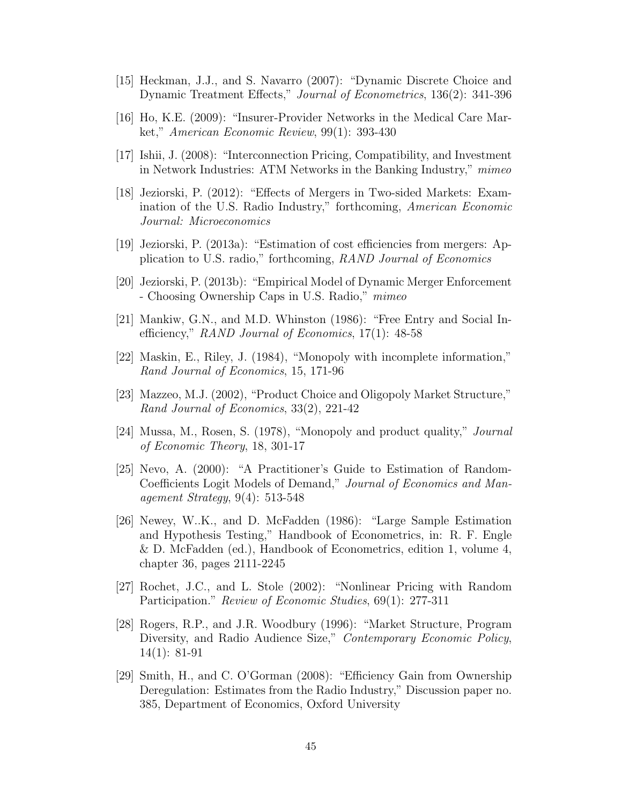- [15] Heckman, J.J., and S. Navarro (2007): "Dynamic Discrete Choice and Dynamic Treatment Effects," Journal of Econometrics, 136(2): 341-396
- [16] Ho, K.E. (2009): "Insurer-Provider Networks in the Medical Care Market," American Economic Review, 99(1): 393-430
- [17] Ishii, J. (2008): "Interconnection Pricing, Compatibility, and Investment in Network Industries: ATM Networks in the Banking Industry," mimeo
- [18] Jeziorski, P. (2012): "Effects of Mergers in Two-sided Markets: Examination of the U.S. Radio Industry," forthcoming, American Economic Journal: Microeconomics
- [19] Jeziorski, P. (2013a): "Estimation of cost efficiencies from mergers: Application to U.S. radio," forthcoming, RAND Journal of Economics
- [20] Jeziorski, P. (2013b): "Empirical Model of Dynamic Merger Enforcement - Choosing Ownership Caps in U.S. Radio," mimeo
- [21] Mankiw, G.N., and M.D. Whinston (1986): "Free Entry and Social Inefficiency," RAND Journal of Economics, 17(1): 48-58
- [22] Maskin, E., Riley, J. (1984), "Monopoly with incomplete information," Rand Journal of Economics, 15, 171-96
- [23] Mazzeo, M.J. (2002), "Product Choice and Oligopoly Market Structure," Rand Journal of Economics, 33(2), 221-42
- [24] Mussa, M., Rosen, S. (1978), "Monopoly and product quality," Journal of Economic Theory, 18, 301-17
- [25] Nevo, A. (2000): "A Practitioner's Guide to Estimation of Random-Coefficients Logit Models of Demand," Journal of Economics and Management Strategy, 9(4): 513-548
- [26] Newey, W..K., and D. McFadden (1986): "Large Sample Estimation and Hypothesis Testing," Handbook of Econometrics, in: R. F. Engle & D. McFadden (ed.), Handbook of Econometrics, edition 1, volume 4, chapter 36, pages 2111-2245
- [27] Rochet, J.C., and L. Stole (2002): "Nonlinear Pricing with Random Participation." Review of Economic Studies, 69(1): 277-311
- [28] Rogers, R.P., and J.R. Woodbury (1996): "Market Structure, Program Diversity, and Radio Audience Size," *Contemporary Economic Policy*, 14(1): 81-91
- [29] Smith, H., and C. O'Gorman (2008): "Efficiency Gain from Ownership Deregulation: Estimates from the Radio Industry," Discussion paper no. 385, Department of Economics, Oxford University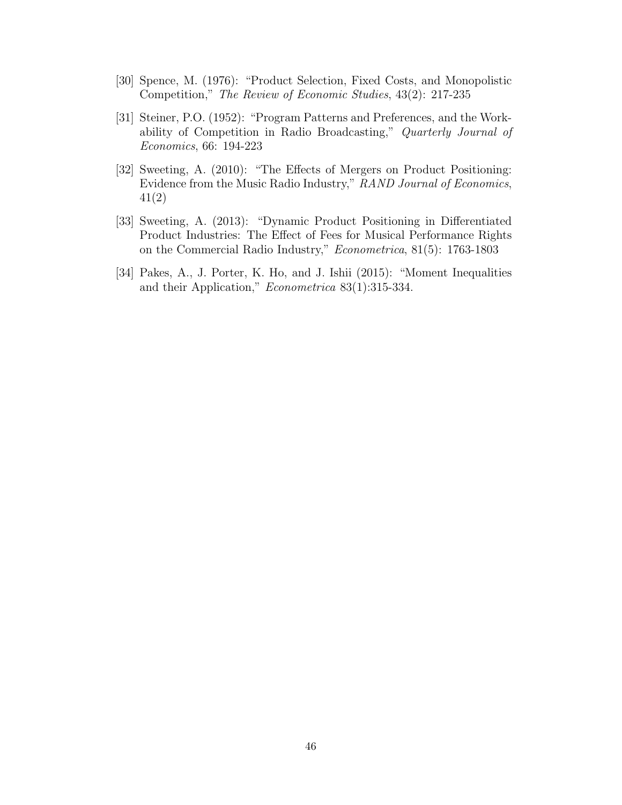- [30] Spence, M. (1976): "Product Selection, Fixed Costs, and Monopolistic Competition," The Review of Economic Studies, 43(2): 217-235
- [31] Steiner, P.O. (1952): "Program Patterns and Preferences, and the Workability of Competition in Radio Broadcasting," Quarterly Journal of Economics, 66: 194-223
- [32] Sweeting, A. (2010): "The Effects of Mergers on Product Positioning: Evidence from the Music Radio Industry," RAND Journal of Economics, 41(2)
- [33] Sweeting, A. (2013): "Dynamic Product Positioning in Differentiated Product Industries: The Effect of Fees for Musical Performance Rights on the Commercial Radio Industry," Econometrica, 81(5): 1763-1803
- [34] Pakes, A., J. Porter, K. Ho, and J. Ishii (2015): "Moment Inequalities and their Application," Econometrica 83(1):315-334.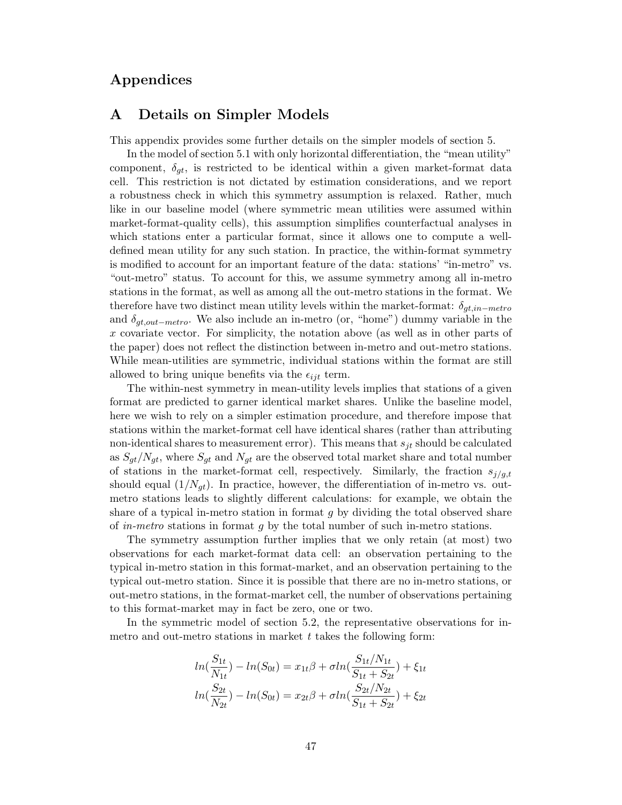# Appendices

# A Details on Simpler Models

This appendix provides some further details on the simpler models of section 5.

In the model of section 5.1 with only horizontal differentiation, the "mean utility" component,  $\delta_{qt}$ , is restricted to be identical within a given market-format data cell. This restriction is not dictated by estimation considerations, and we report a robustness check in which this symmetry assumption is relaxed. Rather, much like in our baseline model (where symmetric mean utilities were assumed within market-format-quality cells), this assumption simplifies counterfactual analyses in which stations enter a particular format, since it allows one to compute a welldefined mean utility for any such station. In practice, the within-format symmetry is modified to account for an important feature of the data: stations' "in-metro" vs. "out-metro" status. To account for this, we assume symmetry among all in-metro stations in the format, as well as among all the out-metro stations in the format. We therefore have two distinct mean utility levels within the market-format:  $\delta_{gt,in-metro}$ and  $\delta_{qt,out-metro}$ . We also include an in-metro (or, "home") dummy variable in the x covariate vector. For simplicity, the notation above (as well as in other parts of the paper) does not reflect the distinction between in-metro and out-metro stations. While mean-utilities are symmetric, individual stations within the format are still allowed to bring unique benefits via the  $\epsilon_{iik}$  term.

The within-nest symmetry in mean-utility levels implies that stations of a given format are predicted to garner identical market shares. Unlike the baseline model, here we wish to rely on a simpler estimation procedure, and therefore impose that stations within the market-format cell have identical shares (rather than attributing non-identical shares to measurement error). This means that  $s_{it}$  should be calculated as  $S_{gt}/N_{gt}$ , where  $S_{gt}$  and  $N_{gt}$  are the observed total market share and total number of stations in the market-format cell, respectively. Similarly, the fraction  $s_{j/g,t}$ should equal  $(1/N_{gt})$ . In practice, however, the differentiation of in-metro vs. outmetro stations leads to slightly different calculations: for example, we obtain the share of a typical in-metro station in format  $g$  by dividing the total observed share of in-metro stations in format g by the total number of such in-metro stations.

The symmetry assumption further implies that we only retain (at most) two observations for each market-format data cell: an observation pertaining to the typical in-metro station in this format-market, and an observation pertaining to the typical out-metro station. Since it is possible that there are no in-metro stations, or out-metro stations, in the format-market cell, the number of observations pertaining to this format-market may in fact be zero, one or two.

In the symmetric model of section 5.2, the representative observations for inmetro and out-metro stations in market  $t$  takes the following form:

$$
ln(\frac{S_{1t}}{N_{1t}}) - ln(S_{0t}) = x_{1t}\beta + \sigma ln(\frac{S_{1t}/N_{1t}}{S_{1t} + S_{2t}}) + \xi_{1t}
$$

$$
ln(\frac{S_{2t}}{N_{2t}}) - ln(S_{0t}) = x_{2t}\beta + \sigma ln(\frac{S_{2t}/N_{2t}}{S_{1t} + S_{2t}}) + \xi_{2t}
$$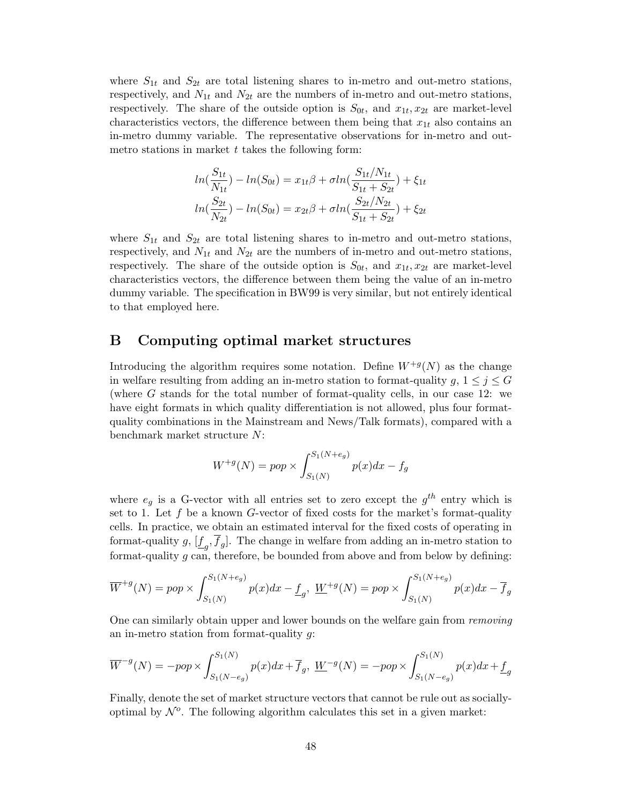where  $S_{1t}$  and  $S_{2t}$  are total listening shares to in-metro and out-metro stations, respectively, and  $N_{1t}$  and  $N_{2t}$  are the numbers of in-metro and out-metro stations, respectively. The share of the outside option is  $S_{0t}$ , and  $x_{1t}, x_{2t}$  are market-level characteristics vectors, the difference between them being that  $x_{1t}$  also contains an in-metro dummy variable. The representative observations for in-metro and outmetro stations in market  $t$  takes the following form:

$$
ln(\frac{S_{1t}}{N_{1t}}) - ln(S_{0t}) = x_{1t}\beta + \sigma ln(\frac{S_{1t}/N_{1t}}{S_{1t} + S_{2t}}) + \xi_{1t}
$$

$$
ln(\frac{S_{2t}}{N_{2t}}) - ln(S_{0t}) = x_{2t}\beta + \sigma ln(\frac{S_{2t}/N_{2t}}{S_{1t} + S_{2t}}) + \xi_{2t}
$$

where  $S_{1t}$  and  $S_{2t}$  are total listening shares to in-metro and out-metro stations, respectively, and  $N_{1t}$  and  $N_{2t}$  are the numbers of in-metro and out-metro stations, respectively. The share of the outside option is  $S_{0t}$ , and  $x_{1t}, x_{2t}$  are market-level characteristics vectors, the difference between them being the value of an in-metro dummy variable. The specification in BW99 is very similar, but not entirely identical to that employed here.

# B Computing optimal market structures

Introducing the algorithm requires some notation. Define  $W^{+g}(N)$  as the change in welfare resulting from adding an in-metro station to format-quality g,  $1 \leq j \leq G$ (where G stands for the total number of format-quality cells, in our case 12: we have eight formats in which quality differentiation is not allowed, plus four formatquality combinations in the Mainstream and News/Talk formats), compared with a benchmark market structure N:

$$
W^{+g}(N) = pop \times \int_{S_1(N)}^{S_1(N+e_g)} p(x) dx - f_g
$$

where  $e_g$  is a G-vector with all entries set to zero except the  $g^{th}$  entry which is set to 1. Let  $f$  be a known  $G$ -vector of fixed costs for the market's format-quality cells. In practice, we obtain an estimated interval for the fixed costs of operating in format-quality  $g$ ,  $[\underline{f}_g, f_g]$ . The change in welfare from adding an in-metro station to format-quality  $g$  can, therefore, be bounded from above and from below by defining:

$$
\overline{W}^{+g}(N) = pop \times \int_{S_1(N)}^{S_1(N+e_g)} p(x)dx - \underline{f}_g, \ \underline{W}^{+g}(N) = pop \times \int_{S_1(N)}^{S_1(N+e_g)} p(x)dx - \overline{f}_g
$$

One can similarly obtain upper and lower bounds on the welfare gain from removing an in-metro station from format-quality  $g$ :

$$
\overline{W}^{-g}(N) = -pop \times \int_{S_1(N-e_g)}^{S_1(N)} p(x)dx + \overline{f}_g, \ \underline{W}^{-g}(N) = -pop \times \int_{S_1(N-e_g)}^{S_1(N)} p(x)dx + \underline{f}_g
$$

Finally, denote the set of market structure vectors that cannot be rule out as sociallyoptimal by  $\mathcal{N}^o$ . The following algorithm calculates this set in a given market: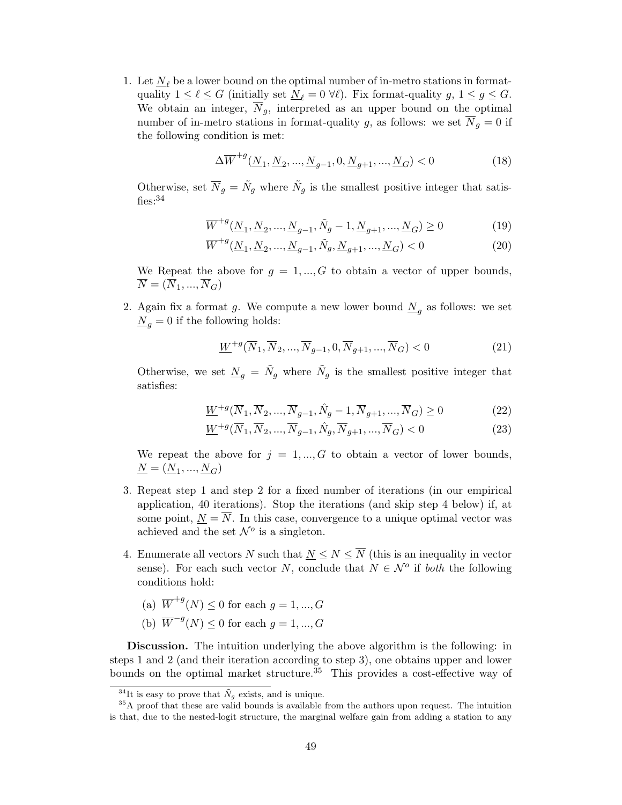1. Let  $N_\ell$  be a lower bound on the optimal number of in-metro stations in formatquality  $1 \leq \ell \leq G$  (initially set  $N_\ell = 0 \ \forall \ell$ ). Fix format-quality g,  $1 \leq g \leq G$ . We obtain an integer,  $\overline{N}_g$ , interpreted as an upper bound on the optimal number of in-metro stations in format-quality g, as follows: we set  $\overline{N}_q = 0$  if the following condition is met:

$$
\Delta \overline{W}^{+g}(\underline{N}_1, \underline{N}_2, ..., \underline{N}_{g-1}, 0, \underline{N}_{g+1}, ..., \underline{N}_G) < 0 \tag{18}
$$

Otherwise, set  $\overline{N}_g = \tilde{N}_g$  where  $\tilde{N}_g$  is the smallest positive integer that satisfies:  $34$ 

$$
\overline{W}^{+g}(\underline{N}_1, \underline{N}_2, ..., \underline{N}_{g-1}, \tilde{N}_g - 1, \underline{N}_{g+1}, ..., \underline{N}_G) \ge 0
$$
\n(19)

$$
\overline{W}^{+g}(\underline{N}_1, \underline{N}_2, ..., \underline{N}_{g-1}, \tilde{N}_g, \underline{N}_{g+1}, ..., \underline{N}_G) < 0 \tag{20}
$$

We Repeat the above for  $g = 1, ..., G$  to obtain a vector of upper bounds,  $\overline{N} = (\overline{N}_1, ..., \overline{N}_G)$ 

2. Again fix a format g. We compute a new lower bound  $\underline{N}_g$  as follows: we set  $\underline{N}_q = 0$  if the following holds:

$$
\underline{W}^{+g}(\overline{N}_1, \overline{N}_2, \dots, \overline{N}_{g-1}, 0, \overline{N}_{g+1}, \dots, \overline{N}_G) < 0 \tag{21}
$$

Otherwise, we set  $\underline{N}_g = \tilde{N}_g$  where  $\tilde{N}_g$  is the smallest positive integer that satisfies:

$$
\underline{W}^{+g}(\overline{N}_1, \overline{N}_2, ..., \overline{N}_{g-1}, \hat{N}_g - 1, \overline{N}_{g+1}, ..., \overline{N}_G) \ge 0
$$
\n(22)

$$
\underline{W}^{+g}(\overline{N}_1, \overline{N}_2, \dots, \overline{N}_{g-1}, \hat{N}_g, \overline{N}_{g+1}, \dots, \overline{N}_G) < 0 \tag{23}
$$

We repeat the above for  $j = 1, ..., G$  to obtain a vector of lower bounds,  $\underline{N}=(\underline{N}_1,...,\underline{N}_G)$ 

- 3. Repeat step 1 and step 2 for a fixed number of iterations (in our empirical application, 40 iterations). Stop the iterations (and skip step 4 below) if, at some point,  $N = \overline{N}$ . In this case, convergence to a unique optimal vector was achieved and the set  $\mathcal{N}^o$  is a singleton.
- 4. Enumerate all vectors N such that  $N \leq N \leq \overline{N}$  (this is an inequality in vector sense). For each such vector N, conclude that  $N \in \mathcal{N}^{\circ}$  if both the following conditions hold:
	- (a)  $\overline{W}^{+g}(N) \leq 0$  for each  $g = 1, ..., G$
	- (b)  $\overline{W}^{-g}(N) \leq 0$  for each  $g = 1, ..., G$

Discussion. The intuition underlying the above algorithm is the following: in steps 1 and 2 (and their iteration according to step 3), one obtains upper and lower bounds on the optimal market structure.<sup>35</sup> This provides a cost-effective way of

<sup>&</sup>lt;sup>34</sup>It is easy to prove that  $\tilde{N}_q$  exists, and is unique.

<sup>&</sup>lt;sup>35</sup>A proof that these are valid bounds is available from the authors upon request. The intuition is that, due to the nested-logit structure, the marginal welfare gain from adding a station to any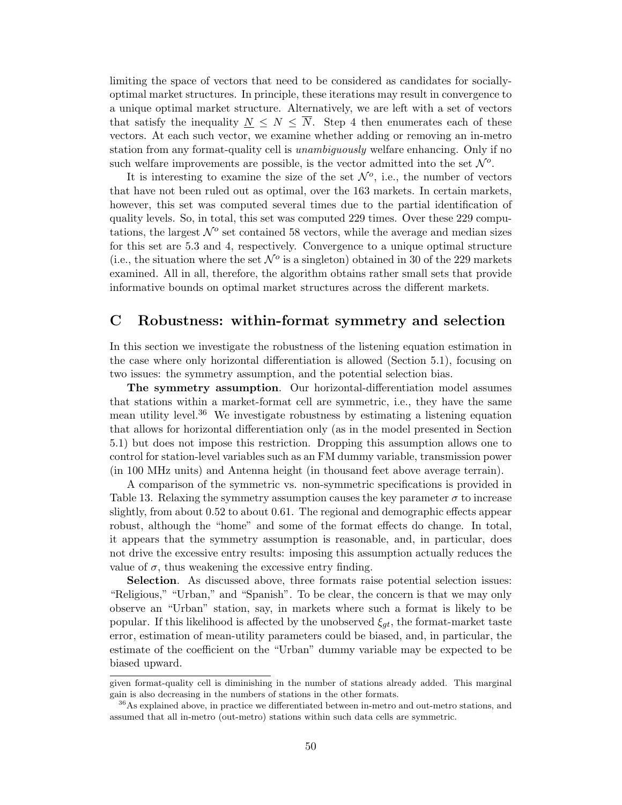limiting the space of vectors that need to be considered as candidates for sociallyoptimal market structures. In principle, these iterations may result in convergence to a unique optimal market structure. Alternatively, we are left with a set of vectors that satisfy the inequality  $N \leq N \leq \overline{N}$ . Step 4 then enumerates each of these vectors. At each such vector, we examine whether adding or removing an in-metro station from any format-quality cell is *unambiguously* welfare enhancing. Only if no such welfare improvements are possible, is the vector admitted into the set  $\mathcal{N}^o$ .

It is interesting to examine the size of the set  $\mathcal{N}^o$ , i.e., the number of vectors that have not been ruled out as optimal, over the 163 markets. In certain markets, however, this set was computed several times due to the partial identification of quality levels. So, in total, this set was computed 229 times. Over these 229 computations, the largest  $\mathcal{N}^o$  set contained 58 vectors, while the average and median sizes for this set are 5.3 and 4, respectively. Convergence to a unique optimal structure (i.e., the situation where the set  $\mathcal{N}^o$  is a singleton) obtained in 30 of the 229 markets examined. All in all, therefore, the algorithm obtains rather small sets that provide informative bounds on optimal market structures across the different markets.

# C Robustness: within-format symmetry and selection

In this section we investigate the robustness of the listening equation estimation in the case where only horizontal differentiation is allowed (Section 5.1), focusing on two issues: the symmetry assumption, and the potential selection bias.

The symmetry assumption. Our horizontal-differentiation model assumes that stations within a market-format cell are symmetric, i.e., they have the same mean utility level.<sup>36</sup> We investigate robustness by estimating a listening equation that allows for horizontal differentiation only (as in the model presented in Section 5.1) but does not impose this restriction. Dropping this assumption allows one to control for station-level variables such as an FM dummy variable, transmission power (in 100 MHz units) and Antenna height (in thousand feet above average terrain).

A comparison of the symmetric vs. non-symmetric specifications is provided in Table 13. Relaxing the symmetry assumption causes the key parameter  $\sigma$  to increase slightly, from about 0.52 to about 0.61. The regional and demographic effects appear robust, although the "home" and some of the format effects do change. In total, it appears that the symmetry assumption is reasonable, and, in particular, does not drive the excessive entry results: imposing this assumption actually reduces the value of  $\sigma$ , thus weakening the excessive entry finding.

Selection. As discussed above, three formats raise potential selection issues: "Religious," "Urban," and "Spanish". To be clear, the concern is that we may only observe an "Urban" station, say, in markets where such a format is likely to be popular. If this likelihood is affected by the unobserved  $\xi_{qt}$ , the format-market taste error, estimation of mean-utility parameters could be biased, and, in particular, the estimate of the coefficient on the "Urban" dummy variable may be expected to be biased upward.

given format-quality cell is diminishing in the number of stations already added. This marginal gain is also decreasing in the numbers of stations in the other formats.

<sup>&</sup>lt;sup>36</sup>As explained above, in practice we differentiated between in-metro and out-metro stations, and assumed that all in-metro (out-metro) stations within such data cells are symmetric.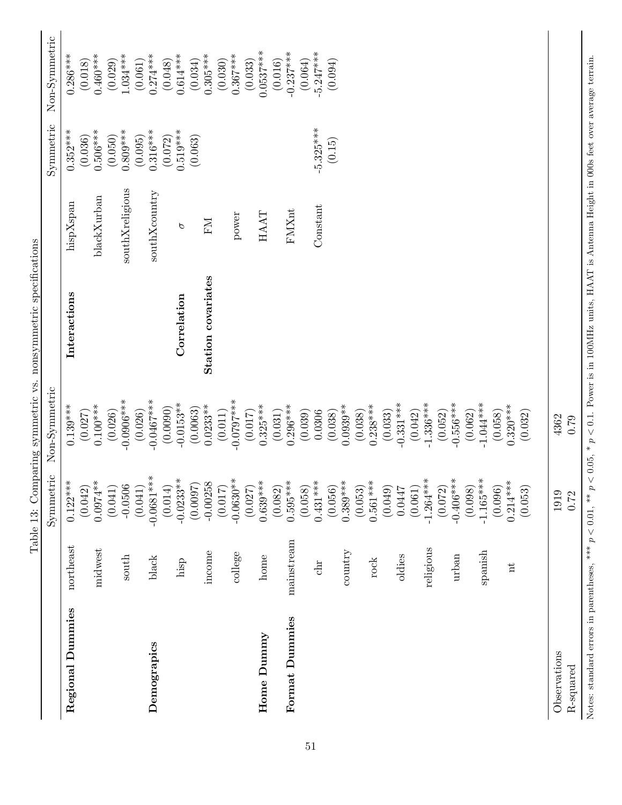|                           |            | Symmetric              | Non-Symmetric          |                    |                 | Symmetric   | Non-Symmetric |
|---------------------------|------------|------------------------|------------------------|--------------------|-----------------|-------------|---------------|
| Regional Dummies          | northeast  | $0.122***$             | $0.139***$             | Interactions       | hispXspan       | $0.352***$  | $0.286***$    |
|                           |            | (0.042)                | (0.027)                |                    |                 | (0.036)     | (0.018)       |
|                           | midwest    | $0.0974**$             | $0.100***$             |                    | blackXurban     | $0.506***$  | $0.460***$    |
|                           |            | (0.041)                | (0.026)                |                    |                 | (0.050)     | (0.029)       |
|                           | south      | $-0.0506$              | $-0.0906***$           |                    | southXreligious | $0.809***$  | $1.034***$    |
|                           |            | (0.041)                | (0.026)                |                    |                 | (0.095)     | (0.061)       |
| Demograpics               | black      | $-0.0681***$           | $-0.0467***$           |                    | southXcountry   | $0.316***$  | $0.274***$    |
|                           |            | (0.014)                | (0.0090)               |                    |                 | (0.072)     | (0.048)       |
|                           | hisp       | $-0.0233**$            | $-0.0153**$            | Correlation        | P               | $0.519***$  | $0.614***$    |
|                           |            | (0.0097)               | (0.0063)               |                    |                 | (0.063)     | (0.034)       |
|                           | income     | $-0.00258$             | $0.0233***$            | Station covariates | FМ              |             | $0.305***$    |
|                           |            | (0.017)                | (0.011)                |                    |                 |             | (0.030)       |
|                           | college    | $-0.0630**$            | $-0.0797***$           |                    | power           |             | $0.367***$    |
|                           |            | (0.027)                | (0.017)                |                    |                 |             | (0.033)       |
| Home Dummy                | home       | $0.639***$             | $0.325***$             |                    | HAAT            |             | $0.0537***$   |
|                           |            | (0.082)                | (0.031)                |                    |                 |             | (0.016)       |
| Format Dummies            | mainstream | $0.595***$             | $0.296***$             |                    | FMXnt           |             | $-0.237***$   |
|                           |            | (0.058)                | (0.039)                |                    |                 |             | (0.064)       |
|                           | dhr        | $0.431***$             | 0.0306                 |                    | Constant        | $-5.325***$ | $-5.247***$   |
|                           |            | (0.056)                | (0.038)                |                    |                 | (0.15)      | (0.094)       |
|                           | country    | $0.389***$             | $0.0939**$             |                    |                 |             |               |
|                           |            | (0.053)                | (0.038)                |                    |                 |             |               |
|                           | rock       | $0.561***$             | $0.238***$             |                    |                 |             |               |
|                           |            | (0.049)                | (0.033)                |                    |                 |             |               |
|                           | oldies     | 0.0447                 | $-0.331***$            |                    |                 |             |               |
|                           |            | (0.061)                | (0.042)                |                    |                 |             |               |
|                           | religious  | $-1.264***$            | $-1.336***$            |                    |                 |             |               |
|                           | urban      | $-0.406***$<br>(0.072) | $-0.556***$<br>(0.052) |                    |                 |             |               |
|                           |            | (0.098)                | (0.062)                |                    |                 |             |               |
|                           | spanish    | $-1.165***$            | $-1.044***$            |                    |                 |             |               |
|                           |            | (0.096)                | (0.058)                |                    |                 |             |               |
|                           | Ħ          | $0.214***$             | $0.320***$             |                    |                 |             |               |
|                           |            | (0.053)                | (0.032)                |                    |                 |             |               |
|                           |            |                        |                        |                    |                 |             |               |
| Observations<br>R-squared |            | 1919<br>0.72           | 4362<br>0.79           |                    |                 |             |               |
|                           |            |                        |                        |                    |                 |             |               |

Notes: standard errors in parentheses, \*\*\*  $p < 0.01$ , \*\*  $p < 0.05$ , \*  $p < 0.1$ . Power is in 100MHz units, HAAT is Antenna Height in 000s feet over average terrain.

Notes: standard errors in parentheses, \*\*\*  $p < 0.01$ , \*\*  $p < 0.05$ , \*  $p < 0.1$ . Power is in 100MHz units, HAAT is Antenna Height in 000s feet over average terrain.

Table 13: Comparing symmetric vs. nonsymmetric specifications Table 13: Comparing symmetric vs. nonsymmetric specifications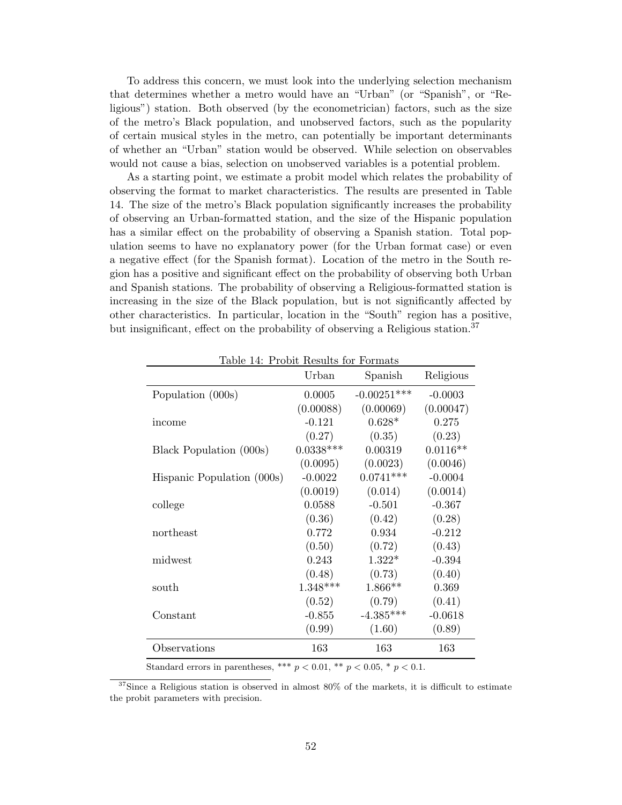To address this concern, we must look into the underlying selection mechanism that determines whether a metro would have an "Urban" (or "Spanish", or "Religious") station. Both observed (by the econometrician) factors, such as the size of the metro's Black population, and unobserved factors, such as the popularity of certain musical styles in the metro, can potentially be important determinants of whether an "Urban" station would be observed. While selection on observables would not cause a bias, selection on unobserved variables is a potential problem.

As a starting point, we estimate a probit model which relates the probability of observing the format to market characteristics. The results are presented in Table 14. The size of the metro's Black population significantly increases the probability of observing an Urban-formatted station, and the size of the Hispanic population has a similar effect on the probability of observing a Spanish station. Total population seems to have no explanatory power (for the Urban format case) or even a negative effect (for the Spanish format). Location of the metro in the South region has a positive and significant effect on the probability of observing both Urban and Spanish stations. The probability of observing a Religious-formatted station is increasing in the size of the Black population, but is not significantly affected by other characteristics. In particular, location in the "South" region has a positive, but insignificant, effect on the probability of observing a Religious station.<sup>37</sup>

| Table 14: Probit Results for Formats |             |               |            |  |
|--------------------------------------|-------------|---------------|------------|--|
|                                      | Urban       | Spanish       | Religious  |  |
| Population (000s)                    | 0.0005      | $-0.00251***$ | $-0.0003$  |  |
|                                      | (0.00088)   | (0.00069)     | (0.00047)  |  |
| income                               | $-0.121$    | $0.628*$      | 0.275      |  |
|                                      | (0.27)      | (0.35)        | (0.23)     |  |
| Black Population (000s)              | $0.0338***$ | 0.00319       | $0.0116**$ |  |
|                                      | (0.0095)    | (0.0023)      | (0.0046)   |  |
| Hispanic Population (000s)           | $-0.0022$   | $0.0741***$   | $-0.0004$  |  |
|                                      | (0.0019)    | (0.014)       | (0.0014)   |  |
| college                              | 0.0588      | $-0.501$      | $-0.367$   |  |
|                                      | (0.36)      | (0.42)        | (0.28)     |  |
| northeast                            | 0.772       | 0.934         | $-0.212$   |  |
|                                      | (0.50)      | (0.72)        | (0.43)     |  |
| midwest                              | 0.243       | $1.322*$      | $-0.394$   |  |
|                                      | (0.48)      | (0.73)        | (0.40)     |  |
| south                                | $1.348***$  | $1.866**$     | 0.369      |  |
|                                      | (0.52)      | (0.79)        | (0.41)     |  |
| Constant                             | $-0.855$    | $-4.385***$   | $-0.0618$  |  |
|                                      | (0.99)      | (1.60)        | (0.89)     |  |
| Observations                         | 163         | 163           | 163        |  |

Standard errors in parentheses, \*\*\*  $p < 0.01$ , \*\*  $p < 0.05$ , \*  $p < 0.1$ .

 $37$ Since a Religious station is observed in almost 80% of the markets, it is difficult to estimate the probit parameters with precision.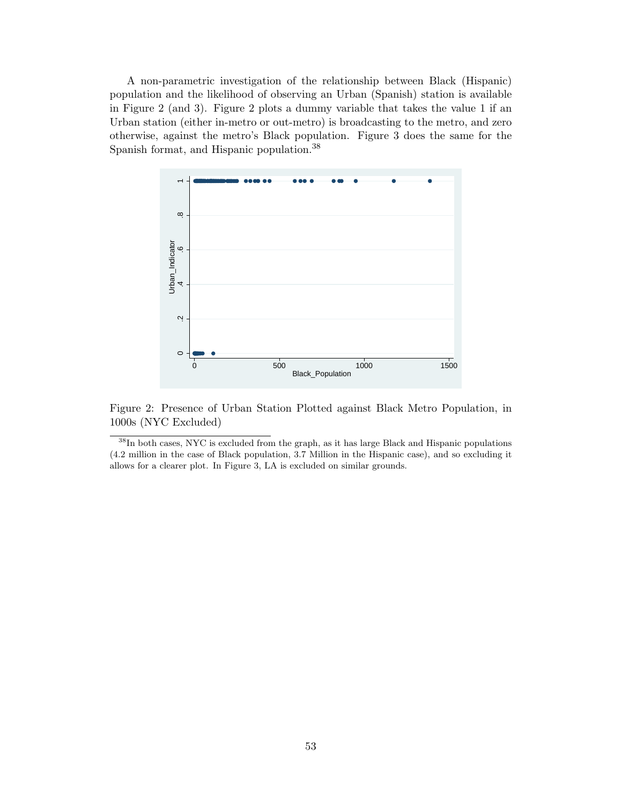A non-parametric investigation of the relationship between Black (Hispanic) population and the likelihood of observing an Urban (Spanish) station is available in Figure 2 (and 3). Figure 2 plots a dummy variable that takes the value 1 if an Urban station (either in-metro or out-metro) is broadcasting to the metro, and zero otherwise, against the metro's Black population. Figure 3 does the same for the Spanish format, and Hispanic population.<sup>38</sup>



Figure 2: Presence of Urban Station Plotted against Black Metro Population, in 1000s (NYC Excluded)

<sup>38</sup>In both cases, NYC is excluded from the graph, as it has large Black and Hispanic populations (4.2 million in the case of Black population, 3.7 Million in the Hispanic case), and so excluding it allows for a clearer plot. In Figure 3, LA is excluded on similar grounds.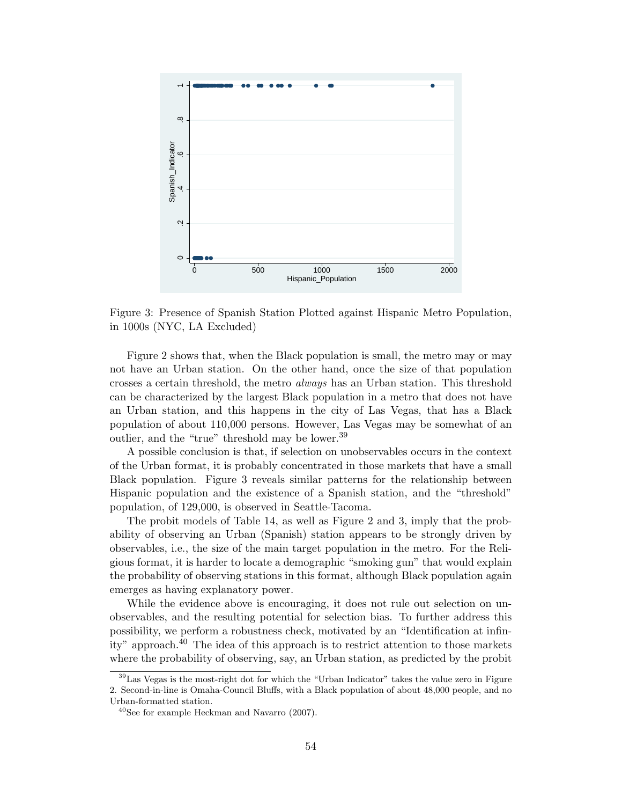

Figure 3: Presence of Spanish Station Plotted against Hispanic Metro Population, in 1000s (NYC, LA Excluded)

Figure 2 shows that, when the Black population is small, the metro may or may not have an Urban station. On the other hand, once the size of that population crosses a certain threshold, the metro always has an Urban station. This threshold can be characterized by the largest Black population in a metro that does not have an Urban station, and this happens in the city of Las Vegas, that has a Black population of about 110,000 persons. However, Las Vegas may be somewhat of an outlier, and the "true" threshold may be lower.<sup>39</sup>

A possible conclusion is that, if selection on unobservables occurs in the context of the Urban format, it is probably concentrated in those markets that have a small Black population. Figure 3 reveals similar patterns for the relationship between Hispanic population and the existence of a Spanish station, and the "threshold" population, of 129,000, is observed in Seattle-Tacoma.

The probit models of Table 14, as well as Figure 2 and 3, imply that the probability of observing an Urban (Spanish) station appears to be strongly driven by observables, i.e., the size of the main target population in the metro. For the Religious format, it is harder to locate a demographic "smoking gun" that would explain the probability of observing stations in this format, although Black population again emerges as having explanatory power.

While the evidence above is encouraging, it does not rule out selection on unobservables, and the resulting potential for selection bias. To further address this possibility, we perform a robustness check, motivated by an "Identification at infinity" approach.<sup>40</sup> The idea of this approach is to restrict attention to those markets where the probability of observing, say, an Urban station, as predicted by the probit

<sup>39</sup>Las Vegas is the most-right dot for which the "Urban Indicator" takes the value zero in Figure 2. Second-in-line is Omaha-Council Bluffs, with a Black population of about 48,000 people, and no Urban-formatted station.

<sup>40</sup>See for example Heckman and Navarro (2007).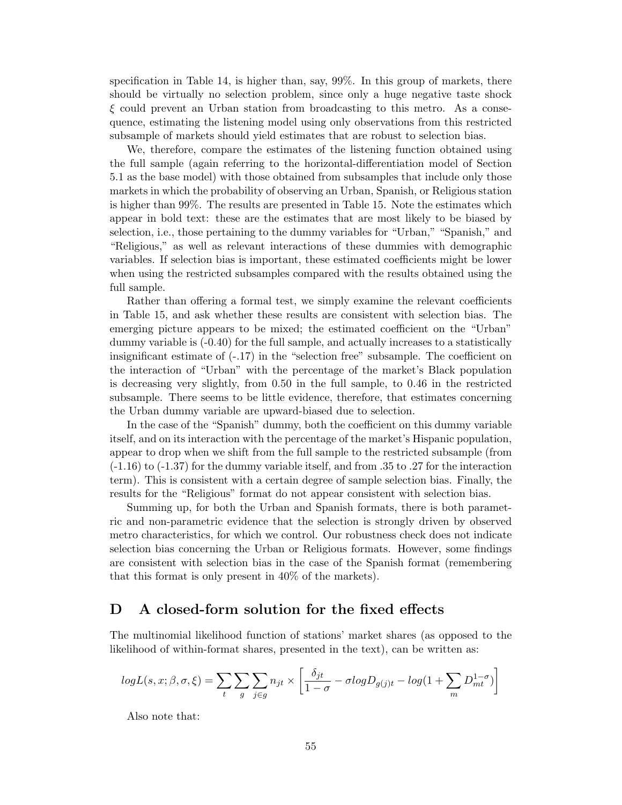specification in Table 14, is higher than, say, 99%. In this group of markets, there should be virtually no selection problem, since only a huge negative taste shock  $\xi$  could prevent an Urban station from broadcasting to this metro. As a consequence, estimating the listening model using only observations from this restricted subsample of markets should yield estimates that are robust to selection bias.

We, therefore, compare the estimates of the listening function obtained using the full sample (again referring to the horizontal-differentiation model of Section 5.1 as the base model) with those obtained from subsamples that include only those markets in which the probability of observing an Urban, Spanish, or Religious station is higher than 99%. The results are presented in Table 15. Note the estimates which appear in bold text: these are the estimates that are most likely to be biased by selection, i.e., those pertaining to the dummy variables for "Urban," "Spanish," and "Religious," as well as relevant interactions of these dummies with demographic variables. If selection bias is important, these estimated coefficients might be lower when using the restricted subsamples compared with the results obtained using the full sample.

Rather than offering a formal test, we simply examine the relevant coefficients in Table 15, and ask whether these results are consistent with selection bias. The emerging picture appears to be mixed; the estimated coefficient on the "Urban" dummy variable is (-0.40) for the full sample, and actually increases to a statistically insignificant estimate of  $(-17)$  in the "selection free" subsample. The coefficient on the interaction of "Urban" with the percentage of the market's Black population is decreasing very slightly, from 0.50 in the full sample, to 0.46 in the restricted subsample. There seems to be little evidence, therefore, that estimates concerning the Urban dummy variable are upward-biased due to selection.

In the case of the "Spanish" dummy, both the coefficient on this dummy variable itself, and on its interaction with the percentage of the market's Hispanic population, appear to drop when we shift from the full sample to the restricted subsample (from (-1.16) to (-1.37) for the dummy variable itself, and from .35 to .27 for the interaction term). This is consistent with a certain degree of sample selection bias. Finally, the results for the "Religious" format do not appear consistent with selection bias.

Summing up, for both the Urban and Spanish formats, there is both parametric and non-parametric evidence that the selection is strongly driven by observed metro characteristics, for which we control. Our robustness check does not indicate selection bias concerning the Urban or Religious formats. However, some findings are consistent with selection bias in the case of the Spanish format (remembering that this format is only present in 40% of the markets).

# D A closed-form solution for the fixed effects

The multinomial likelihood function of stations' market shares (as opposed to the likelihood of within-format shares, presented in the text), can be written as:

$$
logL(s, x; \beta, \sigma, \xi) = \sum_{t} \sum_{g} \sum_{j \in g} n_{jt} \times \left[ \frac{\delta_{jt}}{1 - \sigma} - \sigma logD_{g(j)t} - log(1 + \sum_{m} D_{mt}^{1 - \sigma}) \right]
$$

Also note that: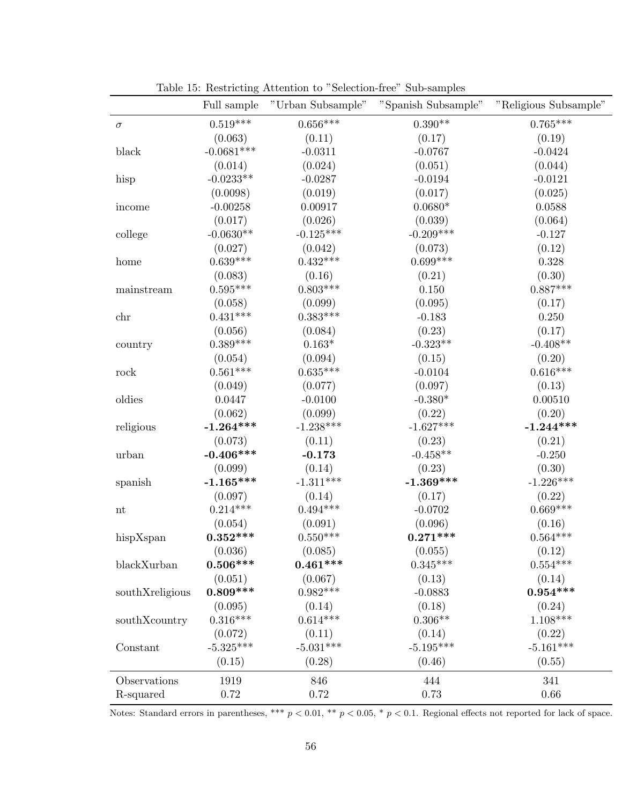|                 | Full sample  | "Urban Subsample" | "Spanish Subsample" | "Religious Subsample" |
|-----------------|--------------|-------------------|---------------------|-----------------------|
| $\sigma$        | $0.519***$   | $0.656***$        | $0.390**$           | $0.765***$            |
|                 | (0.063)      | (0.11)            | (0.17)              | (0.19)                |
| black           | $-0.0681***$ | $-0.0311$         | $-0.0767$           | $-0.0424$             |
|                 | (0.014)      | (0.024)           | (0.051)             | (0.044)               |
| hisp            | $-0.0233**$  | $-0.0287$         | $-0.0194$           | $-0.0121$             |
|                 | (0.0098)     | (0.019)           | (0.017)             | (0.025)               |
| income          | $-0.00258$   | 0.00917           | $0.0680*$           | 0.0588                |
|                 | (0.017)      | (0.026)           | (0.039)             | (0.064)               |
| college         | $-0.0630**$  | $-0.125***$       | $-0.209***$         | $-0.127$              |
|                 | (0.027)      | (0.042)           | (0.073)             | (0.12)                |
| home            | $0.639***$   | $0.432***$        | $0.699***$          | 0.328                 |
|                 | (0.083)      | (0.16)            | (0.21)              | (0.30)                |
| mainstream      | $0.595***$   | $0.803***$        | 0.150               | $0.887***$            |
|                 | (0.058)      | (0.099)           | (0.095)             | (0.17)                |
| chr             | $0.431***$   | $0.383***$        | $-0.183$            | 0.250                 |
|                 | (0.056)      | (0.084)           | (0.23)              | (0.17)                |
| country         | $0.389***$   | $0.163^{\ast}$    | $-0.323**$          | $-0.408**$            |
|                 | (0.054)      | (0.094)           | (0.15)              | (0.20)                |
| rock            | $0.561***$   | $0.635***$        | $-0.0104$           | $0.616***$            |
|                 | (0.049)      | (0.077)           | (0.097)             | (0.13)                |
| oldies          | 0.0447       | $-0.0100$         | $-0.380*$           | 0.00510               |
|                 | (0.062)      | (0.099)           | (0.22)              | (0.20)                |
| religious       | $-1.264***$  | $-1.238***$       | $-1.627***$         | $-1.244***$           |
|                 | (0.073)      | (0.11)            | (0.23)              | (0.21)                |
| urban           | $-0.406***$  | $-0.173$          | $-0.458**$          | $-0.250$              |
|                 | (0.099)      | (0.14)            | (0.23)              | (0.30)                |
| spanish         | $-1.165***$  | $-1.311***$       | $-1.369***$         | $-1.226***$           |
|                 | (0.097)      | (0.14)            | (0.17)              | (0.22)                |
| nt              | $0.214***$   | $0.494***$        | $-0.0702$           | $0.669***$            |
|                 | (0.054)      | (0.091)           | (0.096)             | (0.16)                |
| hispXspan       | $0.352***$   | $0.550***$        | $0.271***$          | $0.564***$            |
|                 | (0.036)      | (0.085)           | (0.055)             | (0.12)                |
| blackXurban     | $0.506***$   | $0.461***$        | $0.345***$          | $0.554***$            |
|                 | (0.051)      | (0.067)           | (0.13)              | (0.14)                |
| southXreligious | $0.809***$   | $0.982***$        | $-0.0883$           | $0.954***$            |
|                 | (0.095)      | (0.14)            | (0.18)              | (0.24)                |
| southXcountry   | $0.316***$   | $0.614***$        | $0.306**$           | $1.108***$            |
|                 | (0.072)      | (0.11)            | (0.14)              | (0.22)                |
| Constant        | $-5.325***$  | $-5.031***$       | $-5.195***$         | $-5.161***$           |
|                 | (0.15)       | (0.28)            | (0.46)              | (0.55)                |
| Observations    | 1919         | 846               | 444                 | 341                   |
| R-squared       | 0.72         | 0.72              | 0.73                | 0.66                  |

Table 15: Restricting Attention to "Selection-free" Sub-samples

Notes: Standard errors in parentheses, \*\*\*  $p < 0.01$ , \*\*  $p < 0.05$ , \*  $p < 0.1$ . Regional effects not reported for lack of space.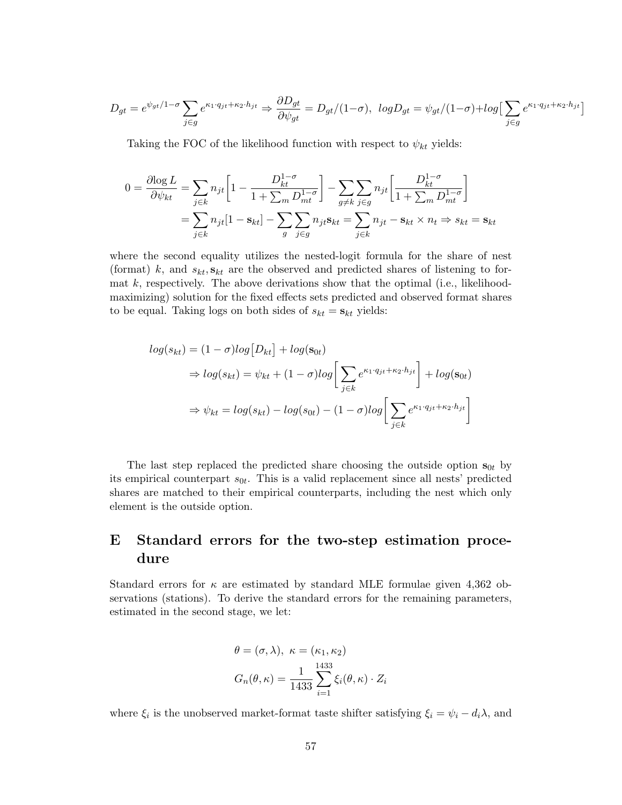$$
D_{gt} = e^{\psi_{gt}/1 - \sigma} \sum_{j \in g} e^{\kappa_1 \cdot q_{jt} + \kappa_2 \cdot h_{jt}} \Rightarrow \frac{\partial D_{gt}}{\partial \psi_{gt}} = D_{gt}/(1 - \sigma), \ \ log D_{gt} = \psi_{gt}/(1 - \sigma) + \log \Big[ \sum_{j \in g} e^{\kappa_1 \cdot q_{jt} + \kappa_2 \cdot h_{jt}} \Big]
$$

Taking the FOC of the likelihood function with respect to  $\psi_{kt}$  yields:

$$
0 = \frac{\partial \log L}{\partial \psi_{kt}} = \sum_{j \in k} n_{jt} \left[ 1 - \frac{D_{kt}^{1-\sigma}}{1 + \sum_m D_{mt}^{1-\sigma}} \right] - \sum_{g \neq k} \sum_{j \in g} n_{jt} \left[ \frac{D_{kt}^{1-\sigma}}{1 + \sum_m D_{mt}^{1-\sigma}} \right]
$$
  
= 
$$
\sum_{j \in k} n_{jt} [1 - s_{kt}] - \sum_{g} \sum_{j \in g} n_{jt} s_{kt} = \sum_{j \in k} n_{jt} - s_{kt} \times n_t \Rightarrow s_{kt} = s_{kt}
$$

where the second equality utilizes the nested-logit formula for the share of nest (format) k, and  $s_{kt}$ ,  $\mathbf{s}_{kt}$  are the observed and predicted shares of listening to format  $k$ , respectively. The above derivations show that the optimal (i.e., likelihoodmaximizing) solution for the fixed effects sets predicted and observed format shares to be equal. Taking logs on both sides of  $s_{kt} = s_{kt}$  yields:

$$
log(s_{kt}) = (1 - \sigma)log[D_{kt}] + log(s_{0t})
$$
  
\n
$$
\Rightarrow log(s_{kt}) = \psi_{kt} + (1 - \sigma)log\left[\sum_{j \in k} e^{\kappa_1 \cdot q_{jt} + \kappa_2 \cdot h_{jt}}\right] + log(s_{0t})
$$
  
\n
$$
\Rightarrow \psi_{kt} = log(s_{kt}) - log(s_{0t}) - (1 - \sigma)log\left[\sum_{j \in k} e^{\kappa_1 \cdot q_{jt} + \kappa_2 \cdot h_{jt}}\right]
$$

The last step replaced the predicted share choosing the outside option  $s_{0t}$  by its empirical counterpart  $s_{0t}$ . This is a valid replacement since all nests' predicted shares are matched to their empirical counterparts, including the nest which only element is the outside option.

# E Standard errors for the two-step estimation procedure

Standard errors for  $\kappa$  are estimated by standard MLE formulae given 4,362 observations (stations). To derive the standard errors for the remaining parameters, estimated in the second stage, we let:

$$
\theta = (\sigma, \lambda), \ \kappa = (\kappa_1, \kappa_2)
$$

$$
G_n(\theta, \kappa) = \frac{1}{1433} \sum_{i=1}^{1433} \xi_i(\theta, \kappa) \cdot Z_i
$$

where  $\xi_i$  is the unobserved market-format taste shifter satisfying  $\xi_i = \psi_i - d_i \lambda$ , and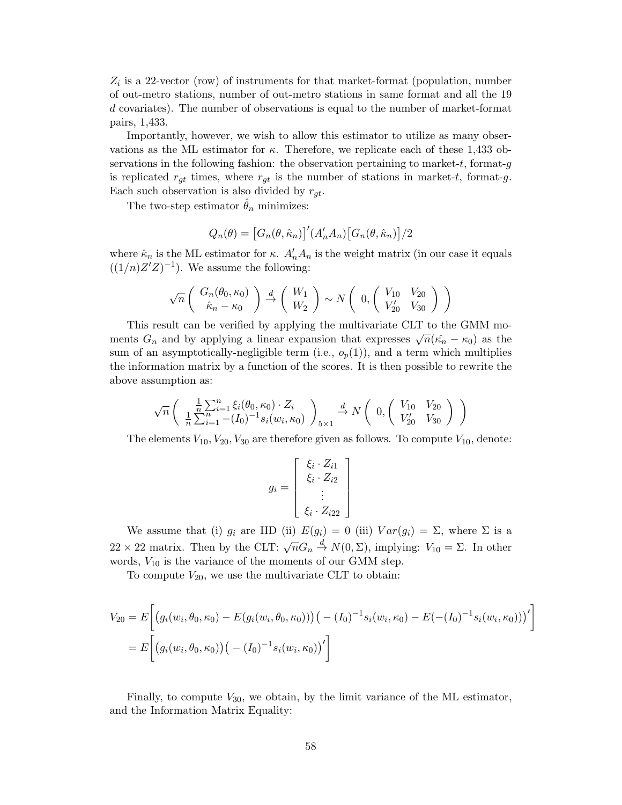$Z_i$  is a 22-vector (row) of instruments for that market-format (population, number of out-metro stations, number of out-metro stations in same format and all the 19 d covariates). The number of observations is equal to the number of market-format pairs, 1,433.

Importantly, however, we wish to allow this estimator to utilize as many observations as the ML estimator for  $\kappa$ . Therefore, we replicate each of these 1,433 observations in the following fashion: the observation pertaining to market-t, format- $g$ is replicated  $r_{gt}$  times, where  $r_{gt}$  is the number of stations in market-t, format-g. Each such observation is also divided by  $r_{qt}$ .

The two-step estimator  $\theta_n$  minimizes:

$$
Q_n(\theta) = \left[G_n(\theta, \hat{\kappa}_n)\right]'(A'_n A_n) \left[G_n(\theta, \hat{\kappa}_n)\right] / 2
$$

where  $\hat{\kappa}_n$  is the ML estimator for  $\kappa$ .  $A'_n A_n$  is the weight matrix (in our case it equals  $((1/n)Z'Z)^{-1}$ . We assume the following:

$$
\sqrt{n}\left(\begin{array}{c}G_n(\theta_0,\kappa_0)\\ \hat{\kappa}_n-\kappa_0\end{array}\right)\stackrel{d}{\rightarrow}\left(\begin{array}{c}W_1\\ W_2\end{array}\right)\sim N\left(\begin{array}{cc}0,\left(\begin{array}{cc}V_{10}&V_{20}\\ V'_{20}&V_{30}\end{array}\right)\end{array}\right)
$$

This result can be verified by applying the multivariate CLT to the GMM moments  $G_n$  and by applying a linear expansion that expresses  $\sqrt{n}(\hat{\kappa_n} - \kappa_0)$  as the sum of an asymptotically-negligible term (i.e.,  $o_p(1)$ ), and a term which multiplies the information matrix by a function of the scores. It is then possible to rewrite the above assumption as:

$$
\sqrt{n}\left(\begin{array}{c} \frac{1}{n}\sum_{i=1}^{n}\xi_{i}(\theta_{0},\kappa_{0})\cdot Z_{i} \\ \frac{1}{n}\sum_{i=1}^{n}-(I_{0})^{-1}s_{i}(w_{i},\kappa_{0})\end{array}\right)_{5\times1} \stackrel{d}{\to} N\left(\begin{array}{cc} 0, \begin{pmatrix} V_{10} & V_{20} \\ V'_{20} & V_{30} \end{pmatrix}\right)
$$

The elements  $V_{10}$ ,  $V_{20}$ ,  $V_{30}$  are therefore given as follows. To compute  $V_{10}$ , denote:

$$
g_i = \begin{bmatrix} \xi_i \cdot Z_{i1} \\ \xi_i \cdot Z_{i2} \\ \vdots \\ \xi_i \cdot Z_{i22} \end{bmatrix}
$$

We assume that (i)  $g_i$  are IID (ii)  $E(g_i) = 0$  (iii)  $Var(g_i) = \Sigma$ , where  $\Sigma$  is a 22 × 22 matrix. Then by the CLT:  $\sqrt{n}G_n \stackrel{d}{\rightarrow} N(0, \Sigma)$ , implying:  $V_{10} = \Sigma$ . In other words,  $V_{10}$  is the variance of the moments of our GMM step.

To compute  $V_{20}$ , we use the multivariate CLT to obtain:

$$
V_{20} = E\bigg[\big(g_i(w_i, \theta_0, \kappa_0) - E(g_i(w_i, \theta_0, \kappa_0))\big) \big( -(I_0)^{-1} s_i(w_i, \kappa_0) - E(-(I_0)^{-1} s_i(w_i, \kappa_0))\big)'\bigg]
$$
  
= 
$$
E\bigg[\big(g_i(w_i, \theta_0, \kappa_0)\big) \big( -(I_0)^{-1} s_i(w_i, \kappa_0)\big)'\bigg]
$$

Finally, to compute  $V_{30}$ , we obtain, by the limit variance of the ML estimator, and the Information Matrix Equality: